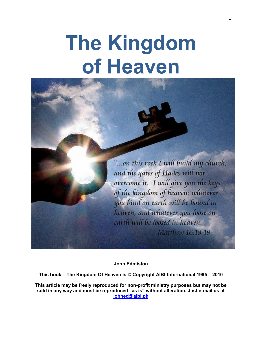# **The Kingdom of Heaven**



**John Edmiston**

**This book – The Kingdom Of Heaven is © Copyright AIBI-International 1995 – 2010**

**This article may be freely reproduced for non-profit ministry purposes but may not be sold in any way and must be reproduced "as is" without alteration. Just e-mail us at [johned@aibi.ph](mailto:johned@aibi.ph)**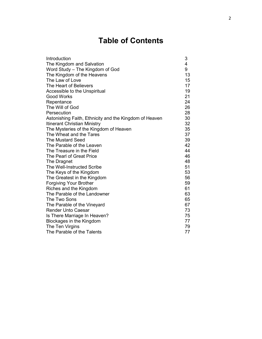# **Table of Contents**

| Introduction                                           | 3  |
|--------------------------------------------------------|----|
| The Kingdom and Salvation                              | 4  |
| Word Study - The Kingdom of God                        | 9  |
| The Kingdom of the Heavens                             | 13 |
| The Law of Love                                        | 15 |
| The Heart of Believers                                 | 17 |
| Accessible to the Unspiritual                          | 19 |
| <b>Good Works</b>                                      | 21 |
| Repentance                                             | 24 |
| The Will of God                                        | 26 |
| Persecution                                            | 28 |
| Astonishing Faith, Ethnicity and the Kingdom of Heaven | 30 |
| <b>Itinerant Christian Ministry</b>                    | 32 |
| The Mysteries of the Kingdom of Heaven                 | 35 |
| The Wheat and the Tares                                | 37 |
| <b>The Mustard Seed</b>                                | 39 |
| The Parable of the Leaven                              | 42 |
| The Treasure in the Field                              | 44 |
| The Pearl of Great Price                               | 46 |
| The Dragnet                                            | 48 |
| The Well-Instructed Scribe                             | 51 |
| The Keys of the Kingdom                                | 53 |
| The Greatest in the Kingdom                            | 56 |
| <b>Forgiving Your Brother</b>                          | 59 |
| Riches and the Kingdom                                 | 61 |
| The Parable of the Landowner                           | 63 |
| The Two Sons                                           | 65 |
| The Parable of the Vineyard                            | 67 |
| <b>Render Unto Caesar</b>                              | 73 |
| Is There Marriage In Heaven?                           | 75 |
| Blockages in the Kingdom                               | 77 |
| The Ten Virgins                                        | 79 |
| The Parable of the Talents                             | 77 |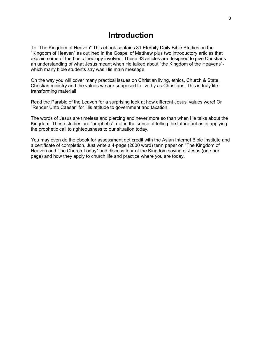## **Introduction**

To "The Kingdom of Heaven" This ebook contains 31 Eternity Daily Bible Studies on the "Kingdom of Heaven" as outlined in the Gospel of Matthew plus two introductory articles that explain some of the basic theology involved. These 33 articles are designed to give Christians an understanding of what Jesus meant when He talked about "the Kingdom of the Heavens" which many bible students say was His main message.

On the way you will cover many practical issues on Christian living, ethics, Church & State, Christian ministry and the values we are supposed to live by as Christians. This is truly lifetransforming material!

Read the Parable of the Leaven for a surprising look at how different Jesus' values were! Or "Render Unto Caesar" for His attitude to government and taxation.

The words of Jesus are timeless and piercing and never more so than when He talks about the Kingdom. These studies are "prophetic", not in the sense of telling the future but as in applying the prophetic call to righteousness to our situation today.

You may even do the ebook for assessment get credit with the Asian Internet Bible Institute and a certificate of completion. Just write a 4-page (2000 word) term paper on "The Kingdom of Heaven and The Church Today" and discuss four of the Kingdom saying of Jesus (one per page) and how they apply to church life and practice where you are today.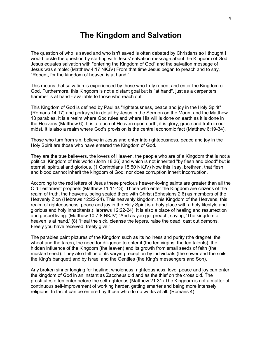## **The Kingdom and Salvation**

The question of who is saved and who isn't saved is often debated by Christians so I thought I would tackle the question by starting with Jesus' salvation message about the Kingdom of God. Jesus equates salvation with "entering the Kingdom of God" and the salvation message of Jesus was simple: (Matthew 4:17 NKJV) From that time Jesus began to preach and to say, "Repent, for the kingdom of heaven is at hand."

This means that salvation is experienced by those who truly repent and enter the Kingdom of God. Furthermore, this Kingdom is not a distant goal but is "at hand", just as a carpenters hammer is at hand - available to those who reach out.

This Kingdom of God is defined by Paul as "righteousness, peace and joy in the Holy Spirit" (Romans 14:17) and portrayed in detail by Jesus in the Sermon on the Mount and the Matthew 13 parables. It is a realm where God rules and where His will is done on earth as it is done in the Heavens (Matthew 6). It is a touch of Heaven upon earth, it is glory, grace and truth in our midst. It is also a realm where God's provision is the central economic fact (Matthew 6:19-34).

Those who turn from sin, believe in Jesus and enter into righteousness, peace and joy in the Holy Spirit are those who have entered the Kingdom of God.

They are the true believers, the lovers of Heaven, the people who are of a Kingdom that is not a political Kingdom of this world (John 18:36) and which is not inherited "by flesh and blood" but is eternal, spiritual and glorious. (1 Corinthians 15:50 NKJV) Now this I say, brethren, that flesh and blood cannot inherit the kingdom of God; nor does corruption inherit incorruption.

According to the red letters of Jesus these precious heaven-loving saints are greater than all the Old Testament prophets (Matthew 11:11-13). Those who enter the Kingdom are citizens of the realm of truth, the heavens, being seated there with Christ (Ephesians 2:6) as members of the Heavenly Zion (Hebrews 12:22-24). This heavenly kingdom, this Kingdom of the Heavens, this realm of righteousness, peace and joy in the Holy Spirit is a holy place with a holy lifestyle and glorious and holy inhabitants.(Hebrews 12:22-24). It is also a place of healing and resurrection and gospel living. (Matthew 10:7-8 NKJV) "And as you go, preach, saying, 'The kingdom of heaven is at hand.' {8} "Heal the sick, cleanse the lepers, raise the dead, cast out demons. Freely you have received, freely give."

The parables paint pictures of the Kingdom such as its holiness and purity (the dragnet, the wheat and the tares), the need for diligence to enter it (the ten virgins, the ten talents), the hidden influence of the Kingdom (the leaven) and its growth from small seeds of faith (the mustard seed). They also tell us of its varying reception by individuals (the sower and the soils, the King's banquet) and by Israel and the Gentiles (the King's messengers and Son).

Any broken sinner longing for healing, wholeness, righteousness, love, peace and joy can enter the kingdom of God in an instant as Zaccheus did and as the thief on the cross did. The prostitutes often enter before the self-righteous.(Matthew 21:31) The Kingdom is not a matter of continuous self-improvement of working harder, getting smarter and being more intensely religious. In fact it can be entered by those who do no works at all. (Romans 4)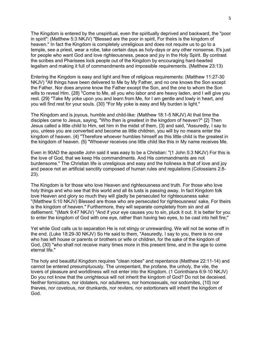The Kingdom is entered by the unspiritual, even the spiritually deprived and backward, the "poor in spirit": (Matthew 5:3 NKJV) "Blessed are the poor in spirit, For theirs is the kingdom of heaven." In fact the Kingdom is completely unreligious and does not require us to go to a temple, see a priest, wear a robe, take certain days as holy-days or any other nonsense. It's just for people who want God and love righteousness, peace and joy in the Holy Spirit. By contrast the scribes and Pharisees lock people out of the Kingdom by encouraging hard-hearted legalism and making it full of commandments and impossible requirements. (Matthew 23:13)

Entering the Kingdom is easy and light and free of religious requirements: (Matthew 11:27-30 NKJV) "All things have been delivered to Me by My Father, and no one knows the Son except the Father. Nor does anyone know the Father except the Son, and the one to whom the Son wills to reveal Him. {28} "Come to Me, all you who labor and are heavy laden, and I will give you rest. {29} "Take My yoke upon you and learn from Me, for I am gentle and lowly in heart, and you will find rest for your souls. {30} "For My yoke is easy and My burden is light."

The Kingdom and is joyous, humble and child-like: (Matthew 18:1-5 NKJV) At that time the disciples came to Jesus, saying, "Who then is greatest in the kingdom of heaven?" {2} Then Jesus called a little child to Him, set him in the midst of them, {3} and said, "Assuredly, I say to you, unless you are converted and become as little children, you will by no means enter the kingdom of heaven. {4} "Therefore whoever humbles himself as this little child is the greatest in the kingdom of heaven. {5} "Whoever receives one little child like this in My name receives Me.

Even in 90AD the apostle John said it was easy to be a Christian: "(1 John 5:3 NKJV) For this is the love of God, that we keep His commandments. And His commandments are not burdensome." The Christian life is unreligious and easy and the holiness is that of love and joy and peace not an artificial sanctity composed of human rules and regulations (Colossians 2:8- 23).

The Kingdom is for those who love Heaven and righteousness and truth. For those who love holy things and who see that this world and all its lusts is passing away. In fact Kingdom folk love Heaven and glory so much they will gladly be persecuted for righteousness sake: "(Matthew 5:10 NKJV) Blessed are those who are persecuted for righteousness' sake, For theirs is the kingdom of heaven." Furthermore, they will separate completely from sin and all defilement. "(Mark 9:47 NKJV) "And if your eye causes you to sin, pluck it out. It is better for you to enter the kingdom of God with one eye, rather than having two eyes, to be cast into hell fire;"

Yet while God calls us to separation He is not stingy or unrewarding. We will not be worse off in the end. (Luke 18:29-30 NKJV) So He said to them, "Assuredly, I say to you, there is no one who has left house or parents or brothers or wife or children, for the sake of the kingdom of God, {30} "who shall not receive many times more in this present time, and in the age to come eternal life."

The holy and beautiful Kingdom requires "clean robes" and repentance (Matthew 22:11-14) and cannot be entered presumptuously. The unrepentant, the profane, the unholy, the vile, the lovers of pleasure and worldliness will not enter into the Kingdom. (1 Corinthians 6:9-10 NKJV) Do you not know that the unrighteous will not inherit the kingdom of God? Do not be deceived. Neither fornicators, nor idolaters, nor adulterers, nor homosexuals, nor sodomites, {10} nor thieves, nor covetous, nor drunkards, nor revilers, nor extortioners will inherit the kingdom of God.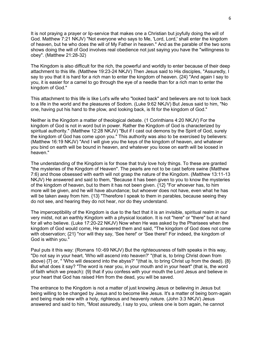It is not praying a prayer or lip-service that makes one a Christian but joyfully doing the will of God. Matthew 7:21 NKJV) "Not everyone who says to Me, 'Lord, Lord,' shall enter the kingdom of heaven, but he who does the will of My Father in heaven." And as the parable of the two sons shows doing the will of God involves real obedience not just saying you have the "willingness to obey". (Matthew 21:28-32)

The Kingdom is also difficult for the rich, the powerful and worldly to enter because of their deep attachment to this life. (Matthew 19:23-24 NKJV) Then Jesus said to His disciples, "Assuredly, I say to you that it is hard for a rich man to enter the kingdom of heaven. {24} "And again I say to you, it is easier for a camel to go through the eye of a needle than for a rich man to enter the kingdom of God."

This attachment to this life is like Lot's wife who "looked back" and believers are not to look back to a life in the world and the pleasures of Sodom. (Luke 9:62 NKJV) But Jesus said to him, "No one, having put his hand to the plow, and looking back, is fit for the kingdom of God."

Neither is the Kingdom a matter of theological debate. (1 Corinthians 4:20 NKJV) For the kingdom of God is not in word but in power. Rather the Kingdom of God is characterized by spiritual authority." (Matthew 12:28 NKJV) "But if I cast out demons by the Spirit of God, surely the kingdom of God has come upon you." This authority was also to be exercised by believers: (Matthew 16:19 NKJV) "And I will give you the keys of the kingdom of heaven, and whatever you bind on earth will be bound in heaven, and whatever you loose on earth will be loosed in heaven."

The understanding of the Kingdom is for those that truly love holy things. To these are granted "the mysteries of the Kingdom of Heaven". The pearls are not to be cast before swine (Matthew 7:6) and those obsessed with earth will not grasp the nature of the Kingdom. (Matthew 13:11-13 NKJV) He answered and said to them, "Because it has been given to you to know the mysteries of the kingdom of heaven, but to them it has not been given. {12} "For whoever has, to him more will be given, and he will have abundance; but whoever does not have, even what he has will be taken away from him. {13} "Therefore I speak to them in parables, because seeing they do not see, and hearing they do not hear, nor do they understand.

The imperceptibility of the Kingdom is due to the fact that it is an invisible, spiritual realm in our very midst, not an earthly Kingdom with a physical location. It is not "here" or "there" but at hand for all who believe. (Luke 17:20-22 NKJV) Now when He was asked by the Pharisees when the kingdom of God would come, He answered them and said, "The kingdom of God does not come with observation;  $\{21\}$  "nor will they say, 'See here!' or 'See there!' For indeed, the kingdom of God is within you."

Paul puts it this way: (Romans 10:-69 NKJV) But the righteousness of faith speaks in this way, "Do not say in your heart, 'Who will ascend into heaven?' "(that is, to bring Christ down from above) {7} or, " 'Who will descend into the abyss?' "(that is, to bring Christ up from the dead). {8} But what does it say? "The word is near you, in your mouth and in your heart" (that is, the word of faith which we preach): {9} that if you confess with your mouth the Lord Jesus and believe in your heart that God has raised Him from the dead, you will be saved.

The entrance to the Kingdom is not a matter of just knowing Jesus or believing in Jesus but being willing to be changed by Jesus and to become like Jesus. It's a matter of being born-again and being made new with a holy, righteous and heavenly nature. (John 3:3 NKJV) Jesus answered and said to him, "Most assuredly, I say to you, unless one is born again, he cannot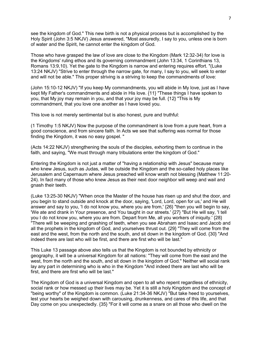see the kingdom of God." This new birth is not a physical process but is accomplished by the Holy Spirit (John 3:5 NKJV) Jesus answered, "Most assuredly, I say to you, unless one is born of water and the Spirit, he cannot enter the kingdom of God.

Those who have grasped the law of love are close to the Kingdom (Mark 12:32-34) for love is the Kingdoms' ruling ethos and its governing commandment (John 13:34, 1 Corinthians 13, Romans 13:9,10). Yet the gate to the Kingdom is narrow and entering requires effort. "(Luke 13:24 NKJV) "Strive to enter through the narrow gate, for many, I say to you, will seek to enter and will not be able." This proper striving is a striving to keep the commandments of love:

(John 15:10-12 NKJV) "If you keep My commandments, you will abide in My love, just as I have kept My Father's commandments and abide in His love. {11} "These things I have spoken to you, that My joy may remain in you, and that your joy may be full. {12} "This is My commandment, that you love one another as I have loved you.

This love is not merely sentimental but is also honest, pure and truthful:

(1 Timothy 1:5 NKJV) Now the purpose of the commandment is love from a pure heart, from a good conscience, and from sincere faith. In Acts we see that suffering was normal for those finding the Kingdom, it was no easy gospel. "

(Acts 14:22 NKJV) strengthening the souls of the disciples, exhorting them to continue in the faith, and saying, "We must through many tribulations enter the kingdom of God."

Entering the Kingdom is not just a matter of "having a relationship with Jesus" because many who knew Jesus, such as Judas, will be outside the Kingdom and the so-called holy places like Jerusalem and Capernaum where Jesus preached will know wrath not blessing (Matthew 11:20- 24). In fact many of those who knew Jesus as their next door neighbor will weep and wail and gnash their teeth.

(Luke 13:25-30 NKJV) "When once the Master of the house has risen up and shut the door, and you begin to stand outside and knock at the door, saying, 'Lord, Lord, open for us,' and He will answer and say to you, 'I do not know you, where you are from,' {26} "then you will begin to say, 'We ate and drank in Your presence, and You taught in our streets.' {27} "But He will say, 'I tell you I do not know you, where you are from. Depart from Me, all you workers of iniquity.' {28} "There will be weeping and gnashing of teeth, when you see Abraham and Isaac and Jacob and all the prophets in the kingdom of God, and yourselves thrust out. {29} "They will come from the east and the west, from the north and the south, and sit down in the kingdom of God. {30} "And indeed there are last who will be first, and there are first who will be last."

This Luke 13 passage above also tells us that the Kingdom is not bounded by ethnicity or geography, it will be a universal Kingdom for all nations: "They will come from the east and the west, from the north and the south, and sit down in the kingdom of God." Neither will social rank lay any part in determining who is who in the Kingdom "And indeed there are last who will be first, and there are first who will be last."

The Kingdom of God is a universal Kingdom and open to all who repent regardless of ethnicity, social rank or how messed up their lives may be. Yet it is still a holy Kingdom and the concept of "being worthy" of the Kingdom is common. (Luke 21:34-36 NKJV) "But take heed to yourselves, lest your hearts be weighed down with carousing, drunkenness, and cares of this life, and that Day come on you unexpectedly. {35} "For it will come as a snare on all those who dwell on the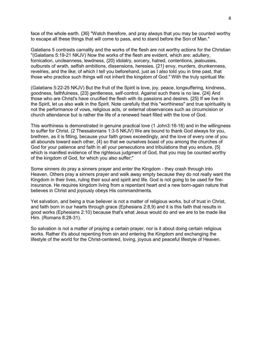face of the whole earth. {36} "Watch therefore, and pray always that you may be counted worthy to escape all these things that will come to pass, and to stand before the Son of Man."

Galatians 5 contrasts carnality and the works of the flesh are not worthy actions for the Christian "(Galatians 5:19-21 NKJV) Now the works of the flesh are evident, which are: adultery, fornication, uncleanness, lewdness, {20} idolatry, sorcery, hatred, contentions, jealousies, outbursts of wrath, selfish ambitions, dissensions, heresies, {21} envy, murders, drunkenness, revelries, and the like; of which I tell you beforehand, just as I also told you in time past, that those who practice such things will not inherit the kingdom of God." With the truly spiritual life:

(Galatians 5:22-25 NKJV) But the fruit of the Spirit is love, joy, peace, longsuffering, kindness, goodness, faithfulness, {23} gentleness, self-control. Against such there is no law. {24} And those who are Christ's have crucified the flesh with its passions and desires. {25} If we live in the Spirit, let us also walk in the Spirit. Note carefully that this "worthiness" and true spirituality is not the performance of vows, religious acts, or external observances such as circumcision or church attendance but is rather the life of a renewed heart filled with the love of God.

This worthiness is demonstrated in genuine practical love (1 John3:16-18) and in the willingness to suffer for Christ. (2 Thessalonians 1:3-5 NKJV) We are bound to thank God always for you, brethren, as it is fitting, because your faith grows exceedingly, and the love of every one of you all abounds toward each other, {4} so that we ourselves boast of you among the churches of God for your patience and faith in all your persecutions and tribulations that you endure, {5} which is manifest evidence of the righteous judgment of God, that you may be counted worthy of the kingdom of God, for which you also suffer;"

Some sinners do pray a sinners prayer and enter the Kingdom - they crash through into Heaven. Others pray a sinners prayer and walk away empty because they do not really want the Kingdom in their lives, ruling their soul and spirit and life. God is not going to be used for fireinsurance. He requires kingdom living from a repentant heart and a new born-again nature that believes in Christ and joyously obeys His commandments.

Yet salvation, and being a true believer is not a matter of religious works, but of trust in Christ, and faith born in our hearts through grace (Ephesians 2:8,9) and it is this faith that results in good works (Ephesians 2:10) because that's what Jesus would do and we are to be made like Him. (Romans 8:28-31).

So salvation is not a matter of praying a certain prayer, nor is it about doing certain religious works. Rather it's about repenting from sin and entering the Kingdom and exchanging the lifestyle of the world for the Christ-centered, loving, joyous and peaceful lifestyle of Heaven.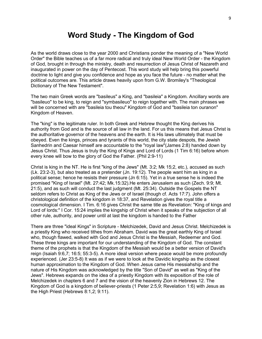## **Word Study - The Kingdom of God**

As the world draws close to the year 2000 and Christians ponder the meaning of a "New World Order" the Bible teaches us of a far more radical and truly ideal New World Order - the Kingdom of God, brought in through the ministry, death and resurrection of Jesus Christ of Nazareth and inaugurated in power on the day of Pentecost. This word study will help bring this powerful doctrine to light and give you confidence and hope as you face the future - no matter what the political outcomes are. This article draws heavily upon from G.W. Bromiley's "Theological Dictionary of The New Testament".

The two main Greek words are "basileus" a King, and "basileia" a Kingdom. Ancillary words are "basileuo" to be king, to reign and "symbasileuo" to reign together with. The main phrases we will be concerned with are "basileia tou theou" Kingdom of God and "basileia ton ouranon" Kingdom of Heaven.

The "king" is the legitimate ruler. In both Greek and Hebrew thought the King derives his authority from God and is the source of all law in the land. For us this means that Jesus Christ is the authoritative governor of the heavens and the earth. It is His laws ultimately that must be obeyed. Even the kings, princes and tyrants of this world, the city state despots, the Jewish Sanhedrin and Caesar himself are accountable to the "royal law"(James 2:8) handed down by Jesus Christ. Thus Jesus is truly the King of Kings and Lord of Lords (1 Tim 6:16) before whom every knee will bow to the glory of God the Father. (Phil 2:9-11)

Christ is king in the NT. He is first "king of the Jews" (Mt. 3:2; Mk 15;2, etc.), accused as such (Lk. 23:2-3), but also treated as a pretender (Jn. 19:12). The people want him as king in a political sense; hence he resists their pressure (Jn 6:15). Yet in a true sense he is indeed the promised "King of Israel" (Mt. 27:42; Mk.15:32).He enters Jerusalem as such (Zech. 9:9; Mt. 21:5), and as such will conduct the last judgment (Mt. 25:34). Outside the Gospels the NT seldom refers to Christ as King of the Jews or of Israel (though cf. Acts 17:7). John offers a christological definition of the kingdom in 18:37, and Revelation gives the royal title a cosmological dimension. I Tim. 6:16 gives Christ the same title as Revelation: "King of kings and Lord of lords:" I Cor. 15:24 implies the kingship of Christ when it speaks of the subjection of all other rule, authority, and power until at last the kingdom is handed to the Father

There are three "ideal Kings" in Scripture - Melchizedek, David and Jesus Christ. Melchizedek is a priestly King who received tithes from Abraham. David was the great earthly King of Israel who, though flawed, walked with God and Jesus Christ is the Messiah, Redeemer and God. These three kings are important for our understanding of the Kingdom of God. The constant theme of the prophets is that the Kingdom of the Messiah would be a better version of David's reign (Isaiah 9:6,7; 16:5; 55:3-5). A more ideal version where peace would be more profoundly experienced. (Jer 23:5-8) It was as if we were to look at the Davidic kingship as the closest human approximation to the Kingdom of God. When Jesus came His messiahship and the nature of His Kingdom was acknowledged by the title "Son of David" as well as "King of the Jews". Hebrews expands on the idea of a priestly Kingdom with its exposition of the role of Melchizedek in chapters 6 and 7 and the vision of the heavenly Zion in Hebrews 12. The Kingdom of God is a kingdom of believer-priests (1 Peter 2:5,9; Revelation 1:6) with Jesus as the High Priest (Hebrews 8:1,2; 9:11).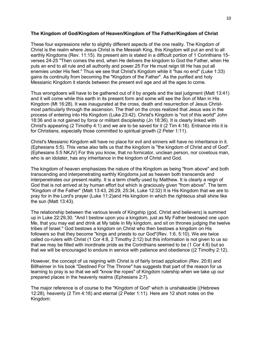## **The Kingdom of God/Kingdom of Heaven/Kingdom of The Father/Kingdom of Christ**

These four expressions refer to slightly different aspects of the one reality. The Kingdom of Christ is the realm where Jesus Christ is the Messiah King, this Kingdom will put an end to all earthly Kingdoms (Rev. 11:15). Its present aim is stated in a difficult portion of 1 Corinthians 15 verses 24-25 "Then comes the end, when He delivers the kingdom to God the Father, when He puts an end to all rule and all authority and power.25 For He must reign till He has put all enemies under His feet." Thus we see that Christ's Kingdom while it "has no end" (Luke 1:33) gains its continuity from becoming the "Kingdom of the Father". As the purified and holy Messianic Kingdom it stands between the present evil age and all the ages to come.

Thus wrongdoers will have to be gathered out of it by angels and the last judgment (Matt 13:41) and it will come while this earth in its present form and some will see the Son of Man in His Kingdom (Mt 16:28). It was inaugurated at the cross, death and resurrection of Jesus Christmost particularly through the ascension. The thief on the cross realized that Jesus was in the process of entering into His Kingdom (Luke 23:42). Christ's Kingdom is "not of this world" John 18:36 and is not gained by force or militant discipleship (Jn 18:36). It is clearly linked with Christ's appearing (2 Timothy 4:1) and we are to be saved for it (2 Tim 4:16). Entrance into it is for Christians, especially those committed to spiritual growth (2 Peter 1:11).

Christ's Messianic Kingdom will have no place for evil and sinners will have no inheritance in it. (Ephesians 5:5). This verse also tells us that the kingdom is "the kingdom of Christ and of God". (Ephesians 5:5 NKJV) For this you know, that no fornicator, unclean person, nor covetous man, who is an idolater, has any inheritance in the kingdom of Christ and God.

The kingdom of heaven emphasizes the nature of the Kingdom as being "from above" and both transcending and interpenetrating earthly Kingdoms just as heaven both transcends and interpenetrates our present reality. It is a term chiefly used by Matthew. It is clearly a reign of God that is not arrived at by human effort but which is graciously given "from above". The term "Kingdom of the Father" (Matt 13:43, 26:29, 25:34, Luke 12:32) It is His Kingdom that we are to pray for in the Lord's prayer (Luke 11:2)and His kingdom in which the righteous shall shine like the sun (Matt 13:43).

The relationship between the various levels of Kingship (god, Christ and believers) is summed up in Luke 22:29,30. "And I bestow upon you a kingdom, just as My Father bestowed one upon Me, that you may eat and drink at My table in My kingdom, and sit on thrones judging the twelve tribes of Israel." God bestows a kingdom on Christ who then bestows a kingdom on His followers so that they become "kings and priests to our God"(Rev. 1:6, 5:10). We are twice called co-rulers with Christ (1 Cor 4:8, 2 Timothy 2:12) but this information is not given to us so that we may be filled with inordinate pride as the Corinthians seemed to be (1 Cor 4:8) but so that we will be encouraged to endure in service with patience and obedience ((2 Timothy 2:12).

However, the concept of us reigning with Christ is of fairly broad application (Rev. 20:6) and Billheimer in his book "Destined For The Throne" has suggests that part of the reason for us learning to pray is so that we will "know the ropes" of Kingdom rulership when we take up our prepared places in the heavenly realms (Ephesians 2:7).

The major reference is of course to the "Kingdom of God" which is unshakeable ((Hebrews 12:28), heavenly (2 Tim 4:18) and eternal (2 Peter 1:11). Here are 12 short notes on the Kingdom: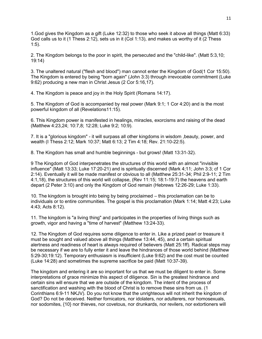1.God gives the Kingdom as a gift (Luke 12:32) to those who seek it above all things (Matt 6:33) God calls us to it (1 Thess 2:12), sets us in it (Col 1:13), and makes us worthy of it (2 Thess 1:5).

2. The Kingdom belongs to the poor in spirit, the persecuted and the "child-like". (Matt 5:3,10; 19:14)

3. The unaltered natural ("flesh and blood") man cannot enter the Kingdom of God(1 Cor 15:50). The Kingdom is entered by being "born again" (John 3:3) through irrevocable commitment (Luke 9:62) producing a new man in Christ Jesus (2 Cor 5:16,17).

4. The Kingdom is peace and joy in the Holy Spirit (Romans 14:17).

5. The Kingdom of God is accompanied by real power (Mark 9:1; 1 Cor 4:20) and is the most powerful kingdom of all (Revelations11:15).

6. This Kingdom power is manifested in healings, miracles, exorcisms and raising of the dead (Matthew 4:23,24; 10:7,8; 12:28; Luke 9:2; 10:9).

7. It is a "glorious kingdom" - it will surpass all other kingdoms in wisdom ,beauty, power, and wealth (I Thess 2:12; Mark 10:37; Matt 6:13; 2 Tim 4:18; Rev. 21:10-22:5).

8. The Kingdom has small and humble beginnings - but grows! (Matt 13:31-32).

9 The Kingdom of God interpenetrates the structures of this world with an almost "invisible influence" (Matt 13:33; Luke 17:20-21) and is spiritually discerned (Mark 4;11; John 3:3; cf 1 Cor 2:14). Eventually it will be made manifest or obvious to all (Matthew 25:31-34; Phil 2:9-11; 2 Tim 4:1,18), the structures of this world will collapse, (Rev 11:15; 18:1-19:7) the heavens and earth depart (2 Peter 3:10) and only the Kingdom of God remain (Hebrews 12:26-29; Luke 1:33).

10. The kingdom is brought into being by being proclaimed – this proclamation can be to individuals or to entire communities. The gospel is this proclamation (Mark 1:14; Matt 4:23; Luke 4:43; Acts 8:12).

11. The kingdom is "a living thing" and participates in the properties of living things such as growth, vigor and having a "time of harvest" (Matthew 13:24-33).

12. The Kingdom of God requires some diligence to enter in. Like a prized pearl or treasure it must be sought and valued above all things (Matthew 13:44, 45), and a certain spiritual alertness and readiness of heart is always required of believers (Matt 25:1ff). Radical steps may be necessary if we are to fully enter it and leave the hindrances of those world behind (Matthew 5:29-30;19:12). Temporary enthusiasm is insufficient (Luke 9:62) and the cost must be counted (Luke 14:28) and sometimes the supreme sacrifice be paid (Matt 10:37-39).

The kingdom and entering it are so important for us that we must be diligent to enter in. Some interpretations of grace minimize this aspect of diligence. Sin is the greatest hindrance and certain sins will ensure that we are outside of the kingdom. The intent of the process of sanctification and washing with the blood of Christ is to remove these sins from us. (1 Corinthians 6:9-11 NKJV). Do you not know that the unrighteous will not inherit the kingdom of God? Do not be deceived. Neither fornicators, nor idolaters, nor adulterers, nor homosexuals, nor sodomites, {10} nor thieves, nor covetous, nor drunkards, nor revilers, nor extortioners will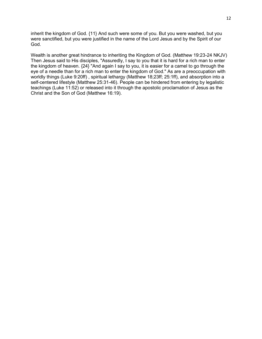inherit the kingdom of God. {11} And such were some of you. But you were washed, but you were sanctified, but you were justified in the name of the Lord Jesus and by the Spirit of our God.

Wealth is another great hindrance to inheriting the Kingdom of God. (Matthew 19:23-24 NKJV) Then Jesus said to His disciples, "Assuredly, I say to you that it is hard for a rich man to enter the kingdom of heaven. {24} "And again I say to you, it is easier for a camel to go through the eye of a needle than for a rich man to enter the kingdom of God." As are a preoccupation with worldly things (Luke 9:20ff) , spiritual lethargy (Matthew 18;23ff; 25:1ff), and absorption into a self-centered lifestyle (Matthew 25:31-46). People can be hindered from entering by legalistic teachings (Luke 11:52) or released into it through the apostolic proclamation of Jesus as the Christ and the Son of God (Matthew 16:19).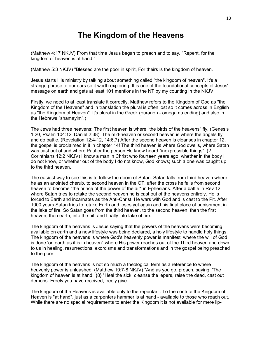# **The Kingdom of the Heavens**

(Matthew 4:17 NKJV) From that time Jesus began to preach and to say, "Repent, for the kingdom of heaven is at hand."

(Matthew 5:3 NKJV) "Blessed are the poor in spirit, For theirs is the kingdom of heaven.

Jesus starts His ministry by talking about something called "the kingdom of heaven". It's a strange phrase to our ears so it worth exploring. It is one of the foundational concepts of Jesus' message on earth and gets at least 101 mentions in the NT by my counting in the NKJV.

Firstly, we need to at least translate it correctly. Matthew refers to the Kingdom of God as "the Kingdom of the Heavens" and in translation the plural is often lost so it comes across in English as "the Kingdom of Heaven". It's plural in the Greek (ouranon - omega nu ending) and also in the Hebrews "shamayim".)

The Jews had three heavens: The first heaven is where "the birds of the heavens" fly. (Genesis 1:20, Psalm 104:12, Daniel 2:38). The mid-heaven or second heaven is where the angels fly and do battle. (Revelation 12:4-12, 14:6,7) After the second heaven is cleanses in chapter 12, the gospel is proclaimed in it in chapter 14! The third heaven is where God dwells, where Satan was cast out of and where Paul or the person He knew heard "inexpressible things". (2 Corinthians 12:2 NKJV) I know a man in Christ who fourteen years ago; whether in the body I do not know, or whether out of the body I do not know, God knows; such a one was caught up to the third heaven.

The easiest way to see this is to follow the doom of Satan. Satan falls from third heaven where he as an anointed cherub, to second heaven in the OT, after the cross he falls from second heaven to become "the prince of the power of the air" in Ephesians. After a battle in Rev 12 where Satan tries to retake the second heaven he is cast out of the heavens entirely. He is forced to Earth and incarnates as the Anti-Christ. He wars with God and is cast to the Pit. After 1000 years Satan tries to retake Earth and loses yet again and his final place of punishment in the lake of fire. So Satan goes from the third heaven, to the second heaven, then the first heaven, then earth, into the pit, and finally into lake of fire.

The kingdom of the heavens is Jesus saying that the powers of the heavens were becoming available on earth and a new lifestyle was being declared, a holy lifestyle to handle holy things. The kingdom of the heavens is where God's heavenly power is manifest, where the will of God is done 'on earth as it is in heaven" where His power reaches out of the Third heaven and down to us in healing, resurrections, exorcisms and transformations and in the gospel being preached to the poor.

The kingdom of the heavens is not so much a theological term as a reference to where heavenly power is unleashed. (Matthew 10:7-8 NKJV) "And as you go, preach, saying, 'The kingdom of heaven is at hand.' {8} "Heal the sick, cleanse the lepers, raise the dead, cast out demons. Freely you have received, freely give.

The kingdom of the Heavens is available only to the repentant. To the contrite the Kingdom of Heaven is "at hand", just as a carpenters hammer is at hand - available to those who reach out. While there are no special requirements to enter the Kingdom it is not available for mere lip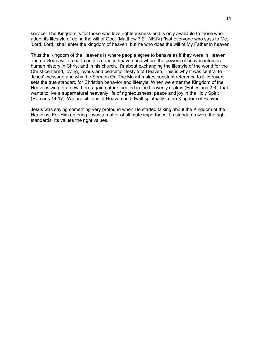service. The Kingdom is for those who love righteousness and is only available to those who adopt its lifestyle of doing the will of God. (Matthew 7:21 NKJV) "Not everyone who says to Me, 'Lord, Lord,' shall enter the kingdom of heaven, but he who does the will of My Father in heaven.

Thus the Kingdom of the Heavens is where people agree to behave as if they were in Heaven and do God's will on earth as it is done in heaven and where the powers of heaven intersect human history in Christ and in his church. It's about exchanging the lifestyle of the world for the Christ-centered, loving, joyous and peaceful lifestyle of Heaven. This is why it was central to Jesus' message and why the Sermon On The Mount makes constant reference to it. Heaven sets the true standard for Christian behavior and lifestyle. When we enter the Kingdom of the Heavens we get a new, born-again nature, seated in the heavenly realms (Ephesians 2:6), that wants to live a supernatural heavenly life of righteousness, peace and joy in the Holy Spirit (Romans 14:17). We are citizens of Heaven and dwell spiritually in the Kingdom of Heaven.

Jesus was saying something very profound when He started talking about the Kingdom of the Heavens. For Him entering it was a matter of ultimate importance. Its standards were the right standards. Its values the right values.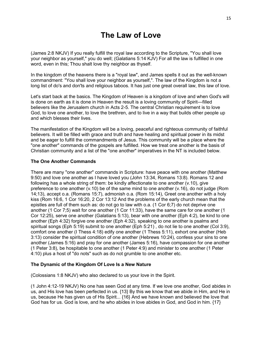# **The Law of Love**

(James 2:8 NKJV) If you really fulfill the royal law according to the Scripture, "You shall love your neighbor as yourself," you do well; (Galatians 5:14 KJV) For all the law is fulfilled in one word, even in this; Thou shalt love thy neighbor as thyself.

In the kingdom of the heavens there is a "royal law", and James spells it out as the well-known commandment: "You shall love your neighbor as yourself,". The law of the Kingdom is not a long list of do's and don'ts and religious taboos. It has just one great overall law, this law of love.

Let's start back at the basics. The Kingdom of Heaven is a kingdom of love and when God's will is done on earth as it is done in Heaven the result is a loving community of Spirit—filled believers like the Jerusalem church in Acts 2-5. The central Christian requirement is to love God, to love one another, to love the brethren, and to live in a way that builds other people up and which blesses their lives.

The manifestation of the Kingdom will be a loving, peaceful and righteous community of faithful believers. It will be filled with grace and truth and have healing and spiritual power in its midst and be eager to fulfill the commandments of Jesus. This community will be a place where the "one another" commands of the gospels are fulfilled. How we treat one another is the basis of Christian community and a list of the "one another" imperatives in the NT is included below.

## **The One Another Commands**

There are many "one another" commands in Scripture: have peace with one another (Matthew 9:50) and love one another as I have loved you (John 13:34, Romans 13:8). Romans 12 and following has a whole string of them: be kindly affectionate to one another (v.10), give preference to one another (v.10) be of the same mind to one another (v.16), do not judge (Rom 14;13), accept o.a. (Romans 15:7), admonish o.a. (Rom 15:14), Greet one another with a holy kiss (Rom 16:6, 1 Cor 16:20, 2 Cor 13:12 And the problems of the early church mean that the epistles are full of them such as: do not go to law with o.a. (1 Cor 6;7) do not deprive one another (1 Cor 7;5) wait for one another (1 Cor 11:33), have the same care for one another (1 Cor 12:25), serve one another (Galatians 5:13), bear with one another (Eph 4:2), be kind to one another (Eph 4:32) forgive one another (Eph 4:32), speaking to one another is psalms and spiritual songs (Eph 5:19) submit to one another (Eph 5:21) , do not lie to one another (Col 3:9), comfort one another (I Thess 4:18) edify one another (1 Thess 5:11), exhort one another (Heb 3:13) consider the spiritual condition of one another (Hebrews 10:24), confess your sins to one another (James 5:16) and pray for one another (James 5:16), have compassion for one another (1 Peter 3:8), be hospitable to one another (1 Peter 4:9) and minister to one another (1 Peter 4:10) plus a host of "do nots" such as do not grumble to one another etc.

#### **The Dynamic of the Kingdom Of Love Is a New Nature**

(Colossians 1:8 NKJV) who also declared to us your love in the Spirit.

(1 John 4:12-19 NKJV) No one has seen God at any time. If we love one another, God abides in us, and His love has been perfected in us. {13} By this we know that we abide in Him, and He in us, because He has given us of His Spirit... {16} And we have known and believed the love that God has for us. God is love, and he who abides in love abides in God, and God in him. {17}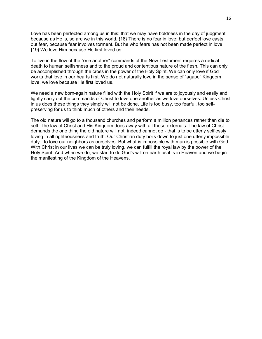Love has been perfected among us in this: that we may have boldness in the day of judgment; because as He is, so are we in this world. {18} There is no fear in love; but perfect love casts out fear, because fear involves torment. But he who fears has not been made perfect in love. {19} We love Him because He first loved us.

To live in the flow of the "one another" commands of the New Testament requires a radical death to human selfishness and to the proud and contentious nature of the flesh. This can only be accomplished through the cross in the power of the Holy Spirit. We can only love if God works that love in our hearts first. We do not naturally love in the sense of "agape" Kingdom love, we love because He first loved us.

We need a new born-again nature filled with the Holy Spirit if we are to joyously and easily and lightly carry out the commands of Christ to love one another as we love ourselves. Unless Christ in us does these things they simply will not be done. Life is too busy, too fearful, too selfpreserving for us to think much of others and their needs.

The old nature will go to a thousand churches and perform a million penances rather than die to self. The law of Christ and His Kingdom does away with all these externals. The law of Christ demands the one thing the old nature will not, indeed cannot do - that is to be utterly selflessly loving in all righteousness and truth. Our Christian duty boils down to just one utterly impossible duty - to love our neighbors as ourselves. But what is impossible with man is possible with God. With Christ in our lives we can be truly loving, we can fulfill the royal law by the power of the Holy Spirit. And when we do, we start to do God's will on earth as it is in Heaven and we begin the manifesting of the Kingdom of the Heavens.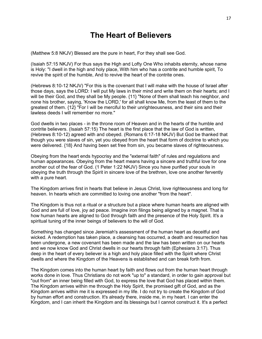## **The Heart of Believers**

(Matthew 5:8 NKJV) Blessed are the pure in heart, For they shall see God.

(Isaiah 57:15 NKJV) For thus says the High and Lofty One Who inhabits eternity, whose name is Holy: "I dwell in the high and holy place, With him who has a contrite and humble spirit, To revive the spirit of the humble, And to revive the heart of the contrite ones.

(Hebrews 8:10-12 NKJV) "For this is the covenant that I will make with the house of Israel after those days, says the LORD: I will put My laws in their mind and write them on their hearts; and I will be their God, and they shall be My people. {11} "None of them shall teach his neighbor, and none his brother, saying, 'Know the LORD,' for all shall know Me, from the least of them to the greatest of them. {12} "For I will be merciful to their unrighteousness, and their sins and their lawless deeds I will remember no more."

God dwells in two places - in the throne room of Heaven and in the hearts of the humble and contrite believers. (Isaiah 57:15) The heart is the first place that the law of God is written, (Hebrews 8:10-12) agreed with and obeyed. (Romans 6:17-18 NKJV) But God be thanked that though you were slaves of sin, yet you obeyed from the heart that form of doctrine to which you were delivered. {18} And having been set free from sin, you became slaves of righteousness.

Obeying from the heart ends hypocrisy and the "external faith" of rules and regulations and human appearances. Obeying from the heart means having a sincere and truthful love for one another out of the fear of God. (1 Peter 1:22 NKJV) Since you have purified your souls in obeying the truth through the Spirit in sincere love of the brethren, love one another fervently with a pure heart.

The Kingdom arrives first in hearts that believe in Jesus Christ, love righteousness and long for heaven. In hearts which are committed to loving one another "from the heart".

The Kingdom is thus not a ritual or a structure but a place where human hearts are aligned with God and are full of love, joy ad peace. Imagine iron filings being aligned by a magnet. That is how human hearts are aligned to God through faith and the presence of the Holy Spirit. It's a spiritual tuning of the inner beings of believers to the will of God.

Something has changed since Jeremiah's assessment of the human heart as deceitful and wicked. A redemption has taken place, a cleansing has occurred, a death and resurrection has been undergone, a new covenant has been made and the law has been written on our hearts and we now know God and Christ dwells in our hearts through faith (Ephesians 3:17). Thus deep in the heart of every believer is a high and holy place filled with the Spirit where Christ dwells and where the Kingdom of the Heavens is established and can break forth from.

The Kingdom comes into the human heart by faith and flows out from the human heart through works done in love. Thus Christians do not work "up to" a standard, in order to gain approval but "out from" an inner being filled with God, to express the love that God has placed within them. The Kingdom arrives within me through the Holy Spirit, the promised gift of God, and as the Kingdom arrives within me it is expressed in my life. I do not try to create the Kingdom of God by human effort and construction. It's already there, inside me, in my heart. I can enter the Kingdom, and I can inherit the Kingdom and its blessings but I cannot construct it. It's a perfect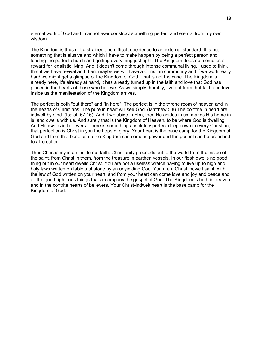eternal work of God and I cannot ever construct something perfect and eternal from my own wisdom.

The Kingdom is thus not a strained and difficult obedience to an external standard. It is not something that is elusive and which I have to make happen by being a perfect person and leading the perfect church and getting everything just right. The Kingdom does not come as a reward for legalistic living. And it doesn't come through intense communal living. I used to think that if we have revival and then, maybe we will have a Christian community and if we work really hard we might get a glimpse of the Kingdom of God. That is not the case. The Kingdom is already here, it's already at hand, it has already turned up in the faith and love that God has placed in the hearts of those who believe. As we simply, humbly, live out from that faith and love inside us the manifestation of the Kingdom arrives.

The perfect is both "out there" and "in here". The perfect is in the throne room of heaven and in the hearts of Christians. The pure in heart will see God. (Matthew 5:8) The contrite in heart are indwelt by God. (Isaiah 57:15). And if we abide in Him, then He abides in us, makes His home in is, and dwells with us. And surely that is the Kingdom of Heaven, to be where God is dwelling. And He dwells in believers. There is something absolutely perfect deep down in every Christian, that perfection is Christ in you the hope of glory. Your heart is the base camp for the Kingdom of God and from that base camp the Kingdom can come in power and the gospel can be preached to all creation.

Thus Christianity is an inside out faith. Christianity proceeds out to the world from the inside of the saint, from Christ in them, from the treasure in earthen vessels. In our flesh dwells no good thing but in our heart dwells Christ. You are not a useless wretch having to live up to high and holy laws written on tablets of stone by an unyielding God. You are a Christ indwelt saint, with the law of God written on your heart, and from your heart can come love and joy and peace and all the good righteous things that accompany the gospel of God. The Kingdom is both in heaven and in the contrite hearts of believers. Your Christ-indwelt heart is the base camp for the Kingdom of God.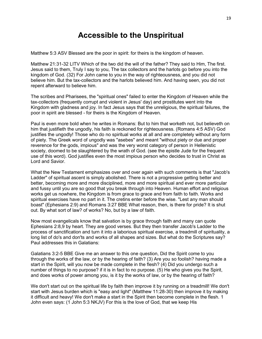## **Accessible to the Unspiritual**

Matthew 5:3 ASV Blessed are the poor in spirit: for theirs is the kingdom of heaven.

Matthew 21:31-32 LITV Which of the two did the will of the father? They said to Him, The first. Jesus said to them, Truly I say to you, The tax collectors and the harlots go before you into the kingdom of God. (32) For John came to you in the way of righteousness, and you did not believe him. But the tax-collectors and the harlots believed him. And having seen, you did not repent afterward to believe him.

The scribes and Pharisees, the "spiritual ones" failed to enter the Kingdom of Heaven while the tax-collectors (frequently corrupt and violent in Jesus' day) and prostitutes went into the Kingdom with gladness and joy. In fact Jesus says that the unreligious, the spiritual failures, the poor in spirit are blessed - for theirs is the Kingdom of Heaven.

Paul is even more bold when he writes in Romans: But to him that worketh not, but believeth on him that justifieth the ungodly, his faith is reckoned for righteousness. (Romans 4:5 ASV) God justifies the ungodly! Those who do no spiritual works at all and are completely without any form of piety. The Greek word of ungodly was "asebes" and meant "without piety or due and proper reverence for the gods, impious" and was the very worst category of person in Hellenistic society, doomed to be slaughtered by the wrath of God. (see the epistle Jude for the frequent use of this word). God justifies even the most impious person who decides to trust in Christ as Lord and Savior.

What the New Testament emphasizes over and over again with such comments is that "Jacob's Ladder" of spiritual ascent is simply abolished. There is not a progressive getting better and better, becoming more and more disciplined, more and more spiritual and ever more particular and fussy until you are so good that you break through into Heaven. Human effort and religious works get us nowhere, the Kingdom is from grace to grace and from faith to faith. Works and spiritual exercises have no part in it. The cretins enter before the wise. "Lest any man should boast" (Ephesians 2:9) and Romans 3:27 BBE What reason, then, is there for pride? It is shut out. By what sort of law? of works? No, but by a law of faith.

Now most evangelicals know that salvation is by grace through faith and many can quote Ephesians 2:8,9 by heart. They are good verses. But they then transfer Jacob's Ladder to the process of sanctification and turn it into a laborious spiritual exercise, a treadmill of spirituality, a long list of do's and don'ts and works of all shapes and sizes. But what do the Scriptures say? Paul addresses this in Galatians:

Galatians 3:2-5 BBE Give me an answer to this one question, Did the Spirit come to you through the works of the law, or by the hearing of faith? (3) Are you so foolish? having made a start in the Spirit, will you now be made complete in the flesh? (4) Did you undergo such a number of things to no purpose? if it is in fact to no purpose. (5) He who gives you the Spirit, and does works of power among you, is it by the works of law, or by the hearing of faith?

We don't start out on the spiritual life by faith then improve it by running on a treadmill! We don't start with Jesus burden which is "easy and light" (Matthew 11:28-30) then improve it by making it difficult and heavy! We don't make a start in the Spirit then become complete in the flesh. 1 John even says: (1 John 5:3 NKJV) For this is the love of God, that we keep His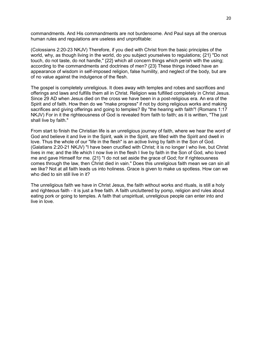commandments. And His commandments are not burdensome. And Paul says all the onerous human rules and regulations are useless and unprofitable:

(Colossians 2:20-23 NKJV) Therefore, if you died with Christ from the basic principles of the world, why, as though living in the world, do you subject yourselves to regulations; {21} "Do not touch, do not taste, do not handle," {22} which all concern things which perish with the using; according to the commandments and doctrines of men? {23} These things indeed have an appearance of wisdom in self-imposed religion, false humility, and neglect of the body, but are of no value against the indulgence of the flesh.

The gospel is completely unreligious. It does away with temples and robes and sacrifices and offerings and laws and fulfills them all in Christ. Religion was fulfilled completely in Christ Jesus. Since 29 AD when Jesus died on the cross we have been in a post-religious era. An era of the Spirit and of faith. How then do we "make progress" if not by doing religious works and making sacrifices and giving offerings and going to temples? By "the hearing with faith"! (Romans 1:17 NKJV) For in it the righteousness of God is revealed from faith to faith; as it is written, "The just shall live by faith."

From start to finish the Christian life is an unreligious journey of faith, where we hear the word of God and believe it and live in the Spirit, walk in the Spirit, are filled with the Spirit and dwell in love. Thus the whole of our "life in the flesh" is an active living by faith in the Son of God. (Galatians 2:20-21 NKJV) "I have been crucified with Christ; it is no longer I who live, but Christ lives in me; and the life which I now live in the flesh I live by faith in the Son of God, who loved me and gave Himself for me. {21} "I do not set aside the grace of God; for if righteousness comes through the law, then Christ died in vain." Does this unreligious faith mean we can sin all we like? Not at all faith leads us into holiness. Grace is given to make us spotless. How can we who died to sin still live in it?

The unreligious faith we have in Christ Jesus, the faith without works and rituals, is still a holy and righteous faith - it is just a free faith. A faith uncluttered by pomp, religion and rules about eating pork or going to temples. A faith that unspiritual, unreligious people can enter into and live in love.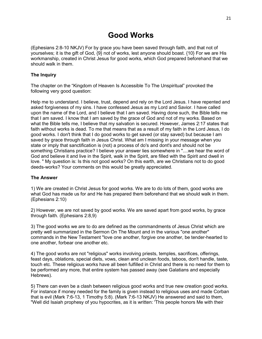# **Good Works**

(Ephesians 2:8-10 NKJV) For by grace you have been saved through faith, and that not of yourselves; it is the gift of God, {9} not of works, lest anyone should boast. {10} For we are His workmanship, created in Christ Jesus for good works, which God prepared beforehand that we should walk in them.

## **The Inquiry**

The chapter on the "Kingdom of Heaven Is Accessible To The Unspiritual" provoked the following very good question:

Help me to understand. I believe, trust, depend and rely on the Lord Jesus. I have repented and asked forgiveness of my sins. I have confessed Jesus as my Lord and Savior. I have called upon the name of the Lord, and I believe that I am saved. Having done such, the Bible tells me that I am saved. I know that I am saved by the grace of God and not of my works. Based on what the Bible tells me, I believe that my salvation is secured. However, James 2:17 states that faith without works is dead. To me that means that as a result of my faith in the Lord Jesus, I do good works. I don't think that I do good works to get saved (or stay saved) but because I am saved by grace through faith in Jesus Christ. What am I missing in your message when you state or imply that sanctification is (not) a process of do's and dont's and should not be something Christians practice? I believe your answer lies somewhere in "....we hear the word of God and believe it and live in the Spirit, walk in the Spirit, are filled with the Spirit and dwell in love. " My question is: Is this not good works? On this earth, are we Christians not to do good deeds-works? Your comments on this would be greatly appreciated.

## **The Answer**

1) We are created in Christ Jesus for good works. We are to do lots of them, good works are what God has made us for and He has prepared them beforehand that we should walk in them. (Ephesians 2:10)

2) However, we are not saved by good works. We are saved apart from good works, by grace through faith. (Ephesians 2:8,9)

3) The good works we are to do are defined as the commandments of Jesus Christ which are pretty well summarized in the Sermon On The Mount and in the various "one another" commands in the New Testament "love one another, forgive one another, be tender-hearted to one another, forbear one another etc.

4) The good works are not "religious" works involving priests, temples, sacrifices, offerings, feast days, oblations, special diets, vows, clean and unclean foods, taboos, don't handle, taste, touch etc. These religious works have all been fulfilled in Christ and there is no need for them to be performed any more, that entire system has passed away (see Galatians and especially Hebrews).

5) There can even be a clash between religious good works and true new creation good works. For instance if money needed for the family is given instead to religious uses and made Corban that is evil (Mark 7:6-13, 1 Timothy 5:8). (Mark 7:6-13 NKJV) He answered and said to them, "Well did Isaiah prophesy of you hypocrites, as it is written: 'This people honors Me with their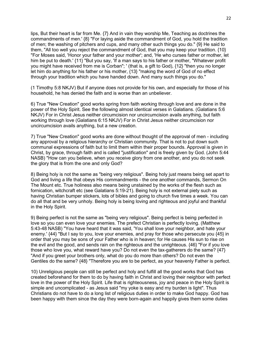lips, But their heart is far from Me. {7} And in vain they worship Me, Teaching as doctrines the commandments of men.' {8} "For laying aside the commandment of God, you hold the tradition of men; the washing of pitchers and cups, and many other such things you do." {9} He said to them, "All too well you reject the commandment of God, that you may keep your tradition. {10} "For Moses said, 'Honor your father and your mother'; and, 'He who curses father or mother, let him be put to death.' {11} "But you say, 'If a man says to his father or mother, "Whatever profit you might have received from me is Corban"; ' (that is, a gift to God), {12} "then you no longer let him do anything for his father or his mother, {13} "making the word of God of no effect through your tradition which you have handed down. And many such things you do."

(1 Timothy 5:8 NKJV) But if anyone does not provide for his own, and especially for those of his household, he has denied the faith and is worse than an unbeliever.

6) True "New Creation" good works spring from faith working through love and are done in the power of the Holy Spirit. See the following almost identical verses in Galatians. (Galatians 5:6 NKJV) For in Christ Jesus neither circumcision nor uncircumcision avails anything, but faith working through love (Galatians 6:15 NKJV) For in Christ Jesus neither circumcision nor uncircumcision avails anything, but a new creation.

7) True "New Creation" good works are done without thought of the approval of men - including any approval by a religious hierarchy or Christian community. That is not to put down such communal expressions of faith but to limit them within their proper bounds. Approval is given in Christ, by grace, through faith and is called "justification" and is freely given by God. (John 5:44 NASB) "How can you believe, when you receive glory from one another, and you do not seek the glory that is from the one and only God?

8) Being holy is not the same as "being very religious". Being holy just means being set apart to God and living a life that obeys His commandments - the one another commands, Sermon On The Mount etc. True holiness also means being unstained by the works of the flesh such as fornication, witchcraft etc (see Galatians 5:19-21). Being holy is not external piety such as having Christian bumper stickers, lots of bibles and going to church five times a week. You can do all that and be very unholy. Being holy is being loving and righteous and joyful and thankful in the Holy Spirit.

9) Being perfect is not the same as "being very religious". Being perfect is being perfected in love so you can even love your enemies. The prefect Christian is perfectly loving. (Matthew 5:43-48 NASB) "You have heard that it was said, 'You shall love your neighbor, and hate your enemy.' {44} "But I say to you, love your enemies, and pray for those who persecute you {45} in order that you may be sons of your Father who is in heaven; for He causes His sun to rise on the evil and the good, and sends rain on the righteous and the unrighteous. {46} "For if you love those who love you, what reward have you? Do not even the tax-gatherers do the same? {47} "And if you greet your brothers only, what do you do more than others? Do not even the Gentiles do the same? {48} "Therefore you are to be perfect, as your heavenly Father is perfect.

10) Unreligious people can still be perfect and holy and fulfill all the good works that God has created beforehand for them to do by having faith in Christ and loving their neighbor with perfect love in the power of the Holy Spirit. Life that is righteousness, joy and peace in the Holy Spirit is simple and uncomplicated - as Jesus said "my yoke is easy and my burden is light". Thus Christians do not have to do a long list of religious duties in order to make God happy. God has been happy with them since the day they were born-again and happily gives them some duties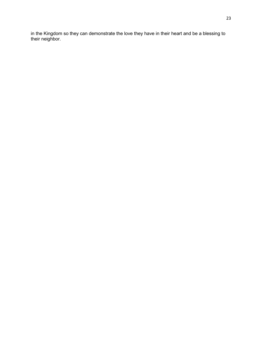in the Kingdom so they can demonstrate the love they have in their heart and be a blessing to their neighbor.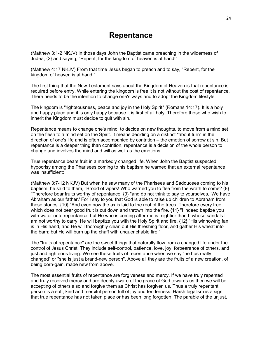## **Repentance**

(Matthew 3:1-2 NKJV) In those days John the Baptist came preaching in the wilderness of Judea, {2} and saying, "Repent, for the kingdom of heaven is at hand!"

(Matthew 4:17 NKJV) From that time Jesus began to preach and to say, "Repent, for the kingdom of heaven is at hand."

The first thing that the New Testament says about the Kingdom of Heaven is that repentance is required before entry. While entering the kingdom is free it is not without the cost of repentance. There needs to be the intention to change one's ways and to adopt the Kingdom lifestyle.

The kingdom is "righteousness, peace and joy in the Holy Spirit" (Romans 14:17). It is a holy and happy place and it is only happy because it is first of all holy. Therefore those who wish to inherit the Kingdom must decide to quit with sin.

Repentance means to change one's mind, to decide on new thoughts, to move from a mind set on the flesh to a mind set on the Spirit. It means deciding on a distinct "about turn" in the direction of one's life and is often accompanied by contrition – the emotion of sorrow at sin. But repentance is a deeper thing than contrition, repentance is a decision of the whole person to change and involves the mind and will as well as the emotions.

True repentance bears fruit in a markedly changed life. When John the Baptist suspected hypocrisy among the Pharisees coming to his baptism he warned that an external repentance was insufficient:

(Matthew 3:7-12 NKJV) But when he saw many of the Pharisees and Sadducees coming to his baptism, he said to them, "Brood of vipers! Who warned you to flee from the wrath to come? {8} "Therefore bear fruits worthy of repentance, {9} "and do not think to say to yourselves, 'We have Abraham as our father.' For I say to you that God is able to raise up children to Abraham from these stones. {10} "And even now the ax is laid to the root of the trees. Therefore every tree which does not bear good fruit is cut down and thrown into the fire. {11} "I indeed baptize you with water unto repentance, but He who is coming after me is mightier than I, whose sandals I am not worthy to carry. He will baptize you with the Holy Spirit and fire. {12} "His winnowing fan is in His hand, and He will thoroughly clean out His threshing floor, and gather His wheat into the barn; but He will burn up the chaff with unquenchable fire."

The "fruits of repentance" are the sweet things that naturally flow from a changed life under the control of Jesus Christ. They include self-control, patience, love, joy, forbearance of others, and just and righteous living. We see these fruits of repentance when we say "he has really changed" or "she is just a brand-new person". Above all they are the fruits of a new creation, of being born-gain, made new from above.

The most essential fruits of repentance are forgiveness and mercy. If we have truly repented and truly received mercy and are deeply aware of the grace of God towards us then we will be accepting of others also and forgive them as Christ has forgiven us. Thus a truly repentant person is a soft, kind and merciful person full of joy and tenderness. Harsh legalism is a sign that true repentance has not taken place or has been long forgotten. The parable of the unjust,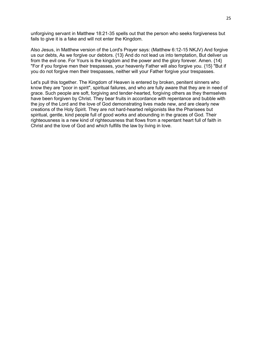unforgiving servant in Matthew 18:21-35 spells out that the person who seeks forgiveness but fails to give it is a fake and will not enter the Kingdom.

Also Jesus, in Matthew version of the Lord's Prayer says: (Matthew 6:12-15 NKJV) And forgive us our debts, As we forgive our debtors. {13} And do not lead us into temptation, But deliver us from the evil one. For Yours is the kingdom and the power and the glory forever. Amen. {14} "For if you forgive men their trespasses, your heavenly Father will also forgive you. {15} "But if you do not forgive men their trespasses, neither will your Father forgive your trespasses.

Let's pull this together. The Kingdom of Heaven is entered by broken, penitent sinners who know they are "poor in spirit", spiritual failures, and who are fully aware that they are in need of grace. Such people are soft, forgiving and tender-hearted, forgiving others as they themselves have been forgiven by Christ. They bear fruits in accordance with repentance and bubble with the joy of the Lord and the love of God demonstrating lives made new, and are clearly new creations of the Holy Spirit. They are not hard-hearted religionists like the Pharisees but spiritual, gentle, kind people full of good works and abounding in the graces of God. Their righteousness is a new kind of righteousness that flows from a repentant heart full of faith in Christ and the love of God and which fulfills the law by living in love.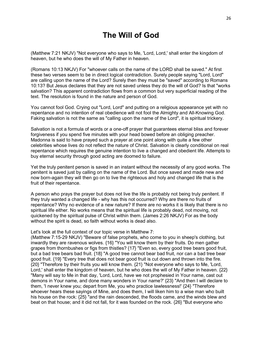# **The Will of God**

(Matthew 7:21 NKJV) "Not everyone who says to Me, 'Lord, Lord,' shall enter the kingdom of heaven, but he who does the will of My Father in heaven.

(Romans 10:13 NKJV) For "whoever calls on the name of the LORD shall be saved." At first these two verses seem to be in direct logical contradiction. Surely people saying "Lord, Lord" are calling upon the name of the Lord? Surely then they must be "saved" according to Romans 10:13? But Jesus declares that they are not saved unless they do the will of God? Is that "works salvation? This apparent contradiction flows from a common but very superficial reading of the text. The resolution is found in the nature and person of God.

You cannot fool God. Crying out "Lord, Lord" and putting on a religious appearance yet with no repentance and no intention of real obedience will not fool the Almighty and All-Knowing God. Faking salvation is not the same as "calling upon the name of the Lord", it is spiritual trickery.

Salvation is not a formula of words or a one-off prayer that guarantees eternal bliss and forever forgiveness if you spend five minutes with your head bowed before an obliging preacher. Madonna is said to have prayed such a prayer at one point along with quite a few other celebrities whose lives do not reflect the nature of Christ. Salvation is clearly conditional on real repentance which requires the genuine intention to live a changed and obedient life. Attempts to buy eternal security through good acting are doomed to failure.

Yet the truly penitent person is saved in an instant without the necessity of any good works. The penitent is saved just by calling on the name of the Lord. But once saved and made new and now born-again they will then go on to live the righteous and holy and changed life that is the fruit of their repentance.

A person who prays the prayer but does not live the life is probably not being truly penitent. If they truly wanted a changed life - why has this not occurred? Why are there no fruits of repentance? Why no evidence of a new nature? If there are no works it is likely that there is no spiritual life either. No works means that the spiritual life is probably dead, not moving, not quickened by the spiritual pulse of Christ within them. (James 2:26 NKJV) For as the body without the spirit is dead, so faith without works is dead also.

#### Let's look at the full context of our topic verse in Matthew 7:

(Matthew 7:15-29 NKJV) "Beware of false prophets, who come to you in sheep's clothing, but inwardly they are ravenous wolves. {16} "You will know them by their fruits. Do men gather grapes from thornbushes or figs from thistles? {17} "Even so, every good tree bears good fruit, but a bad tree bears bad fruit. {18} "A good tree cannot bear bad fruit, nor can a bad tree bear good fruit. {19} "Every tree that does not bear good fruit is cut down and thrown into the fire. {20} "Therefore by their fruits you will know them. {21} "Not everyone who says to Me, 'Lord, Lord,' shall enter the kingdom of heaven, but he who does the will of My Father in heaven. {22} "Many will say to Me in that day, 'Lord, Lord, have we not prophesied in Your name, cast out demons in Your name, and done many wonders in Your name?' {23} "And then I will declare to them, 'I never knew you; depart from Me, you who practice lawlessness!' {24} "Therefore whoever hears these sayings of Mine, and does them, I will liken him to a wise man who built his house on the rock: {25} "and the rain descended, the floods came, and the winds blew and beat on that house; and it did not fall, for it was founded on the rock. {26} "But everyone who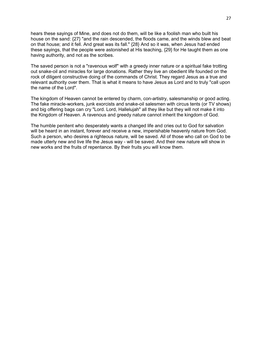hears these sayings of Mine, and does not do them, will be like a foolish man who built his house on the sand: {27} "and the rain descended, the floods came, and the winds blew and beat on that house; and it fell. And great was its fall." {28} And so it was, when Jesus had ended these sayings, that the people were astonished at His teaching, {29} for He taught them as one having authority, and not as the scribes.

The saved person is not a "ravenous wolf" with a greedy inner nature or a spiritual fake trotting out snake-oil and miracles for large donations. Rather they live an obedient life founded on the rock of diligent constructive doing of the commands of Christ. They regard Jesus as a true and relevant authority over them. That is what it means to have Jesus as Lord and to truly "call upon the name of the Lord".

The kingdom of Heaven cannot be entered by charm, con-artistry, salesmanship or good acting. The fake miracle-workers, junk exorcists and snake-oil salesmen with circus tents (or TV shows) and big offering bags can cry "Lord. Lord, Hallelujah" all they like but they will not make it into the Kingdom of Heaven. A ravenous and greedy nature cannot inherit the kingdom of God.

The humble penitent who desperately wants a changed life and cries out to God for salvation will be heard in an instant, forever and receive a new, imperishable heavenly nature from God. Such a person, who desires a righteous nature, will be saved. All of those who call on God to be made utterly new and live life the Jesus way - will be saved. And their new nature will show in new works and the fruits of repentance. By their fruits you will know them.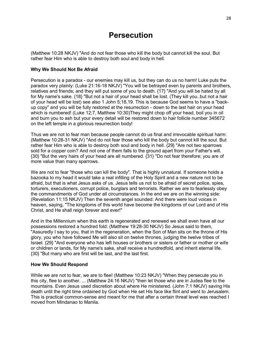## **Persecution**

(Matthew 10:28 NKJV) "And do not fear those who kill the body but cannot kill the soul. But rather fear Him who is able to destroy both soul and body in hell.

### **Why We Should Not Be Afraid**

Persecution is a paradox - our enemies may kill us, but they can do us no harm! Luke puts the paradox very plainly: (Luke 21:16-18 NKJV) "You will be betrayed even by parents and brothers, relatives and friends; and they will put some of you to death. {17} "And you will be hated by all for My name's sake. {18} "But not a hair of your head shall be lost. (They kill you..but not a hair of your head will be lost) see also 1 John 5;18,19. This is because God seems to have a "backup copy" and you will be fully restored at the resurrection - down to the last hair on your head which is numbered! (Luke 12:7, Matthew 10:30)They might chop off your head, boil you in oil and burn you to ash but your every detail will be restored down to hair follicle number 345672 on the left temple in a glorious resurrection body!

Thus we are not to fear man because people cannot do us final and irrevocable spiritual harm: (Matthew 10:28-31 NKJV) "And do not fear those who kill the body but cannot kill the soul. But rather fear Him who is able to destroy both soul and body in hell. {29} "Are not two sparrows sold for a copper coin? And not one of them falls to the ground apart from your Father's will. {30} "But the very hairs of your head are all numbered. {31} "Do not fear therefore; you are of more value than many sparrows.

We are not to fear "those who can kill the body". That is highly unnatural. If someone holds a bazooka to my head it would take a real infilling of the Holy Spirit and a new nature not to be afraid, but that is what Jesus asks of us. Jesus tells us not to be afraid of secret police, spies, torturers, executioners, corrupt police, burglars and terrorists. Rather we are to fearlessly obey the commandments of God under all circumstances. In the end we are on the winning side: (Revelation 11:15 NKJV) Then the seventh angel sounded: And there were loud voices in heaven, saying, "The kingdoms of this world have become the kingdoms of our Lord and of His Christ, and He shall reign forever and ever!"

And in the Millennium when this earth is regenerated and renewed we shall even have all our possessions restored a hundred fold: (Matthew 19:28-30 NKJV) So Jesus said to them, "Assuredly I say to you, that in the regeneration, when the Son of Man sits on the throne of His glory, you who have followed Me will also sit on twelve thrones, judging the twelve tribes of Israel. {29} "And everyone who has left houses or brothers or sisters or father or mother or wife or children or lands, for My name's sake, shall receive a hundredfold, and inherit eternal life. {30} "But many who are first will be last, and the last first.

#### **How We Should Respond**

While we are not to fear, we are to flee! (Matthew 10:23 NKJV) "When they persecute you in this city, flee to another. ... (Matthew 24:16 NKJV) "then let those who are in Judea flee to the mountains. Even Jesus used discretion about where He ministered. (John 7:1 NKJV) saving His death until the right time ordained by God when He set His face like flint and went to Jerusalem. This is practical common-sense and meant for me that after a certain threat level was reached I moved from Mindanao to Manila.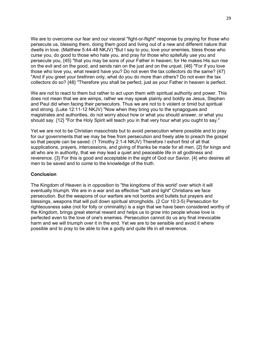We are to overcome our fear and our visceral "fight-or-flight" response by praying for those who persecute us, blessing them, doing them good and living out of a new and different nature that dwells in love. (Matthew 5:44-48 NKJV) "But I say to you, love your enemies, bless those who curse you, do good to those who hate you, and pray for those who spitefully use you and persecute you, {45} "that you may be sons of your Father in heaven; for He makes His sun rise on the evil and on the good, and sends rain on the just and on the unjust. {46} "For if you love those who love you, what reward have you? Do not even the tax collectors do the same? {47} "And if you greet your brethren only, what do you do more than others? Do not even the tax collectors do so? {48} "Therefore you shall be perfect, just as your Father in heaven is perfect.

We are not to react to them but rather to act upon them with spiritual authority and power. This does not mean that we are wimps, rather we may speak plainly and boldly as Jesus, Stephen and Paul did when facing their persecutors. Thus we are not to b violent or timid but spiritual and strong. (Luke 12:11-12 NKJV) "Now when they bring you to the synagogues and magistrates and authorities, do not worry about how or what you should answer, or what you should say. {12} "For the Holy Spirit will teach you in that very hour what you ought to say."

Yet we are not to be Christian masochists but to avoid persecution where possible and to pray for our governments that we may be free from persecution and freely able to preach the gospel so that people can be saved: (1 Timothy 2:1-4 NKJV) Therefore I exhort first of all that supplications, prayers, intercessions, and giving of thanks be made for all men, {2} for kings and all who are in authority, that we may lead a quiet and peaceable life in all godliness and reverence. {3} For this is good and acceptable in the sight of God our Savior, {4} who desires all men to be saved and to come to the knowledge of the truth.

#### **Conclusion**

The Kingdom of Heaven is in opposition to "the kingdoms of this world' over which it will eventually triumph. We are in a war and as effective '"salt and light" Christians we face persecution. But the weapons of our warfare are not bombs and bullets but prayers and blessings, weapons that will pull down spiritual strongholds. (2 Cor 10:3-5) Persecution for righteousness sake (not for folly or criminality) is a sign that we have been considered worthy of the Kingdom, brings great eternal reward and helps us to grow into people whose love is perfected even to the love of one's enemies. Persecution cannot do us any final irrevocable harm and we will triumph over it in the end. Yet we are to be sensible and avoid it where possible and to pray to be able to live a godly and quite life in all reverence.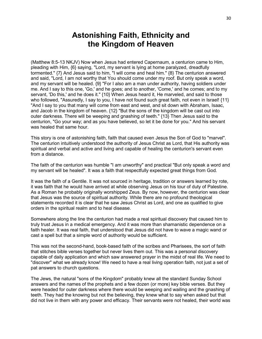# **Astonishing Faith, Ethnicity and the Kingdom of Heaven**

(Matthew 8:5-13 NKJV) Now when Jesus had entered Capernaum, a centurion came to Him, pleading with Him, {6} saying, "Lord, my servant is lying at home paralyzed, dreadfully tormented." {7} And Jesus said to him, "I will come and heal him." {8} The centurion answered and said, "Lord, I am not worthy that You should come under my roof. But only speak a word, and my servant will be healed. {9} "For I also am a man under authority, having soldiers under me. And I say to this one, 'Go,' and he goes; and to another, 'Come,' and he comes; and to my servant, 'Do this,' and he does it." {10} When Jesus heard it, He marveled, and said to those who followed, "Assuredly, I say to you, I have not found such great faith, not even in Israel! {11} "And I say to you that many will come from east and west, and sit down with Abraham, Isaac, and Jacob in the kingdom of heaven. {12} "But the sons of the kingdom will be cast out into outer darkness. There will be weeping and gnashing of teeth." {13} Then Jesus said to the centurion, "Go your way; and as you have believed, so let it be done for you." And his servant was healed that same hour.

This story is one of astonishing faith, faith that caused even Jesus the Son of God to "marvel". The centurion intuitively understood the authority of Jesus Christ as Lord, that His authority was spiritual and verbal and active and living and capable of healing the centurion's servant even from a distance.

The faith of the centurion was humble "I am unworthy" and practical "But only speak a word and my servant will be healed". It was a faith that respectfully expected great things from God.

It was the faith of a Gentile. It was not sourced in heritage, tradition or answers learned by rote, it was faith that he would have arrived at while observing Jesus on his tour of duty of Palestine. As a Roman he probably originally worshipped Zeus. By now, however, the centurion was clear that Jesus was the source of spiritual authority. While there are no profound theological statements recorded it is clear that he saw Jesus Christ as Lord, and one as qualified to give orders in the spiritual realm and to heal disease.

Somewhere along the line the centurion had made a real spiritual discovery that caused him to truly trust Jesus in a medical emergency. And it was more than shamanistic dependence on a faith healer. It was real faith, that understood that Jesus did not have to wave a magic wand or cast a spell but that a simple word of authority would be sufficient.

This was not the second-hand, book-based faith of the scribes and Pharisees, the sort of faith that stitches bible verses together but never lives them out. This was a personal discovery capable of daily application and which saw answered prayer in the midst of real life. We need to "discover" what we already know! We need to have a real living operation faith, not just a set of pat answers to church questions.

The Jews, the natural "sons of the Kingdom" probably knew all the standard Sunday School answers and the names of the prophets and a few dozen (or more) key bible verses. But they were headed for outer darkness where there would be weeping and wailing and the gnashing of teeth. They had the knowing but not the believing, they knew what to say when asked but that did not live in them with any power and efficacy. Their servants were not healed, their world was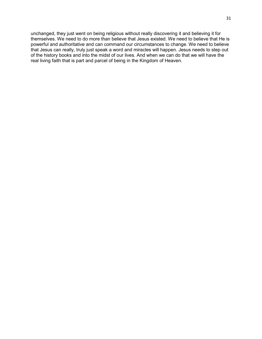unchanged, they just went on being religious without really discovering it and believing it for themselves. We need to do more than believe that Jesus existed. We need to believe that He is powerful and authoritative and can command our circumstances to change. We need to believe that Jesus can really, truly just speak a word and miracles will happen. Jesus needs to step out of the history books and into the midst of our lives. And when we can do that we will have the real living faith that is part and parcel of being in the Kingdom of Heaven.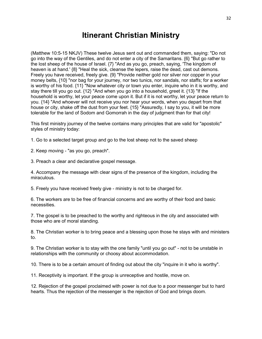## **Itinerant Christian Ministry**

(Matthew 10:5-15 NKJV) These twelve Jesus sent out and commanded them, saying: "Do not go into the way of the Gentiles, and do not enter a city of the Samaritans. {6} "But go rather to the lost sheep of the house of Israel. {7} "And as you go, preach, saying, 'The kingdom of heaven is at hand.' {8} "Heal the sick, cleanse the lepers, raise the dead, cast out demons. Freely you have received, freely give. {9} "Provide neither gold nor silver nor copper in your money belts, {10} "nor bag for your journey, nor two tunics, nor sandals, nor staffs; for a worker is worthy of his food. {11} "Now whatever city or town you enter, inquire who in it is worthy, and stay there till you go out. {12} "And when you go into a household, greet it. {13} "If the household is worthy, let your peace come upon it. But if it is not worthy, let your peace return to you. {14} "And whoever will not receive you nor hear your words, when you depart from that house or city, shake off the dust from your feet. {15} "Assuredly, I say to you, it will be more tolerable for the land of Sodom and Gomorrah in the day of judgment than for that city!

This first ministry journey of the twelve contains many principles that are valid for "apostolic" styles of ministry today:

1. Go to a selected target group and go to the lost sheep not to the saved sheep

2. Keep moving - "as you go, preach".

3. Preach a clear and declarative gospel message.

4. Accompany the message with clear signs of the presence of the kingdom, including the miraculous.

5. Freely you have received freely give - ministry is not to be charged for.

6. The workers are to be free of financial concerns and are worthy of their food and basic necessities.

7. The gospel is to be preached to the worthy and righteous in the city and associated with those who are of moral standing.

8. The Christian worker is to bring peace and a blessing upon those he stays with and ministers to.

9. The Christian worker is to stay with the one family "until you go out" - not to be unstable in relationships with the community or choosy about accommodation.

10. There is to be a certain amount of finding out about the city "inquire in it who is worthy".

11. Receptivity is important. If the group is unreceptive and hostile, move on.

12. Rejection of the gospel proclaimed with power is not due to a poor messenger but to hard hearts. Thus the rejection of the messenger is the rejection of God and brings doom.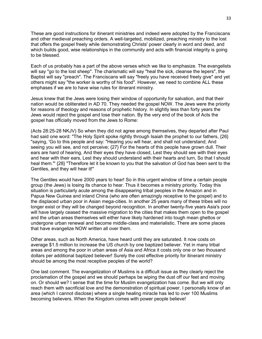These are good instructions for itinerant ministries and indeed were adopted by the Franciscans and other medieval preaching orders. A well-targeted, mobilized, preaching ministry to the lost that offers the gospel freely while demonstrating Christs' power clearly in word and deed, and which builds good, wise relationships in the community and acts with financial integrity is going to be blessed.

Each of us probably has a part of the above verses which we like to emphasize. The evangelists will say "go to the lost sheep". The charismatic will say "heal the sick, cleanse the lepers", the Baptist will say "preach". The Franciscans will say "freely you have received freely give" and yet others might say "the worker is worthy of his food". However, we need to combine ALL these emphases if we are to have wise rules for itinerant ministry.

Jesus knew that the Jews were losing their window of opportunity for salvation, and that their nation would be obliterated in AD 70. They needed the gospel NOW. The Jews were the priority for reasons of theology and reasons of prophetic history. In slightly less than forty years the Jews would reject the gospel and lose their nation. By the very end of the book of Acts the gospel has officially moved from the Jews to Rome:

(Acts 28:25-28 NKJV) So when they did not agree among themselves, they departed after Paul had said one word: "The Holy Spirit spoke rightly through Isaiah the prophet to our fathers,  $\{26\}$ "saying, 'Go to this people and say: "Hearing you will hear, and shall not understand; And seeing you will see, and not perceive; {27} For the hearts of this people have grown dull. Their ears are hard of hearing, And their eyes they have closed, Lest they should see with their eyes and hear with their ears, Lest they should understand with their hearts and turn, So that I should heal them."' {28} "Therefore let it be known to you that the salvation of God has been sent to the Gentiles, and they will hear it!"

The Gentiles would have 2000 years to hear! So in this urgent window of time a certain people group (the Jews) is losing its chance to hear. Thus it becomes a ministry priority. Today this situation is particularly acute among the disappearing tribal peoples in the Amazon and in Papua New Guinea and inland China (who are often amazingly receptive to the gospel) and to the displaced urban poor in Asian mega-cities. In another 25 years many of these tribes will no longer exist or they will be changed beyond recognition. In another twenty-five years Asia's poor will have largely ceased the massive migration to the cities that makes them open to the gospel and the urban areas themselves will either have likely hardened into tough mean ghettos or undergone urban renewal and become middle-class and materialistic. There are some places that have evangelize NOW written all over them.

Other areas, such as North America, have heard until they are saturated. It now costs on average \$1.5 million to increase the US church by one baptized believer. Yet in many tribal areas and among the poor in urban areas of Asia and Africa it costs only one or two thousand dollars per additional baptized believer! Surely the cost effective priority for itinerant ministry should be among the most receptive peoples of the world?

One last comment. The evangelization of Muslims is a difficult issue as they clearly reject the proclamation of the gospel and we should perhaps be wiping the dust off our feet and moving on. Or should we? I sense that the time for Muslim evangelization has come. But we will only reach them with sacrificial love and the demonstration of spiritual power. I personally know of an area (which I cannot disclose) where a single healing miracle has led to over 100 Muslims becoming believers. When the Kingdom comes with power people believe!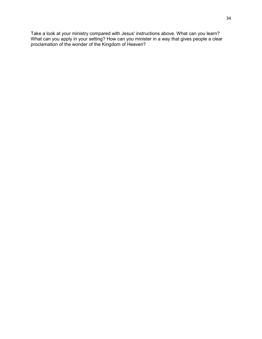Take a look at your ministry compared with Jesus' instructions above. What can you learn? What can you apply in your setting? How can you minister in a way that gives people a clear proclamation of the wonder of the Kingdom of Heaven?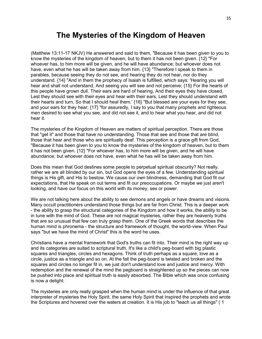## **The Mysteries of the Kingdom of Heaven**

(Matthew 13:11-17 NKJV) He answered and said to them, "Because it has been given to you to know the mysteries of the kingdom of heaven, but to them it has not been given. {12} "For whoever has, to him more will be given, and he will have abundance; but whoever does not have, even what he has will be taken away from him. {13} "Therefore I speak to them in parables, because seeing they do not see, and hearing they do not hear, nor do they understand. {14} "And in them the prophecy of Isaiah is fulfilled, which says: 'Hearing you will hear and shall not understand, And seeing you will see and not perceive; {15} For the hearts of this people have grown dull. Their ears are hard of hearing, And their eyes they have closed, Lest they should see with their eyes and hear with their ears, Lest they should understand with their hearts and turn, So that I should heal them.' {16} "But blessed are your eyes for they see, and your ears for they hear; {17} "for assuredly, I say to you that many prophets and righteous men desired to see what you see, and did not see it, and to hear what you hear, and did not hear it.

The mysteries of the Kingdom of Heaven are matters of spiritual perception. There are those that "get it" and those that have no understanding. Those that see and those that are blind, those that hear and those who are spiritually deaf. This perception is a grace gift from God. "Because it has been given to you to know the mysteries of the kingdom of heaven, but to them it has not been given. {12} "For whoever has, to him more will be given, and he will have abundance; but whoever does not have, even what he has will be taken away from him.

Does this mean that God destines some people to perpetual spiritual obscurity? Not really. rather we are all blinded by our sin, but God opens the eyes of a few. Understanding spiritual things is His gift, and His to bestow. We cause our own blindness, demanding that God fit our expectations, that He speak on out terms and fit our preoccupations. Or maybe we just aren't looking, and have our focus on this world with its money, sex or power.

We are not talking here about the ability to see demons and angels or have dreams and visions. Many occult practitioners understand those things but are far from Christ. This is a deeper work - the ability to grasp the structural categories of the Kingdom and how it works, the ability to be in tune with the mind of God. These are not magical mysteries, rather they are heavenly truths that are so unusual that few can truly grasp them. One of the Greek words that describes the human mind is phronema - the structure and framework of thought, the world-view. When Paul says "but we have the mind of Christ" this is the word he uses.

Christians have a mental framework that God's truths can fit into. Their mind is the right way up and its categories are suited to scriptural truth. It's like a child's peg-board with big plastic squares and triangles, circles and hexagons. Think of truth perhaps as a square, love as a circle, justice as a triangle and so on. At the fall the peg-board is twisted and broken and the squares and circles no longer fit in, we just don't understand love and justice and mercy. With redemption and the renewal of the mind the pegboard is straightened up so the pieces can now be pushed into place and spiritual truth is easily absorbed. The Bible which was once confusing is now a delight.

The mysteries are only really grasped when the human mind is under the influence of that great interpreter of mysteries the Holy Spirit, the same Holy Spirit that inspired the prophets and wrote the Scriptures and hovered over the waters at creation. It is His job to "teach us all things" ( 1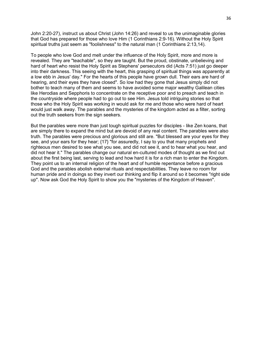John 2:20-27), instruct us about Christ (John 14:26) and reveal to us the unimaginable glories that God has prepared for those who love Him (1 Corinthians 2:9-16). Without the Holy Spirit spiritual truths just seem as "foolishness" to the natural man (1 Corinthians 2:13,14).

To people who love God and melt under the influence of the Holy Spirit, more and more is revealed. They are "teachable", so they are taught. But the proud, obstinate, unbelieving and hard of heart who resist the Holy Spirit as Stephens' persecutors did (Acts 7:51) just go deeper into their darkness. This seeing with the heart, this grasping of spiritual things was apparently at a low ebb in Jesus' day." For the hearts of this people have grown dull. Their ears are hard of hearing, and their eyes they have closed". So low had they gone that Jesus simply did not bother to teach many of them and seems to have avoided some major wealthy Galilean cities like Herodias and Sepphoris to concentrate on the receptive poor and to preach and teach in the countryside where people had to go out to see Him. Jesus told intriguing stories so that those who the Holy Spirit was working in would ask for me and those who were hard of heart would just walk away. The parables and the mysteries of the kingdom acted as a filter, sorting out the truth seekers from the sign seekers.

But the parables were more than just tough spiritual puzzles for disciples - like Zen koans, that are simply there to expand the mind but are devoid of any real content. The parables were also truth. The parables were precious and glorious and still are. "But blessed are your eyes for they see, and your ears for they hear; {17} "for assuredly, I say to you that many prophets and righteous men desired to see what you see, and did not see it, and to hear what you hear, and did not hear it." The parables change our natural en-cultured modes of thought as we find out about the first being last, serving to lead and how hard it is for a rich man to enter the Kingdom. They point us to an internal religion of the heart and of humble repentance before a gracious God and the parables abolish external rituals and respectabilities. They leave no room for human pride and in doings so they invert our thinking and flip it around so it becomes "right side up". Now ask God the Holy Spirit to show you the "mysteries of the Kingdom of Heaven".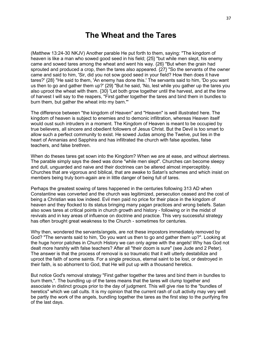### **The Wheat and the Tares**

(Matthew 13:24-30 NKJV) Another parable He put forth to them, saying: "The kingdom of heaven is like a man who sowed good seed in his field; {25} "but while men slept, his enemy came and sowed tares among the wheat and went his way. {26} "But when the grain had sprouted and produced a crop, then the tares also appeared. {27} "So the servants of the owner came and said to him, 'Sir, did you not sow good seed in your field? How then does it have tares?' {28} "He said to them, 'An enemy has done this.' The servants said to him, 'Do you want us then to go and gather them up?' {29} "But he said, 'No, lest while you gather up the tares you also uproot the wheat with them. {30} 'Let both grow together until the harvest, and at the time of harvest I will say to the reapers, "First gather together the tares and bind them in bundles to burn them, but gather the wheat into my barn."'

The difference between "the kingdom of Heaven" and "Heaven" is well illustrated here. The kingdom of heaven is subject to enemies and to demonic infiltration, whereas Heaven itself would oust such intruders in a moment. The Kingdom of Heaven is meant to be occupied by true believers, all sincere and obedient followers of Jesus Christ. But the Devil is too smart to allow such a perfect community to exist. He sowed Judas among the Twelve, put lies in the heart of Annanias and Sapphira and has infiltrated the church with false apostles, false teachers, and false brethren.

When do theses tares get sown into the Kingdom? When we are at ease, and without alertness. The parable simply says the deed was done "while men slept". Churches can become sleepy and dull, unguarded and naive and their doctrines can be altered almost imperceptibly. Churches that are vigorous and biblical, that are awake to Satan's schemes and which insist on members being truly born-again are in little danger of being full of tares.

Perhaps the greatest sowing of tares happened in the centuries following 313 AD when Constantine was converted and the church was legitimized, persecution ceased and the cost of being a Christian was low indeed. Evil men paid no price for their place in the kingdom of heaven and they flocked to its status bringing many pagan practices and wrong beliefs. Satan also sows tares at critical points in church growth and history - following or in the midst of revivals and in key areas of influence on doctrine and practice. This very successful strategy has often brought great weakness to the Church - sometimes for centuries.

Why then, wondered the servants/angels, are not these impostors immediately removed by God? "The servants said to him, 'Do you want us then to go and gather them up?". Looking at the huge horror patches in Church History we can only agree with the angels! Why has God not dealt more harshly with false teachers? After all "their doom is sure" (see Jude and 2 Peter). The answer is that the process of removal is so traumatic that it will utterly destabilize and uproot the faith of some saints. For a single precious, eternal saint to be lost, or destroyed in their faith, is so abhorrent to God, that He will put up with a thousand heretics.

But notice God's removal strategy "First gather together the tares and bind them in bundles to burn them,". The bundling up of the tares means that the tares will clump together and associate in distinct groups prior to the day of judgment. This will give rise to the "bundles of heretics" which we call cults. It is my opinion that the current rash of cult activity may very well be partly the work of the angels, bundling together the tares as the first step to the purifying fire of the last days.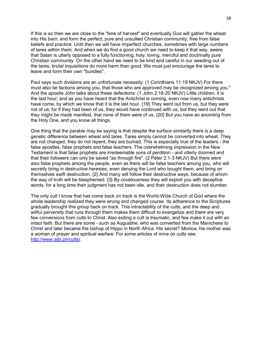If this is so then we are close to the "time of harvest" and eventually God will gather the wheat into His barn, and form the perfect, pure and unsullied Christian community, free from false beliefs and practice. Until then we will have imperfect churches, sometimes with large numbers of tares within them. And when we do find a good church we need to keep it that way, aware that Satan is utterly opposed to a fully functioning, holy, loving, merciful and doctrinally pure Christian community. On the other hand we need to be kind and careful in our weeding out of the tares, brutal Inquisitions do more harm than good. We must just encourage the tares to leave and form their own "bundles".

Paul says such divisions are an unfortunate necessity: (1 Corinthians 11:19 NKJV) For there must also be factions among you, that those who are approved may be recognized among you." And the apostle John talks about these defections: (1 John 2:18-20 NKJV) Little children, it is the last hour; and as you have heard that the Antichrist is coming, even now many antichrists have come, by which we know that it is the last hour. {19} They went out from us, but they were not of us; for if they had been of us, they would have continued with us; but they went out that they might be made manifest, that none of them were of us. {20} But you have an anointing from the Holy One, and you know all things.

One thing that the parable may be saying is that despite the surface similarity there is a deep genetic difference between wheat and tares. Tares simply cannot be converted into wheat. They are not changed, they do not repent, they are burned. This is especially true of the leaders - the false apostles, false prophets and false teachers. The overwhelming impression in the New Testament is that false prophets are irredeemable sons of perdition - and utterly doomed and that their followers can only be saved "as through fire". (2 Peter 2:1-3 NKJV) But there were also false prophets among the people, even as there will be false teachers among you, who will secretly bring in destructive heresies, even denying the Lord who bought them, and bring on themselves swift destruction. {2} And many will follow their destructive ways, because of whom the way of truth will be blasphemed. {3} By covetousness they will exploit you with deceptive words; for a long time their judgment has not been idle, and their destruction does not slumber.

The only cult I know that has come back on track is the World-Wide Church of God where the whole leadership realized they were wrong and changed course. Its adherence to the Scriptures gradually brought this group back on track. This intractability of the cults, and the deep and willful perversity that runs through them makes them difficult to evangelize and there are very few conversions from cults to Christ. Also exiting a cult is traumatic, and few make it out with an intact faith. But there are some - such as Augustine, who was converted from the Manichees to Christ and later became the bishop of Hippo in North Africa. His secret? Monica, his mother was a woman of prayer and spiritual warfare. For some articles of mine on cults see: [http://www.aibi.ph/cults/.](http://www.aibi.ph/cults/)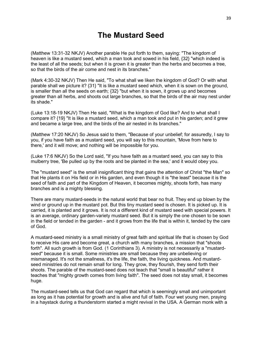# **The Mustard Seed**

(Matthew 13:31-32 NKJV) Another parable He put forth to them, saying: "The kingdom of heaven is like a mustard seed, which a man took and sowed in his field, {32} "which indeed is the least of all the seeds; but when it is grown it is greater than the herbs and becomes a tree, so that the birds of the air come and nest in its branches."

(Mark 4:30-32 NKJV) Then He said, "To what shall we liken the kingdom of God? Or with what parable shall we picture it? {31} "It is like a mustard seed which, when it is sown on the ground, is smaller than all the seeds on earth; {32} "but when it is sown, it grows up and becomes greater than all herbs, and shoots out large branches, so that the birds of the air may nest under its shade."

(Luke 13:18-19 NKJV) Then He said, "What is the kingdom of God like? And to what shall I compare it? {19} "It is like a mustard seed, which a man took and put in his garden; and it grew and became a large tree, and the birds of the air nested in its branches."

(Matthew 17:20 NKJV) So Jesus said to them, "Because of your unbelief; for assuredly, I say to you, if you have faith as a mustard seed, you will say to this mountain, 'Move from here to there,' and it will move; and nothing will be impossible for you.

(Luke 17:6 NKJV) So the Lord said, "If you have faith as a mustard seed, you can say to this mulberry tree, 'Be pulled up by the roots and be planted in the sea,' and it would obey you.

The "mustard seed" is the small insignificant thing that gains the attention of Christ "the Man" so that He plants it on His field or in His garden, and even though it is "the least" because it is the seed of faith and part of the Kingdom of Heaven, it becomes mighty, shoots forth, has many branches and is a mighty blessing.

There are many mustard-seeds in the natural world that bear no fruit. They end up blown by the wind or ground up in the mustard pot. But this tiny mustard seed is chosen. It is picked up. It is carried, it is planted and it grows. It is not a different kind of mustard seed with special powers. It is an average, ordinary garden-variety mustard seed. But it is simply the one chosen to be sown in the field or tended in the garden - and it grows from the life that is within it, tended by the care of God.

A mustard-seed ministry is a small ministry of great faith and spiritual life that is chosen by God to receive His care and become great, a church with many branches, a mission that "shoots forth". All such growth is from God. (1 Corinthians 3). A ministry is not necessarily a "mustardseed" because it is small. Some ministries are small because they are unbelieving or mismanaged. It's not the smallness, it's the life, the faith, the living quickness. And mustardseed ministries do not remain small for long. They grow, they flourish, they send forth their shoots. The parable of the mustard-seed does not teach that "small is beautiful" rather it teaches that "mighty growth comes from living faith". The seed does not stay small, it becomes huge.

The mustard-seed tells us that God can regard that which is seemingly small and unimportant as long as it has potential for growth and is alive and full of faith. Four wet young men, praying in a haystack during a thunderstorm started a might revival in the USA. A German monk with a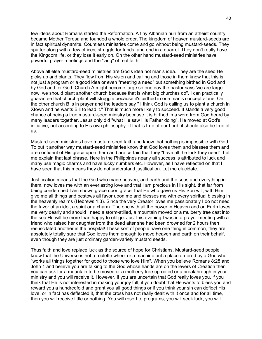few ideas about Romans started the Reformation. A tiny Albanian nun from an atheist country became Mother Teresa and founded a whole order. The kingdom of heaven mustard-seeds are in fact spiritual dynamite. Countless ministries come and go without being mustard-seeds. They sputter along with a few offices, struggle for funds, and end in a quarrel. They don't really have the Kingdom life, or they lose it early on. On the other hand mustard-seed ministries have powerful prayer meetings and the "zing" of real faith.

Above all else mustard-seed ministries are God's idea not man's idea. They are the seed He picks up and plants. They flow from His vision and calling and those in them know that this is not just a program or a good idea or even "meeting a need" but something birthed in God and by God and for God. Church A might become large so one day the pastor says 'we are large now, we should plant another church because that is what big churches do". I can practically guarantee that church-plant will struggle because it's birthed in one man's concept alone. On the other church B is in prayer and the leaders say " I think God is calling us to plant a church in Xtown and he wants Bill to lead it." That is much more likely to succeed. It stands a very good chance of being a true mustard-seed ministry because it is birthed in a word from God heard by many leaders together. Jesus only did "what He saw His Father doing". He moved at God's initiative, not according to His own philosophy. If that is true of our Lord, it should also be true of us.

Mustard-seed ministries have mustard-seed faith and know that nothing is impossible with God. To put it another way mustard-seed ministries know that God loves them and blesses them and are confident of His grace upon them and are certain that they "have all the luck they need". Let me explain that last phrase. Here in the Philippines nearly all success is attributed to luck and many use magic charms and have lucky numbers etc. However, as I have reflected on that I have seen that this means they do not understand justification. Let me elucidate...

Justification means that the God who made heaven, and earth and the seas and everything in them, now loves me with an everlasting love and that I am precious in His sight, that far from being condemned I am shown grace upon grace, that He who gave us His Son will, with Him give me all things and bestows all favor upon me and blesses me with every spiritual blessing in the heavenly realms (Hebrews 1:3). Since the very Creator loves me passionately I do not need the favor of an idol, a spirit or a charm. The one with all the power in Heaven and on Earth loves me very dearly and should I need a storm-stilled, a mountain moved or a mulberry tree cast into the sea He will be more than happy to oblige. Just this evening I was in a prayer meeting with a friend who raised her daughter from the dead after she had been drowned for 2 hours then resuscitated another in the hospital! These sort of people have one thing in common, they are absolutely totally sure that God loves them enough to move heaven and earth on their behalf, even though they are just ordinary garden-variety mustard seeds.

Thus faith and love replace luck as the source of hope for Christians. Mustard-seed people know that the Universe is not a roulette wheel or a machine but a place ordered by a God who "works all things together for good to those who love Him". When you believe Romans 8:28 and John 1 and believe you are talking to the God whose hands are on the levers of Creation then you can ask for a mountain to be moved or a mulberry tree uprooted or a breakthrough in your ministry and you will receive it. However, if you are uncertain that God really loves you, if you think that He is not interested in making your joy full, if you doubt that He wants to bless you and reward you a hundredfold and grant you all good things or if you think your sin can deflect His love, or in fact has deflected it, that the cross has not really dealt with it once and for all time, then you will receive little or nothing. You will resort to programs, you will seek luck, you will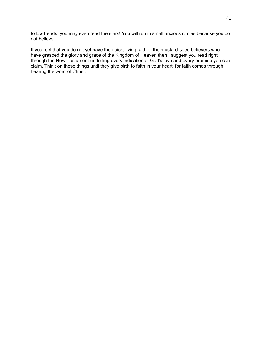follow trends, you may even read the stars! You will run in small anxious circles because you do not believe.

If you feel that you do not yet have the quick, living faith of the mustard-seed believers who have grasped the glory and grace of the Kingdom of Heaven then I suggest you read right through the New Testament underling every indication of God's love and every promise you can claim. Think on these things until they give birth to faith in your heart, for faith comes through hearing the word of Christ.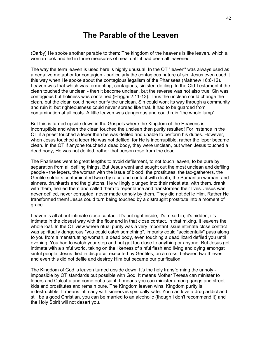# **The Parable of the Leaven**

(Darby) He spoke another parable to them: The kingdom of the heavens is like leaven, which a woman took and hid in three measures of meal until it had been all leavened.

The way the term leaven is used here is highly unusual. In the OT "leaven" was always used as a negative metaphor for contagion - particularly the contagious nature of sin. Jesus even used it this way when He spoke about the contagious legalism of the Pharisees (Matthew 16:6-12). Leaven was that which was fermenting, contagious, sinister, defiling. In the Old Testament if the clean touched the unclean - then it become unclean, but the reverse was not also true. Sin was contagious but holiness was contained (Haggai 2:11-13). Thus the unclean could change the clean, but the clean could never purify the unclean. Sin could work its way through a community and ruin it, but righteousness could never spread like that. It had to be guarded from contamination at all costs. A little leaven was dangerous and could ruin "the whole lump".

But this is turned upside down in the Gospels where the Kingdom of the Heavens is incorruptible and when the clean touched the unclean then purity resulted! For instance in the OT if a priest touched a leper then he was defiled and unable to perform his duties. However, when Jesus touched a leper He was not defiled, for He is incorruptible, rather the leper became clean. In the OT if anyone touched a dead body, they were unclean, but when Jesus touched a dead body, He was not defiled, rather that person rose from the dead.

The Pharisees went to great lengths to avoid defilement, to not touch leaven, to be pure by separation from all defiling things. But Jesus went and sought out the most unclean and defiling people - the lepers, the woman with the issue of blood, the prostitutes, the tax-gatherers, the Gentile soldiers contaminated twice by race and contact with death, the Samaritan woman, and sinners, drunkards and the gluttons. He willingly plunged into their midst ate, with them, drank with them, healed them and called them to repentance and transformed their lives. Jesus was never defiled, never corrupted, never made unholy by them. They did not defile Him. Rather He transformed them! Jesus could turn being touched by a distraught prostitute into a moment of grace.

Leaven is all about intimate close contact. It's put right inside, it's mixed in, it's hidden, it's intimate in the closest way with the flour and in that close contact, in that mixing, it leavens the whole loaf. In the OT view where ritual purity was a very important issue intimate close contact was spiritually dangerous "you could catch something", impurity could "accidentally" pass along to you from a menstruating woman, a dead body, even touching a dead lizard defiled you until evening. You had to watch your step and not get too close to anything or anyone. But Jesus got intimate with a sinful world, taking on the likeness of sinful flesh and living and dying amongst sinful people. Jesus died in disgrace, executed by Gentiles, on a cross, between two thieves and even this did not defile and destroy Him but became our purification.

The Kingdom of God is leaven turned upside down. It's the holy transforming the unholy impossible by OT standards but possible with God. It means Mother Teresa can minister to lepers and Calcutta and come out a saint. It means you can minister among gangs and street kids and prostitutes and remain pure. The Kingdom leaven wins. Kingdom purity is indestructible. It means intimacy with sinners is spiritually safe. You can love a drug addict and still be a good Christian, you can be married to an alcoholic (though I don't recommend it) and the Holy Spirit will not desert you.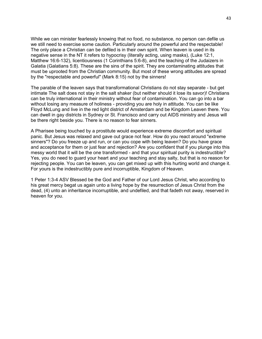While we can minister fearlessly knowing that no food, no substance, no person can defile us we still need to exercise some caution. Particularly around the powerful and the respectable! The only place a Christian can be defiled is in their own spirit. When leaven is used in its negative sense in the NT it refers to hypocrisy (literally acting, using masks), (Luke 12:1, Matthew 16:6-132), licentiousness (1 Corinthians 5:6-8), and the teaching of the Judaizers in Galatia (Galatians 5:8). These are the sins of the spirit. They are contaminating attitudes that must be uprooted from the Christian community. But most of these wrong attitudes are spread by the "respectable and powerful" (Mark 8:15) not by the sinners!

The parable of the leaven says that transformational Christians do not stay separate - but get intimate The salt does not stay in the salt shaker (but neither should it lose its savor)! Christians can be truly international in their ministry without fear of contamination. You can go into a bar without losing any measure of holiness - providing you are holy in attitude. You can be like Floyd McLung and live in the red light district of Amsterdam and be Kingdom Leaven there. You can dwell in gay districts in Sydney or St. Francisco and carry out AIDS ministry and Jesus will be there right beside you. There is no reason to fear sinners.

A Pharisee being touched by a prostitute would experience extreme discomfort and spiritual panic. But Jesus was relaxed and gave out grace not fear. How do you react around "extreme sinners"? Do you freeze up and run, or can you cope with being leaven? Do you have grace and acceptance for them or just fear and rejection? Are you confident that if you plunge into this messy world that it will be the one transformed - and that your spiritual purity is indestructible? Yes, you do need to guard your heart and your teaching and stay salty, but that is no reason for rejecting people. You can be leaven, you can get mixed up with this hurting world and change it. For yours is the indestructibly pure and incorruptible, Kingdom of Heaven.

1 Peter 1:3-4 ASV Blessed be the God and Father of our Lord Jesus Christ, who according to his great mercy begat us again unto a living hope by the resurrection of Jesus Christ from the dead, (4) unto an inheritance incorruptible, and undefiled, and that fadeth not away, reserved in heaven for you.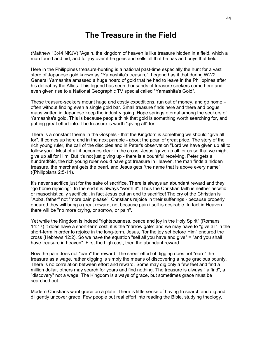# **The Treasure in the Field**

(Matthew 13:44 NKJV) "Again, the kingdom of heaven is like treasure hidden in a field, which a man found and hid; and for joy over it he goes and sells all that he has and buys that field.

Here in the Philippines treasure-hunting is a national past-time especially the hunt for a vast store of Japanese gold known as "Yamashita's treasure". Legend has it that during WW2 General Yamashita amassed a huge hoard of gold that he had to leave in the Philippines after his defeat by the Allies. This legend has seen thousands of treasure seekers come here and even given rise to a National Geographic TV special called "Yamashita's Gold".

These treasure-seekers mount huge and costly expeditions, run out of money, and go home – often without finding even a single gold bar. Small treasure finds here and there and bogus maps written in Japanese keep the industry going. Hope springs eternal among the seekers of Yamashita's gold. This is because people think that gold is something worth searching for, and putting great effort into. The treasure is worth "giving all" for.

There is a constant theme in the Gospels - that the Kingdom is something we should "give all for". It comes up here and in the next parable - about the pearl of great price. The story of the rich young ruler, the call of the disciples and in Peter's observation "Lord we have given up all to follow you". Most of all it becomes clear in the cross. Jesus "gave up all for us so that we might give up all for Him. But it's not just giving up - there is a bountiful receiving, Peter gets a hundredfold, the rich young ruler would have got treasure in Heaven, the man finds a hidden treasure, the merchant gets the pearl, and Jesus gets "the name that is above every name" ((Philippians 2:5-11).

It's never sacrifice just for the sake of sacrifice. There is always an abundant reward and they "go home rejoicing". In the end it is always "worth it". Thus the Christian faith is neither ascetic or masochistically sacrificial, in fact Jesus put an end to sacrifice! The cry of the Christian is "Abba, father" not "more pain please". Christians rejoice in their sufferings - because properly endured they will bring a great reward, not because pain itself is desirable. In fact in Heaven there will be "no more crying, or sorrow, or pain".

Yet while the Kingdom is indeed "righteousness, peace and joy in the Holy Spirit" (Romans 14:17) it does have a short-term cost, it is the "narrow gate" and we may have to "give all" in the short-term in order to rejoice in the long-term. Jesus, "for the joy set before Him" endured the cross (Hebrews 12:2). So we have the equation "sell all you have and give" = "and you shall have treasure in heaven". First the high cost, then the abundant reward.

Now the pain does not "earn" the reward. The sheer effort of digging does not "earn" the treasure as a wage, rather digging is simply the means of discovering a huge gracious bounty. There is no correlation between effort and reward. Some may dig only a few feet and find a million dollar, others may search for years and find nothing. The treasure is always " a find", a "discovery" not a wage. The Kingdom is always of grace, but sometimes grace must be searched out.

Modern Christians want grace on a plate. There is little sense of having to search and dig and diligently uncover grace. Few people put real effort into reading the Bible, studying theology,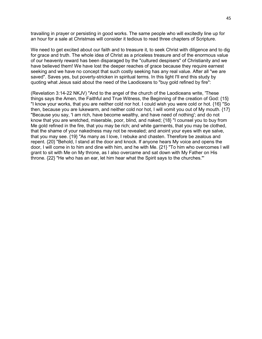travailing in prayer or persisting in good works. The same people who will excitedly line up for an hour for a sale at Christmas will consider it tedious to read three chapters of Scripture.

We need to get excited about our faith and to treasure it, to seek Christ with diligence and to dig for grace and truth. The whole idea of Christ as a priceless treasure and of the enormous value of our heavenly reward has been disparaged by the "cultured despisers" of Christianity and we have believed them! We have lost the deeper reaches of grace because they require earnest seeking and we have no concept that such costly seeking has any real value. After all "we are saved". Saves yes, but poverty-stricken in spiritual terms. In this light I'll end this study by quoting what Jesus said about the need of the Laodiceans to "buy gold refined by fire":

(Revelation 3:14-22 NKJV) "And to the angel of the church of the Laodiceans write, 'These things says the Amen, the Faithful and True Witness, the Beginning of the creation of God: {15} "I know your works, that you are neither cold nor hot. I could wish you were cold or hot. {16} "So then, because you are lukewarm, and neither cold nor hot, I will vomit you out of My mouth. {17} "Because you say, 'I am rich, have become wealthy, and have need of nothing'; and do not know that you are wretched, miserable, poor, blind, and naked; {18} "I counsel you to buy from Me gold refined in the fire, that you may be rich; and white garments, that you may be clothed, that the shame of your nakedness may not be revealed; and anoint your eyes with eye salve, that you may see. {19} "As many as I love, I rebuke and chasten. Therefore be zealous and repent. {20} "Behold, I stand at the door and knock. If anyone hears My voice and opens the door, I will come in to him and dine with him, and he with Me. {21} "To him who overcomes I will grant to sit with Me on My throne, as I also overcame and sat down with My Father on His throne. {22} "He who has an ear, let him hear what the Spirit says to the churches."'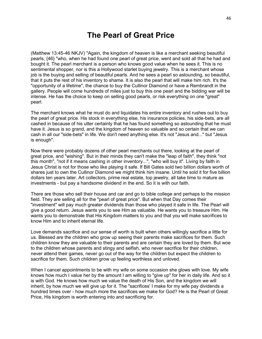### **The Pearl of Great Price**

(Matthew 13:45-46 NKJV) "Again, the kingdom of heaven is like a merchant seeking beautiful pearls, {46} "who, when he had found one pearl of great price, went and sold all that he had and bought it. The pearl merchant is a person who knows good value when he sees it. This is no sentimental shopper, nor is this a Hollywood starlet buying jewelry. This is a merchant whose job is the buying and selling of beautiful pearls. And he sees a pearl so astounding, so beautiful, that it puts the rest of his inventory to shame. It is also the pearl that will make him rich. It's the "opportunity of a lifetime", the chance to buy the Cullinor Diamond or have a Rembrandt in the gallery. People will come hundreds of miles just to buy this one pearl and the bidding war will be intense. He has the choice to keep on selling good pearls, or risk everything on one "great" pearl.

The merchant knows what he must do and liquidates his entire inventory and rushes out to buy the pearl of great price. His stock in everything else, his insurance policies, his side-bets, are all cashed in because of his utter certainty that he has found something so astounding that he must have it. Jesus is so grand, and the kingdom of heaven so valuable and so certain that we can cash in all our "side-bets" in life. We don't need anything else. It's not "Jesus and..." but "Jesus is enough".

Now there were probably dozens of other pearl merchants out there, looking at the pearl of great price, and "wishing". But in their minds they can't make the "leap of faith", they think "not this month", "not if it means cashing in other inventory...", "who will buy it". Living by faith in Jesus Christ is not for those who like playing it safe. If Bill Gates sold two billion dollars worth of shares just to own the Cullinor Diamond we might think him insane. Until he sold it for five billion dollars ten years later. Art collectors, prime real estate, top jewelry, all take time to mature as investments - but pay a handsome dividend in the end. So it is with our faith.

There are those who sell their house and car and go to bible college and perhaps to the mission field. They are selling all for the "pearl of great price". But when that Day comes their "investment" will pay much greater dividends than those who played it safe in life. The Pearl will give a good return. Jesus wants you to see Him as valuable. He wants you to treasure Him. He wants you to demonstrate that His Kingdom matters to you and that you will make sacrifices to know Him and to inherit eternal life.

Love demands sacrifice and our sense of worth is built when others willingly sacrifice a little for us. Blessed are the children who grow up seeing their parents make sacrifices for them. Such children know they are valuable to their parents and are certain they are loved by them. But woe to the children whose parents and stingy and selfish, who never sacrifice for their children, never attend their games, never go out of the way for the children but expect the children to sacrifice for them. Such children grow up feeling worthless and unloved.

When I cancel appointments to be with my wife on some occasion she glows with love. My wife knows how much I value her by the amount I am willing to "give up" for her in daily life. And so it is with God. He knows how much we value the death of His Son, and the kingdom we will inherit, by how much we will give up for it. The "sacrifices' I make for my wife pay dividends a hundred times over - how much more the sacrifices we make for God? He is the Pearl of Great Price, His kingdom is worth entering into and sacrificing for.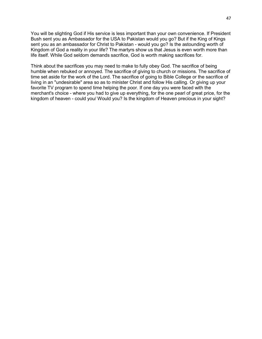You will be slighting God if His service is less important than your own convenience. If President Bush sent you as Ambassador for the USA to Pakistan would you go? But if the King of Kings sent you as an ambassador for Christ to Pakistan - would you go? Is the astounding worth of Kingdom of God a reality in your life? The martyrs show us that Jesus is even worth more than life itself. While God seldom demands sacrifice, God is worth making sacrifices for.

Think about the sacrifices you may need to make to fully obey God. The sacrifice of being humble when rebuked or annoyed. The sacrifice of giving to church or missions. The sacrifice of time set aside for the work of the Lord. The sacrifice of going to Bible College or the sacrifice of living in an "undesirable" area so as to minister Christ and follow His calling. Or giving up your favorite TV program to spend time helping the poor. If one day you were faced with the merchant's choice - where you had to give up everything, for the one pearl of great price, for the kingdom of heaven - could you/ Would you? Is the kingdom of Heaven precious in your sight?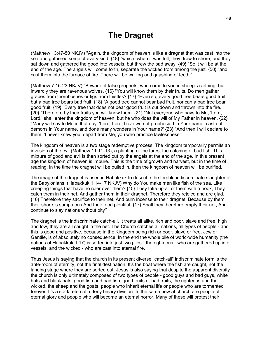# **The Dragnet**

(Matthew 13:47-50 NKJV) "Again, the kingdom of heaven is like a dragnet that was cast into the sea and gathered some of every kind, {48} "which, when it was full, they drew to shore; and they sat down and gathered the good into vessels, but threw the bad away. {49} "So it will be at the end of the age. The angels will come forth, separate the wicked from among the just, {50} "and cast them into the furnace of fire. There will be wailing and gnashing of teeth."

(Matthew 7:15-23 NKJV) "Beware of false prophets, who come to you in sheep's clothing, but inwardly they are ravenous wolves. {16} "You will know them by their fruits. Do men gather grapes from thornbushes or figs from thistles? {17} "Even so, every good tree bears good fruit, but a bad tree bears bad fruit. {18} "A good tree cannot bear bad fruit, nor can a bad tree bear good fruit. {19} "Every tree that does not bear good fruit is cut down and thrown into the fire. {20} "Therefore by their fruits you will know them. {21} "Not everyone who says to Me, 'Lord, Lord,' shall enter the kingdom of heaven, but he who does the will of My Father in heaven. {22} "Many will say to Me in that day, 'Lord, Lord, have we not prophesied in Your name, cast out demons in Your name, and done many wonders in Your name?' {23} "And then I will declare to them, 'I never knew you; depart from Me, you who practice lawlessness!'

The kingdom of heaven is a two stage redemptive process. The kingdom temporarily permits an invasion of the evil (Matthew 11:11-13), a planting of the tares, the catching of bad fish. This mixture of good and evil is then sorted out by the angels at the end of the age. In this present age the kingdom of heaven is impure. This is the time of growth and harvest, but in the time of reaping, in the time the dragnet will be pulled in, then the kingdom of heaven will be purified.

The image of the dragnet is used in Habakkuk to describe the terrible indiscriminate slaughter of the Babylonians: (Habakkuk 1:14-17 NKJV) Why do You make men like fish of the sea, Like creeping things that have no ruler over them? {15} They take up all of them with a hook, They catch them in their net, And gather them in their dragnet. Therefore they rejoice and are glad. {16} Therefore they sacrifice to their net, And burn incense to their dragnet; Because by them their share is sumptuous And their food plentiful. {17} Shall they therefore empty their net, And continue to slay nations without pity?

The dragnet is the indiscriminate catch-all. It treats all alike, rich and poor, slave and free, high and low, they are all caught in the net. The Church catches all nations, all types of people - and this is good and positive, because in the Kingdom being rich or poor, slave or free, Jew or Gentile, is of absolutely no consequence. In the end the whole pile of world-wide humanity (the nations of Habakkuk 1:17) is sorted into just two piles - the righteous - who are gathered up into vessels, and the wicked - who are cast into eternal fire.

Thus Jesus is saying that the church in its present diverse "catch-all" indiscriminate form is the ante-room of eternity, not the final destination. It's the boat where the fish are caught, not the landing stage where they are sorted out. Jesus is also saying that despite the apparent diversity the church is only ultimately composed of two types of people - good guys and bad guys, white hats and black hats, good fish and bad fish, good fruits or bad fruits, the righteous and the wicked, the sheep and the goats, people who inherit eternal life or people who are tormented forever. It's a stark, eternal, utterly binary division. In the same pew at church are people of eternal glory and people who will become an eternal horror. Many of these will protest their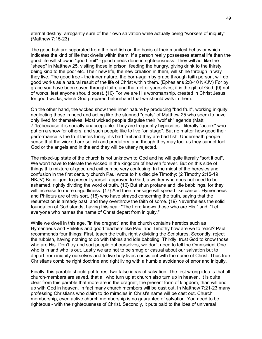eternal destiny, arrogantly sure of their own salvation while actually being "workers of iniquity". (Matthew 7:15-23)

The good fish are separated from the bad fish on the basis of their manifest behavior which indicates the kind of life that dwells within them. If a person really possesses eternal life then the good life will show in "good fruit" - good deeds done in righteousness. They will act like the "sheep" in Matthew 25, visiting those in prison, feeding the hungry, giving drink to the thirsty, being kind to the poor etc. Their new life, the new creation in them, will shine through in way they live. The good tree - the inner nature, the born-again by grace through faith person, will do good works as a natural result of the life of Christ within them. (Ephesians 2:8-10 NKJV) For by grace you have been saved through faith, and that not of yourselves; it is the gift of God, {9} not of works, lest anyone should boast. {10} For we are His workmanship, created in Christ Jesus for good works, which God prepared beforehand that we should walk in them.

On the other hand, the wicked show their inner nature by producing "bad fruit", working iniquity, neglecting those in need and acting like the stunned "goats" of Matthew 25 who seem to have only lived for themselves. Most wicked people disguise their "wolfish" agenda (Matt 7:15)because it is socially unacceptable. They are frequently hypocrites - literally "actors" who put on a show for others, and such people like to live "on stage". But no matter how good their performance is the fruit tastes funny, it's bad fruit and they are bad fish. Underneath people sense that the wicked are selfish and predatory, and though they may fool us they cannot fool God or the angels and in the end they will be utterly rejected.

The mixed-up state of the church is not unknown to God and he will quite literally "sort it out". We won't have to tolerate the wicked in the kingdom of heaven forever. But on this side of things this mixture of good and evil can be very confusing! In the midst of the heresies and confusion in the first century church Paul wrote to his disciple Timothy: (2 Timothy 2:15-19 NKJV) Be diligent to present yourself approved to God, a worker who does not need to be ashamed, rightly dividing the word of truth. {16} But shun profane and idle babblings, for they will increase to more ungodliness. {17} And their message will spread like cancer. Hymenaeus and Philetus are of this sort, {18} who have strayed concerning the truth, saying that the resurrection is already past; and they overthrow the faith of some. {19} Nevertheless the solid foundation of God stands, having this seal: "The Lord knows those who are His," and, "Let everyone who names the name of Christ depart from iniquity."

While we dwell in this age, "in the dragnet" and the church contains heretics such as Hymenaeus and Philetus and good teachers like Paul and Timothy how are we to react? Paul recommends four things: First, teach the truth, rightly dividing the Scriptures. Secondly, reject the rubbish, having nothing to do with fables and idle babbling. Thirdly, trust God to know those who are His. Don't try and sort people out ourselves, we don't need to tell the Omniscient One who is in and who is out. Lastly we are not to be smug or casual about our salvation but to depart from iniquity ourselves and to live holy lives consistent with the name of Christ. Thus true Christians combine right doctrine and right living with a humble avoidance of error and iniquity.

Finally, this parable should put to rest two false ideas of salvation. The first wrong idea is that all church-members are saved, that all who turn up at church also turn up in heaven. It is quite clear from this parable that more are in the dragnet, the present form of kingdom, than will end up with God in heaven. In fact many church members will be cast out. In Matthew 7:21-23 many professing Christians who claim to do miracles in Christ's name will be cast out. Church membership, even active church membership is no guarantee of salvation. You need to be righteous - with the righteousness of Christ. Secondly, it puts paid to the idea of universal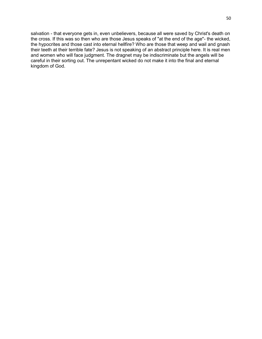salvation - that everyone gets in, even unbelievers, because all were saved by Christ's death on the cross. If this was so then who are those Jesus speaks of "at the end of the age"- the wicked, the hypocrites and those cast into eternal hellfire? Who are those that weep and wail and gnash their teeth at their terrible fate? Jesus is not speaking of an abstract principle here. It is real men and women who will face judgment. The dragnet may be indiscriminate but the angels will be careful in their sorting out. The unrepentant wicked do not make it into the final and eternal kingdom of God.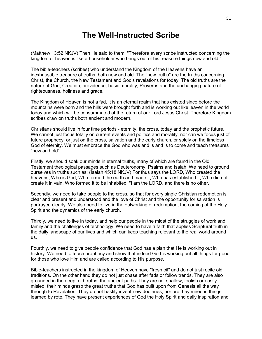# **The Well-Instructed Scribe**

(Matthew 13:52 NKJV) Then He said to them, "Therefore every scribe instructed concerning the kingdom of heaven is like a householder who brings out of his treasure things new and old."

The bible-teachers (scribes) who understand the Kingdom of the Heavens have an inexhaustible treasure of truths, both new and old. The "new truths" are the truths concerning Christ, the Church, the New Testament and God's revelations for today. The old truths are the nature of God, Creation, providence, basic morality, Proverbs and the unchanging nature of righteousness, holiness and grace.

The Kingdom of Heaven is not a fad, it is an eternal realm that has existed since before the mountains were born and the hills were brought forth and is working out like leaven in the world today and which will be consummated at the return of our Lord Jesus Christ. Therefore Kingdom scribes draw on truths both ancient and modern.

Christians should live in four time periods - eternity, the cross, today and the prophetic future. We cannot just focus totally on current events and politics and morality, nor can we focus just of future prophecy, or just on the cross, salvation and the early church, or solely on the timeless God of eternity. We must embrace the God who was and is and is to come and teach treasures "new and old"

Firstly, we should soak our minds in eternal truths, many of which are found in the Old Testament theological passages such as Deuteronomy, Psalms and Isaiah. We need to ground ourselves in truths such as: (Isaiah 45:18 NKJV) For thus says the LORD, Who created the heavens, Who is God, Who formed the earth and made it, Who has established it, Who did not create it in vain, Who formed it to be inhabited: "I am the LORD, and there is no other.

Secondly, we need to take people to the cross, so that for every single Christian redemption is clear and present and understood and the love of Christ and the opportunity for salvation is portrayed clearly. We also need to live in the outworking of redemption, the coming of the Holy Spirit and the dynamics of the early church.

Thirdly, we need to live in today, and help our people in the midst of the struggles of work and family and the challenges of technology. We need to have a faith that applies Scriptural truth in the daily landscape of our lives and which can keep teaching relevant to the real world around us.

Fourthly, we need to give people confidence that God has a plan that He is working out in history. We need to teach prophecy and show that indeed God is working out all things for good for those who love Him and are called according to His purpose.

Bible-teachers instructed in the kingdom of Heaven have "fresh oil" and do not just recite old traditions. On the other hand they do not just chase after fads or follow trends. They are also grounded in the deep, old truths, the ancient paths. They are not shallow, foolish or easily misled, their minds grasp the great truths that God has built upon from Genesis all the way through to Revelation. They do not hastily invent new doctrines, nor are they mired in things learned by rote. They have present experiences of God the Holy Spirit and daily inspiration and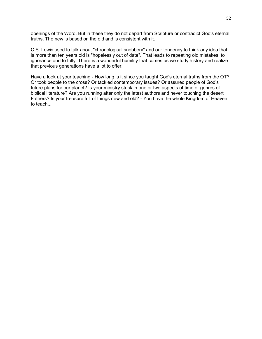openings of the Word. But in these they do not depart from Scripture or contradict God's eternal truths. The new is based on the old and is consistent with it.

C.S. Lewis used to talk about "chronological snobbery" and our tendency to think any idea that is more than ten years old is "hopelessly out of date". That leads to repeating old mistakes, to ignorance and to folly. There is a wonderful humility that comes as we study history and realize that previous generations have a lot to offer.

Have a look at your teaching - How long is it since you taught God's eternal truths from the OT? Or took people to the cross? Or tackled contemporary issues? Or assured people of God's future plans for our planet? Is your ministry stuck in one or two aspects of time or genres of biblical literature? Are you running after only the latest authors and never touching the desert Fathers? Is your treasure full of things new and old? - You have the whole Kingdom of Heaven to teach...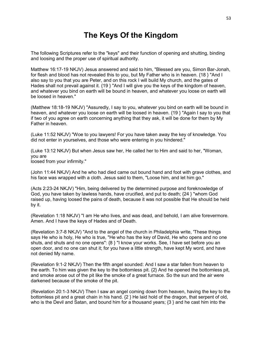# **The Keys Of the Kingdom**

The following Scriptures refer to the "keys" and their function of opening and shutting, binding and loosing and the proper use of spiritual authority.

Matthew 16:17-19 NKJV) Jesus answered and said to him, "Blessed are you, Simon Bar-Jonah, for flesh and blood has not revealed this to you, but My Father who is in heaven. {18 } "And I also say to you that you are Peter, and on this rock I will build My church, and the gates of Hades shall not prevail against it. {19 } "And I will give you the keys of the kingdom of heaven, and whatever you bind on earth will be bound in heaven, and whatever you loose on earth will be loosed in heaven."

(Matthew 18:18-19 NKJV) "Assuredly, I say to you, whatever you bind on earth will be bound in heaven, and whatever you loose on earth will be loosed in heaven. {19 } "Again I say to you that if two of you agree on earth concerning anything that they ask, it will be done for them by My Father in heaven.

(Luke 11:52 NKJV) "Woe to you lawyers! For you have taken away the key of knowledge. You did not enter in yourselves, and those who were entering in you hindered."

(Luke 13:12 NKJV) But when Jesus saw her, He called her to Him and said to her, "Woman, you are loosed from your infirmity."

(John 11:44 NKJV) And he who had died came out bound hand and foot with grave clothes, and his face was wrapped with a cloth. Jesus said to them, "Loose him, and let him go."

(Acts 2:23-24 NKJV) "Him, being delivered by the determined purpose and foreknowledge of God, you have taken by lawless hands, have crucified, and put to death; {24 } "whom God raised up, having loosed the pains of death, because it was not possible that He should be held by it.

(Revelation 1:18 NKJV) "I am He who lives, and was dead, and behold, I am alive forevermore. Amen. And I have the keys of Hades and of Death.

(Revelation 3:7-8 NKJV) "And to the angel of the church in Philadelphia write, 'These things says He who is holy, He who is true, "He who has the key of David, He who opens and no one shuts, and shuts and no one opens": {8 } "I know your works. See, I have set before you an open door, and no one can shut it; for you have a little strength, have kept My word, and have not denied My name.

(Revelation 9:1-2 NKJV) Then the fifth angel sounded: And I saw a star fallen from heaven to the earth. To him was given the key to the bottomless pit. {2} And he opened the bottomless pit, and smoke arose out of the pit like the smoke of a great furnace. So the sun and the air were darkened because of the smoke of the pit.

(Revelation 20:1-3 NKJV) Then I saw an angel coming down from heaven, having the key to the bottomless pit and a great chain in his hand. {2 } He laid hold of the dragon, that serpent of old, who is the Devil and Satan, and bound him for a thousand years; {3 } and he cast him into the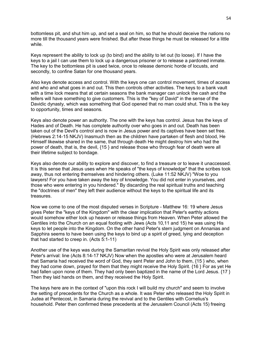bottomless pit, and shut him up, and set a seal on him, so that he should deceive the nations no more till the thousand years were finished. But after these things he must be released for a little while.

Keys represent the ability to lock up (to bind) and the ability to let out (to loose). If I have the keys to a jail I can use them to lock up a dangerous prisoner or to release a pardoned inmate. The key to the bottomless pit is used twice, once to release demonic horde of locusts, and secondly, to confine Satan for one thousand years.

Also keys denote access and control. With the keys one can control movement, times of access and who and what goes in and out. This then controls other activities. The keys to a bank vault with a time lock means that at certain seasons the bank manager can unlock the cash and the tellers will have something to give customers. This is the "key of David" in the sense of the Davidic dynasty, which was something that God opened that no man could shut. This is the key to opportunity, times and seasons.

Keys also denote power an authority. The one with the keys has control. Jesus has the keys of Hades and of Death. He has complete authority over who goes in and out. Death has been taken out of the Devil's control and is now in Jesus power and its captives have been set free. (Hebrews 2:14-15 NKJV) Inasmuch then as the children have partaken of flesh and blood, He Himself likewise shared in the same, that through death He might destroy him who had the power of death, that is, the devil, {15 } and release those who through fear of death were all their lifetime subject to bondage.

Keys also denote our ability to explore and discover, to find a treasure or to leave it unaccessed. It is this sense that Jesus uses when He speaks of "the keys of knowledge" that the scribes took away, thus not entering themselves and hindering others. (Luke 11:52 NKJV) "Woe to you lawyers! For you have taken away the key of knowledge. You did not enter in yourselves, and those who were entering in you hindered." By discarding the real spiritual truths and teaching the "doctrines of men" they left their audience without the keys to the spiritual life and its treasures.

Now we come to one of the most disputed verses in Scripture - Matthew 16: 19 where Jesus gives Peter the "keys of the Kingdom" with the clear implication that Peter's earthly actions would somehow either lock up heaven or release things from Heaven. When Peter allowed the Gentiles into the Church on an equal footing with Jews (Acts 10,11 and 15) he was using His keys to let people into the Kingdom. On the other hand Peter's stern judgment on Annanias and Sapphira seems to have been using the keys to bind up a spirit of greed, lying and deception that had started to creep in. (Acts 5:1-11)

Another use of the keys was during the Samaritan revival the Holy Spirit was only released after Peter's arrival: line (Acts 8:14-17 NKJV) Now when the apostles who were at Jerusalem heard that Samaria had received the word of God, they sent Peter and John to them, {15 } who, when they had come down, prayed for them that they might receive the Holy Spirit. {16 } For as yet He had fallen upon none of them. They had only been baptized in the name of the Lord Jesus. {17 } Then they laid hands on them, and they received the Holy Spirit.

The keys here are in the context of "upon this rock I will build my church" and seem to involve the setting of precedents for the Church as a whole. It was Peter who released the Holy Spirit in Judea at Pentecost, in Samaria during the revival and to the Gentiles with Cornelius's household. Peter then confirmed these precedents at the Jerusalem Council (Acts 15) freeing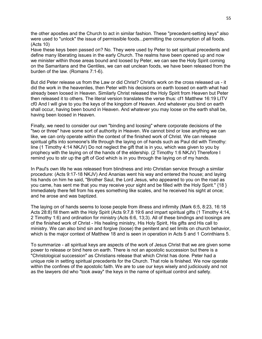the other apostles and the Church to act in similar fashion. These "precedent-setting keys" also were used to "unlock" the issue of permissible foods...permitting the consumption of all foods. (Acts 10)

Have these keys been passed on? No. They were used by Peter to set spiritual precedents and define many liberating issues in the early Church. The realms have been opened up and now we minister within those areas bound and loosed by Peter, we can see the Holy Spirit coming on the Samaritans and the Gentiles, we can eat unclean foods, we have been released from the burden of the law. (Romans 7:1-6).

But did Peter release us from the Law or did Christ? Christ's work on the cross released us - it did the work in the heavenlies, then Peter with his decisions on earth loosed on earth what had already been loosed in Heaven. Similarly Christ released the Holy Spirit from Heaven but Peter then released it to others. The literal version translates the verse thus: cf1 Matthew 16:19 LITV cf0 And I will give to you the keys of the kingdom of Heaven. And whatever you bind on earth shall occur, having been bound in Heaven. And whatever you may loose on the earth shall be, having been loosed in Heaven.

Finally, we need to consider our own "binding and loosing" where corporate decisions of the "two or three" have some sort of authority in Heaven. We cannot bind or lose anything we can like, we can only operate within the context of the finished work of Christ. We can release spiritual gifts into someone's life through the laying on of hands such as Paul did with Timothy: line (1 Timothy 4:14 NKJV) Do not neglect the gift that is in you, which was given to you by prophecy with the laying on of the hands of the eldership. (2 Timothy 1:6 NKJV) Therefore I remind you to stir up the gift of God which is in you through the laying on of my hands.

In Paul's own life he was released from blindness and into Christian service through a similar procedure: (Acts 9:17-18 NKJV) And Ananias went his way and entered the house; and laying his hands on him he said, "Brother Saul, the Lord Jesus, who appeared to you on the road as you came, has sent me that you may receive your sight and be filled with the Holy Spirit." {18 } Immediately there fell from his eyes something like scales, and he received his sight at once; and he arose and was baptized.

The laying on of hands seems to loose people from illness and infirmity (Mark 6:5, 8:23, 16:18 Acts 28:8) fill them with the Holy Spirit (Acts 9:7,8 19:6 and impart spiritual gifts (1 Timothy 4:14, 2 Timothy 1:6) and ordination for ministry (Acts 6:6, 13;3). All of these bindings and loosings are of the finished work of Christ - His healing ministry, His Holy Spirit, His gifts and His call to ministry. We can also bind sin and forgive (loose) the penitent and set limits on church behavior, which is the major context of Matthew 18 and is seen in operation in Acts 5 and 1 Corinthians 5.

To summarize - all spiritual keys are aspects of the work of Jesus Christ that we are given some power to release or bind here on earth. There is not an apostolic succession but there is a "Christological succession" as Christians release that which Christ has done. Peter had a unique role in setting spiritual precedents for the Church. That role is finished. We now operate within the confines of the apostolic faith. We are to use our keys wisely and judiciously and not as the lawyers did who "took away" the keys in the name of spiritual control and safety.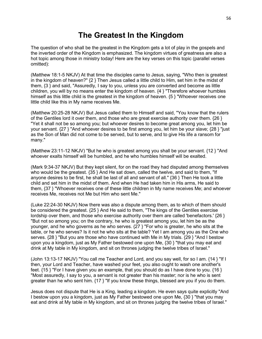# **The Greatest In the Kingdom**

The question of who shall be the greatest in the Kingdom gets a lot of play in the gospels and the inverted order of the Kingdom is emphasized. The kingdom virtues of greatness are also a hot topic among those in ministry today! Here are the key verses on this topic (parallel verses omitted):

(Matthew 18:1-5 NKJV) At that time the disciples came to Jesus, saying, "Who then is greatest in the kingdom of heaven?" {2 } Then Jesus called a little child to Him, set him in the midst of them, {3 } and said, "Assuredly, I say to you, unless you are converted and become as little children, you will by no means enter the kingdom of heaven. {4 } "Therefore whoever humbles himself as this little child is the greatest in the kingdom of heaven.  $\{5\}$  "Whoever receives one little child like this in My name receives Me.

(Matthew 20:25-28 NKJV) But Jesus called them to Himself and said, "You know that the rulers of the Gentiles lord it over them, and those who are great exercise authority over them. {26 } "Yet it shall not be so among you; but whoever desires to become great among you, let him be your servant. {27 } "And whoever desires to be first among you, let him be your slave; {28 } "just as the Son of Man did not come to be served, but to serve, and to give His life a ransom for many."

(Matthew 23:11-12 NKJV) "But he who is greatest among you shall be your servant. {12 } "And whoever exalts himself will be humbled, and he who humbles himself will be exalted.

(Mark 9:34-37 NKJV) But they kept silent, for on the road they had disputed among themselves who would be the greatest. {35 } And He sat down, called the twelve, and said to them, "If anyone desires to be first, he shall be last of all and servant of all." {36 } Then He took a little child and set him in the midst of them. And when He had taken him in His arms, He said to them, {37 } "Whoever receives one of these little children in My name receives Me; and whoever receives Me, receives not Me but Him who sent Me."

(Luke 22:24-30 NKJV) Now there was also a dispute among them, as to which of them should be considered the greatest. {25 } And He said to them, "The kings of the Gentiles exercise lordship over them, and those who exercise authority over them are called 'benefactors.' {26 } "But not so among you; on the contrary, he who is greatest among you, let him be as the younger, and he who governs as he who serves. {27 } "For who is greater, he who sits at the table, or he who serves? Is it not he who sits at the table? Yet I am among you as the One who serves. {28 } "But you are those who have continued with Me in My trials. {29 } "And I bestow upon you a kingdom, just as My Father bestowed one upon Me, {30 } "that you may eat and drink at My table in My kingdom, and sit on thrones judging the twelve tribes of Israel."

(John 13:13-17 NKJV) "You call me Teacher and Lord, and you say well, for so I am. {14 } "If I then, your Lord and Teacher, have washed your feet, you also ought to wash one another's feet.  $\{15\}$  "For I have given you an example, that you should do as I have done to you.  $\{16\}$ "Most assuredly, I say to you, a servant is not greater than his master; nor is he who is sent greater than he who sent him. {17 } "If you know these things, blessed are you if you do them.

Jesus does not dispute that He is a King, leading a kingdom. He even says quite explicitly "And I bestow upon you a kingdom, just as My Father bestowed one upon Me, {30 } "that you may eat and drink at My table in My kingdom, and sit on thrones judging the twelve tribes of Israel."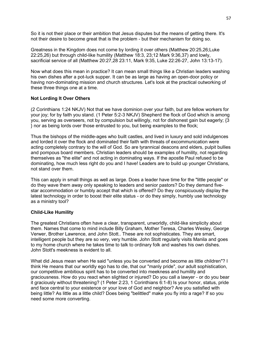So it is not their place or their ambition that Jesus disputes but the means of getting there. It's not their desire to become great that is the problem - but their mechanism for doing so.

Greatness in the Kingdom does not come by lording it over others (Matthew 20:25,26;Luke 22:25,26) but through child-like humility (Matthew 18:3, 23;12 Mark 9:36,37) and lowly, sacrificial service of all (Matthew 20:27,28 23:11, Mark 9:35, Luke 22:26-27, John 13:13-17).

Now what does this mean in practice? It can mean small things like a Christian leaders washing his own dishes after a pot-luck supper. It can be as large as having an open-door policy or having non-dominating mission and church structures. Let's look at the practical outworking of these three things one at a time.

#### **Not Lording It Over Others**

(2 Corinthians 1:24 NKJV) Not that we have dominion over your faith, but are fellow workers for your joy; for by faith you stand. (1 Peter 5:2-3 NKJV) Shepherd the flock of God which is among you, serving as overseers, not by compulsion but willingly, not for dishonest gain but eagerly; {3 } nor as being lords over those entrusted to you, but being examples to the flock;

Thus the bishops of the middle-ages who built castles, and lived in luxury and sold indulgences and lorded it over the flock and dominated their faith with threats of excommunication were acting completely contrary to the will of God. So are tyrannical deacons and elders, pulpit bullies and pompous board members. Christian leaders should be examples of humility, not regarding themselves as "the elite" and not acting in dominating ways. If the apostle Paul refused to be dominating, how much less right do you and I have! Leaders are to build up younger Christians, not stand over them.

This can apply in small things as well as large. Does a leader have time for the "little people" or do they wave them away only speaking to leaders and senior pastors? Do they demand fivestar accommodation or humbly accept that which is offered? Do they conspicuously display the latest technology in order to boost their elite status - or do they simply, humbly use technology as a ministry tool?

#### **Child-Like Humility**

The greatest Christians often have a clear, transparent, unworldly, child-like simplicity about them. Names that come to mind include Billy Graham, Mother Teresa, Charles Wesley, George Verwer, Brother Lawrence, and John Stott.. These are not sophisticates. They are smart, intelligent people but they are so very, very humble. John Stott regularly visits Manila and goes to my home church where he takes time to talk to ordinary folk and washes his own dishes. John Stott's meekness is evident to all.

What did Jesus mean when He said "unless you be converted and become as little children"? I think He means that our worldly ego has to die, that our "manly pride", our adult sophistication, our competitive ambitious spirit has to be converted into meekness and humility and graciousness. How do you react when slighted or injured? Do you call a lawyer - or do you bear it graciously without threatening? (1 Peter 2:23, 1 Corinthians 6:1-8) Is your honor, status, pride and face central to your existence or your love of God and neighbor? Are you satisfied with being little? As little as a little child? Does being "belittled" make you fly into a rage? If so you need some more converting.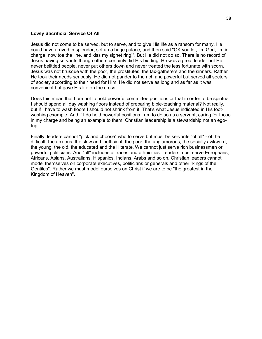#### **Lowly Sacrificial Service Of All**

Jesus did not come to be served, but to serve, and to give His life as a ransom for many. He could have arrived in splendor, set up a huge palace, and then said "OK you lot, I'm God, I'm in charge, now toe the line, and kiss my signet ring!". But He did not do so. There is no record of Jesus having servants though others certainly did His bidding. He was a great leader but He never belittled people, never put others down and never treated the less fortunate with scorn. Jesus was not brusque with the poor, the prostitutes, the tax-gatherers and the sinners. Rather He took their needs seriously. He did not pander to the rich and powerful but served all sectors of society according to their need for Him. He did not serve as long and as far as it was convenient but gave His life on the cross.

Does this mean that I am not to hold powerful committee positions or that in order to be spiritual I should spend all day washing floors instead of preparing bible-teaching material? Not really, but if I have to wash floors I should not shrink from it. That's what Jesus indicated in His footwashing example. And if I do hold powerful positions I am to do so as a servant, caring for those in my charge and being an example to them. Christian leadership is a stewardship not an egotrip.

Finally, leaders cannot "pick and choose" who to serve but must be servants "of all" - of the difficult, the anxious, the slow and inefficient, the poor, the unglamorous, the socially awkward, the young, the old, the educated and the illiterate. We cannot just serve rich businessmen or powerful politicians. And "all" includes all races and ethnicities. Leaders must serve Europeans, Africans, Asians, Australians, Hispanics, Indians, Arabs and so on. Christian leaders cannot model themselves on corporate executives, politicians or generals and other "kings of the Gentiles". Rather we must model ourselves on Christ if we are to be "the greatest in the Kingdom of Heaven".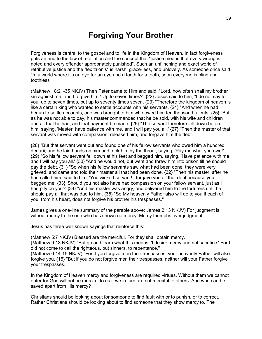# **Forgiving Your Brother**

Forgiveness is central to the gospel and to life in the Kingdom of Heaven. In fact forgiveness puts an end to the law of retaliation and the concept that "justice means that every wrong is noted and every offender appropriately punished". Such an unflinching and exact world of retributive justice and the "lex talonis" is harsh, grace-less, and unlovely. As someone once said "In a world where it's an eye for an eye and a tooth for a tooth, soon everyone is blind and toothless".

(Matthew 18:21-35 NKJV) Then Peter came to Him and said, "Lord, how often shall my brother sin against me, and I forgive him? Up to seven times?" {22} Jesus said to him, "I do not say to you, up to seven times, but up to seventy times seven. {23} "Therefore the kingdom of heaven is like a certain king who wanted to settle accounts with his servants. {24} "And when he had begun to settle accounts, one was brought to him who owed him ten thousand talents. {25} "But as he was not able to pay, his master commanded that he be sold, with his wife and children and all that he had, and that payment be made. {26} "The servant therefore fell down before him, saying, 'Master, have patience with me, and I will pay you all.' {27} "Then the master of that servant was moved with compassion, released him, and forgave him the debt.

{28} "But that servant went out and found one of his fellow servants who owed him a hundred denarii; and he laid hands on him and took him by the throat, saying, 'Pay me what you owe!' {29} "So his fellow servant fell down at his feet and begged him, saying, 'Have patience with me, and I will pay you all.' {30} "And he would not, but went and threw him into prison till he should pay the debt. {31} "So when his fellow servants saw what had been done, they were very grieved, and came and told their master all that had been done. {32} "Then his master, after he had called him, said to him, 'You wicked servant! I forgave you all that debt because you begged me. {33} 'Should you not also have had compassion on your fellow servant, just as I had pity on you?' {34} "And his master was angry, and delivered him to the torturers until he should pay all that was due to him. {35} "So My heavenly Father also will do to you if each of you, from his heart, does not forgive his brother his trespasses."

James gives a one-line summary of the parable above: James 2:13 NKJV) For judgment is without mercy to the one who has shown no mercy. Mercy triumphs over judgment

Jesus has three well known sayings that reinforce this:

(Matthew 5:7 NKJV) Blessed are the merciful, For they shall obtain mercy.

(Matthew 9:13 NKJV) "But go and learn what this means: 'I desire mercy and not sacrifice.' For I did not come to call the righteous, but sinners, to repentance."

(Matthew 6:14-15 NKJV) "For if you forgive men their trespasses, your heavenly Father will also forgive you. {15} "But if you do not forgive men their trespasses, neither will your Father forgive your trespasses.

In the Kingdom of Heaven mercy and forgiveness are required virtues. Without them we cannot enter for God will not be merciful to us if we in turn are not merciful to others. And who can be saved apart from His mercy?

Christians should be looking about for someone to find fault with or to punish, or to correct. Rather Christians should be looking about to find someone that they show mercy to. The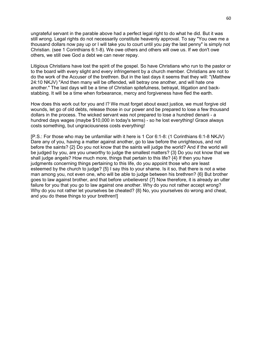ungrateful servant in the parable above had a perfect legal right to do what he did. But it was still wrong. Legal rights do not necessarily constitute heavenly approval. To say "You owe me a thousand dollars now pay up or I will take you to court until you pay the last penny" is simply not Christian. (see 1 Corinthians 6:1-8). We owe others and others will owe us. If we don't owe others, we still owe God a debt we can never repay.

Litigious Christians have lost the spirit of the gospel. So have Christians who run to the pastor or to the board with every slight and every infringement by a church member. Christians are not to do the work of the Accuser of the brethren. But in the last days it seems that they will: "(Matthew 24:10 NKJV) "And then many will be offended, will betray one another, and will hate one another." The last days will be a time of Christian spitefulness, betrayal, litigation and backstabbing. It will be a time when forbearance, mercy and forgiveness have fled the earth.

How does this work out for you and I? We must forget about exact justice, we must forgive old wounds, let go of old debts, release those in our power and be prepared to lose a few thousand dollars in the process. The wicked servant was not prepared to lose a hundred denarii - a hundred days wages (maybe \$10,000 in today's terms) - so he lost everything! Grace always costs something, but ungraciousness costs everything!

[P.S.: For those who may be unfamiliar with it here is 1 Cor 6:1-8: (1 Corinthians 6:1-8 NKJV) Dare any of you, having a matter against another, go to law before the unrighteous, and not before the saints? {2} Do you not know that the saints will judge the world? And if the world will be judged by you, are you unworthy to judge the smallest matters? {3} Do you not know that we shall judge angels? How much more, things that pertain to this life? {4} If then you have judgments concerning things pertaining to this life, do you appoint those who are least esteemed by the church to judge? {5} I say this to your shame. Is it so, that there is not a wise man among you, not even one, who will be able to judge between his brethren? {6} But brother goes to law against brother, and that before unbelievers! {7} Now therefore, it is already an utter failure for you that you go to law against one another. Why do you not rather accept wrong? Why do you not rather let yourselves be cheated?  ${8}$  No, you yourselves do wrong and cheat, and you do these things to your brethren!]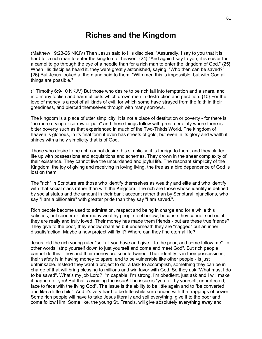## **Riches and the Kingdom**

(Matthew 19:23-26 NKJV) Then Jesus said to His disciples, "Assuredly, I say to you that it is hard for a rich man to enter the kingdom of heaven. {24} "And again I say to you, it is easier for a camel to go through the eye of a needle than for a rich man to enter the kingdom of God." {25} When His disciples heard it, they were greatly astonished, saying, "Who then can be saved?" {26} But Jesus looked at them and said to them, "With men this is impossible, but with God all things are possible."

(1 Timothy 6:9-10 NKJV) But those who desire to be rich fall into temptation and a snare, and into many foolish and harmful lusts which drown men in destruction and perdition. {10} For the love of money is a root of all kinds of evil, for which some have strayed from the faith in their greediness, and pierced themselves through with many sorrows.

The kingdom is a place of utter simplicity. It is not a place of destitution or poverty - for there is "no more crying or sorrow or pain" and these things follow with great certainty where there is bitter poverty such as that experienced in much of the Two-Thirds World. The kingdom of heaven is glorious, in its final form it even has streets of gold, but even in its glory and wealth it shines with a holy simplicity that is of God.

Those who desire to be rich cannot desire this simplicity, it is foreign to them, and they clutter life up with possessions and acquisitions and schemes. They drown in the sheer complexity of their existence. They cannot live the unburdened and joyful life. The resonant simplicity of the Kingdom, the joy of giving and receiving in loving living, the free as a bird dependence of God is lost on them.

The "rich" in Scripture are those who identify themselves as wealthy and elite and who identify with that social class rather than with the Kingdom. The rich are those whose identity is defined by social status and the amount in their bank account rather than by Scriptural injunctions, who say "I am a billionaire" with greater pride than they say "I am saved.".

Rich people become used to admiration, respect and being in charge and for a while this satisfies, but sooner or later many wealthy people feel hollow, because they cannot sort out if they are really and truly loved. Their money has made them friends - but are these true friends? They give to the poor, they endow charities but underneath they are "nagged" but an inner dissatisfaction. Maybe a new project will fix it? Where can they find eternal life?

Jesus told the rich young ruler "sell all you have and give it to the poor, and come follow me". In other words "strip yourself down to just yourself and come and meet God". But rich people cannot do this. They and their money are so intertwined. Their identity is in their possessions, their safety is in having money to spare, and to be vulnerable like other people - is just unthinkable. Instead they want a project to do, a task to accomplish, something they can be in charge of that will bring blessing to millions and win favor with God. So they ask "What must I do to be saved". What's my job Lord? I'm capable, I'm strong, I'm obedient, just ask and I will make it happen for you! But that's avoiding the issue! The issue is "you, all by yourself, unprotected, face to face with the living God". The issue is the ability to be little again and to "be converted and like a little child". And it's very hard to be little while surrounded with the trappings of power. Some rich people will have to take Jesus literally and sell everything, give it to the poor and come follow Him. Some like, the young St. Francis, will give absolutely everything away and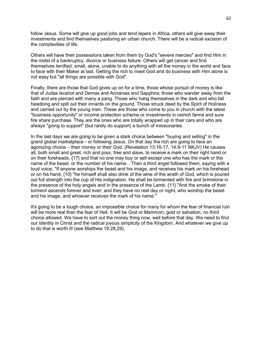follow Jesus. Some will give up good jobs and tend lepers in Africa, others will give away their investments and find themselves pastoring an urban church. There will be a radical excision of the complexities of life.

Others will have their possessions taken from them by God's "severe mercies" and find Him in the midst of a bankruptcy, divorce or business failure. Others will get cancer and find themselves terrified, small, alone, unable to do anything with all the money in the world and face to face with their Maker at last. Getting the rich to meet God and do business with Him alone is not easy but "all things are possible with God".

Finally, there are those that God gives up on for a time, those whose pursuit of money is like that of Judas Iscariot and Demas and Annanias and Sapphira; those who wander away from the faith and are pierced with many a pang. Those who hang themselves in the dark and who fall headlong and spill out their innards on the ground. Those struck dead by the Spirit of Holiness and carried out by the young men. These are those who come to you in church with the latest "business opportunity" or income protection scheme or investments in ostrich farms and sure fire share purchase. They are the ones who are totally wrapped up in their cars and who are always "going to support" (but rarely do support) a bunch of missionaries.

In the last days we are going to be given a stark choice between "buying and selling" in the grand global marketplace - or following Jesus. On that day the rich are going to face an agonizing choice – their money or their God. (Revelation 13:16-17, 14:9-11 NKJV) He causes all, both small and great, rich and poor, free and slave, to receive a mark on their right hand or on their foreheads, {17} and that no one may buy or sell except one who has the mark or the name of the beast, or the number of his name... Then a third angel followed them, saying with a loud voice, "If anyone worships the beast and his image, and receives his mark on his forehead or on his hand, {10} "he himself shall also drink of the wine of the wrath of God, which is poured out full strength into the cup of His indignation. He shall be tormented with fire and brimstone in the presence of the holy angels and in the presence of the Lamb. {11} "And the smoke of their torment ascends forever and ever; and they have no rest day or night, who worship the beast and his image, and whoever receives the mark of his name."

It's going to be a tough choice, an impossible choice for many for whom the fear of financial ruin will be more real than the fear of Hell. It will be God or Mammon, gold or salvation, no third choice allowed. We have to sort out the money thing now, well before that day. We need to find our identity in Christ and the radical joyous simplicity of the Kingdom. And whatever we give up to do that is worth it! (see Matthew 19:28,29).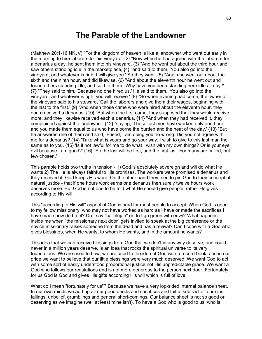### **The Parable of the Landowner**

(Matthew 20:1-16 NKJV) "For the kingdom of heaven is like a landowner who went out early in the morning to hire laborers for his vineyard. {2} "Now when he had agreed with the laborers for a denarius a day, he sent them into his vineyard. {3} "And he went out about the third hour and saw others standing idle in the marketplace, {4} "and said to them, 'You also go into the vineyard, and whatever is right I will give you.' So they went. {5} "Again he went out about the sixth and the ninth hour, and did likewise. {6} "And about the eleventh hour he went out and found others standing idle, and said to them, 'Why have you been standing here idle all day?' {7} "They said to him, 'Because no one hired us.' He said to them, 'You also go into the vineyard, and whatever is right you will receive.' {8} "So when evening had come, the owner of the vineyard said to his steward, 'Call the laborers and give them their wages, beginning with the last to the first.' {9} "And when those came who were hired about the eleventh hour, they each received a denarius. {10} "But when the first came, they supposed that they would receive more; and they likewise received each a denarius. {11} "And when they had received it, they complained against the landowner, {12} "saying, 'These last men have worked only one hour, and you made them equal to us who have borne the burden and the heat of the day.' {13} "But he answered one of them and said, 'Friend, I am doing you no wrong. Did you not agree with me for a denarius? {14} 'Take what is yours and go your way. I wish to give to this last man the same as to you. {15} 'Is it not lawful for me to do what I wish with my own things? Or is your eye evil because I am good?' {16} "So the last will be first, and the first last. For many are called, but few chosen."

This parable holds two truths in tension - 1) God is absolutely sovereign and will do what He wants 2) The He is always faithful to His promises. The workers were promised a denarius and they received it. God keeps His word. On the other hand they tried to pin God to their concept of natural justice - that if one hours work earns one denarius then surely twelve hours work deserves more. But God is not one to be told what He should give people, rather He gives according to His will.

This "according to His will" aspect of God is hard for most people to accept. When God is good to my fellow missionary, who may not have worked as hard as I have or made the sacrifices I have made how do I feel? Do I say "hallelujah" or do I go green with envy? What happens inside me when "the missionary next door" gets invited to speak at the big conference or the novice missionary raises someone from the dead and has a revival? Can I cope with a God who gives blessings, when He wants, to whom He wants, and in the amount he wants?

This idea that we can receive blessings from God that we don't in any way deserve, and could never in a million years deserve, is an idea that rocks the spiritual universe to its very foundations. We are used to Law, we are used to the idea of God with a record book, and in our pride we want to believe that our little blessings were very much deserved. We want God to act with some sort of easily understood proportional justice not His unpredictable grace. We want a God who follows our regulations and is not more generous to the person next door. Fortunately for us God is God and gives His gifts according His will which is full of love.

What do I mean "fortunately for us"? Because we have a very lop-sided internal balance sheet. In our own minds we add up all our good deeds and sacrifices and fail to subtract all our sins, failings, unbelief, grumblings and general short-comings. Our balance sheet is not so good or deserving as we imagine (well at least mine isn't). To have a God who is good to us, who is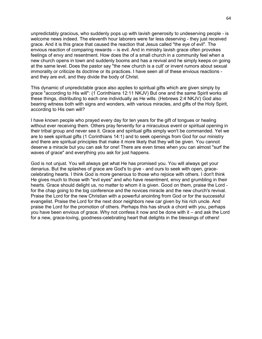unpredictably gracious, who suddenly pops up with lavish generosity to undeserving people - is welcome news indeed. The eleventh hour laborers were far less deserving - they just received grace. And it is this grace that caused the reaction that Jesus called "the eye of evil". The envious reaction of comparing rewards – is evil. And in ministry lavish grace often provokes feelings of envy and resentment. How does the of a small church in a community feel when a new church opens in town and suddenly booms and has a revival and he simply keeps on going at the same level. Does the pastor say "the new church is a cult' or invent rumors about sexual immorality or criticize its doctrine or its practices. I have seen all of these envious reactions and they are evil, and they divide the body of Christ.

This dynamic of unpredictable grace also applies to spiritual gifts which are given simply by grace "according to His will": (1 Corinthians 12:11 NKJV) But one and the same Spirit works all these things, distributing to each one individually as He wills. (Hebrews 2:4 NKJV) God also bearing witness both with signs and wonders, with various miracles, and gifts of the Holy Spirit, according to His own will?

I have known people who prayed every day for ten years for the gift of tongues or healing without ever receiving them. Others pray fervently for a miraculous event or spiritual opening in their tribal group and never see it. Grace and spiritual gifts simply won't be commanded. Yet we are to seek spiritual gifts (1 Corinthians 14:1) and to seek openings from God for our ministry and there are spiritual principles that make it more likely that they will be given. You cannot deserve a miracle but you can ask for one! There are even times when you can almost "surf the waves of grace" and everything you ask for just happens.

God is not unjust. You will always get what He has promised you. You will always get your denarius. But the splashes of grace are God's to give - and ours to seek with open, gracecelebrating hearts. I think God is more generous to those who rejoice with others. I don't think He gives much to those with "evil eyes" and who have resentment, envy and grumbling in their hearts. Grace should delight us, no matter to whom it is given. Good on them, praise the Lord for the chap going to the big conference and the novices miracle and the new church's revival. Praise the Lord for the new Christian with a powerful anointing from God or for the successful evangelist. Praise the Lord for the next door neighbors new car given by his rich uncle. And praise the Lord for the promotion of others. Perhaps this has struck a chord with you, perhaps you have been envious of grace. Why not confess it now and be done with it – and ask the Lord for a new, grace-loving, goodness-celebrating heart that delights in the blessings of others!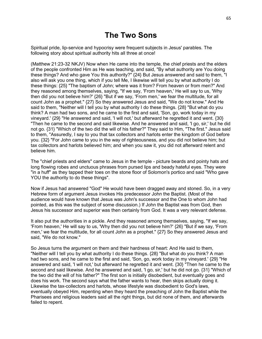### **The Two Sons**

Spiritual pride, lip-service and hypocrisy were frequent subjects in Jesus' parables. The following story about spiritual authority hits all three at once!

(Matthew 21:23-32 NKJV) Now when He came into the temple, the chief priests and the elders of the people confronted Him as He was teaching, and said, "By what authority are You doing these things? And who gave You this authority?" {24} But Jesus answered and said to them, "I also will ask you one thing, which if you tell Me, I likewise will tell you by what authority I do these things: {25} "The baptism of John; where was it from? From heaven or from men?" And they reasoned among themselves, saying, "If we say, 'From heaven,' He will say to us, 'Why then did you not believe him?' {26} "But if we say, 'From men,' we fear the multitude, for all count John as a prophet." {27} So they answered Jesus and said, "We do not know." And He said to them, "Neither will I tell you by what authority I do these things. {28} "But what do you think? A man had two sons, and he came to the first and said, 'Son, go, work today in my vineyard.' {29} "He answered and said, 'I will not,' but afterward he regretted it and went. {30} "Then he came to the second and said likewise. And he answered and said, 'I go, sir,' but he did not go. {31} "Which of the two did the will of his father?" They said to Him, "The first." Jesus said to them, "Assuredly, I say to you that tax collectors and harlots enter the kingdom of God before you. {32} "For John came to you in the way of righteousness, and you did not believe him; but tax collectors and harlots believed him; and when you saw it, you did not afterward relent and believe him.

The "chief priests and elders" came to Jesus in the temple - picture beards and pointy hats and long flowing robes and unctuous phrases from pursed lips and beady hateful eyes. They were "in a huff" as they tapped their toes on the stone floor of Solomon's portico and said "Who gave YOU the authority to do these things".

Now if Jesus had answered "God" He would have been dragged away and stoned. So, in a very Hebrew form of argument Jesus invokes His predecessor John the Baptist. (Most of the audience would have known that Jesus was John's successor and the One to whom John had pointed, as this was the subject of some discussion.) If John the Baptist was from God, then Jesus his successor and superior was then certainly from God. It was a very relevant defense.

It also put the authorities in a pickle. And they reasoned among themselves, saying, "If we say, 'From heaven,' He will say to us, 'Why then did you not believe him?' {26} "But if we say, 'From men,' we fear the multitude, for all count John as a prophet." {27} So they answered Jesus and said, "We do not know."

So Jesus turns the argument on them and their hardness of heart: And He said to them, "Neither will I tell you by what authority I do these things. {28} "But what do you think? A man had two sons, and he came to the first and said, 'Son, go, work today in my vineyard.' {29} "He answered and said, 'I will not,' but afterward he regretted it and went. {30} "Then he came to the second and said likewise. And he answered and said, 'I go, sir,' but he did not go. {31} "Which of the two did the will of his father?" The first son is initially disobedient, but eventually goes and does his work. The second says what the father wants to hear, then skips actually doing it. Likewise the tax-collectors and harlots, whose lifestyle was disobedient to God's laws, eventually obeyed Him, repenting when they heard the preaching of John the Baptist while the Pharisees and religious leaders said all the right things, but did none of them, and afterwards failed to repent.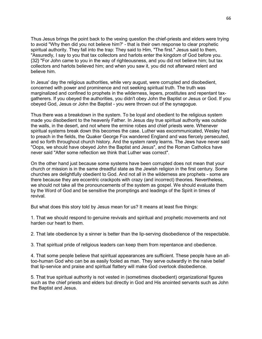Thus Jesus brings the point back to the vexing question the chief-priests and elders were trying to avoid "Why then did you not believe him?' - that is their own response to clear prophetic spiritual authority. They fall into the trap: They said to Him, "The first." Jesus said to them, "Assuredly, I say to you that tax collectors and harlots enter the kingdom of God before you. {32} "For John came to you in the way of righteousness, and you did not believe him; but tax collectors and harlots believed him; and when you saw it, you did not afterward relent and believe him.

In Jesus' day the religious authorities, while very august, were corrupted and disobedient, concerned with power and prominence and not seeking spiritual truth. The truth was marginalized and confined to prophets in the wilderness, lepers, prostitutes and repentant taxgatherers. If you obeyed the authorities, you didn't obey John the Baptist or Jesus or God. If you obeyed God, Jesus or John the Baptist - you were thrown out of the synagogue.

Thus there was a breakdown in the system. To be loyal and obedient to the religious system made you disobedient to the heavenly Father. In Jesus day true spiritual authority was outside the walls, in the desert, and not where the ermine robes and chief priests were. Whenever spiritual systems break down this becomes the case. Luther was excommunicated, Wesley had to preach in the fields, the Quaker George Fox wandered England and was fiercely persecuted, and so forth throughout church history. And the system rarely learns. The Jews have never said "Oops, we should have obeyed John the Baptist and Jesus", and the Roman Catholics have never said "After some reflection we think that Luther was correct".

On the other hand just because some systems have been corrupted does not mean that your church or mission is in the same dreadful state as the Jewish religion in the first century. Some churches are delightfully obedient to God. And not all in the wilderness are prophets - some are there because they are eccentric crackpots with crazy (and incorrect) theories. Nevertheless, we should not take all the pronouncements of the system as gospel. We should evaluate them by the Word of God and be sensitive the promptings and leadings of the Spirit in times of revival.

But what does this story told by Jesus mean for us? It means at least five things:

1. That we should respond to genuine revivals and spiritual and prophetic movements and not harden our heart to them.

2. That late obedience by a sinner is better than the lip-serving disobedience of the respectable.

3. That spiritual pride of religious leaders can keep them from repentance and obedience.

4. That some people believe that spiritual appearances are sufficient. These people have an alltoo-human God who can be as easily fooled as man. They serve outwardly in the naive belief that lip-service and praise and spiritual flattery will make God overlook disobedience.

5. That true spiritual authority is not vested in (sometimes disobedient) organizational figures such as the chief priests and elders but directly in God and His anointed servants such as John the Baptist and Jesus.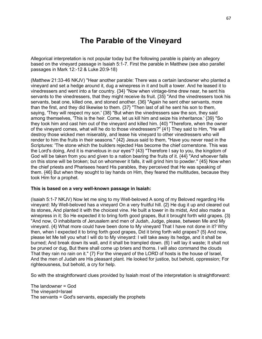# **The Parable of the Vineyard**

Allegorical interpretation is not popular today but the following parable is plainly an allegory based on the vineyard passage in Isaiah 5:1-7. First the parable in Matthew (see also parallel passages in Mark 12:-12 & Luke 20:9-18)

(Matthew 21:33-46 NKJV) "Hear another parable: There was a certain landowner who planted a vineyard and set a hedge around it, dug a winepress in it and built a tower. And he leased it to vinedressers and went into a far country. {34} "Now when vintage-time drew near, he sent his servants to the vinedressers, that they might receive its fruit. {35} "And the vinedressers took his servants, beat one, killed one, and stoned another. {36} "Again he sent other servants, more than the first, and they did likewise to them. {37} "Then last of all he sent his son to them, saying, 'They will respect my son.' {38} "But when the vinedressers saw the son, they said among themselves, 'This is the heir. Come, let us kill him and seize his inheritance.' {39} "So they took him and cast him out of the vineyard and killed him. {40} "Therefore, when the owner of the vineyard comes, what will he do to those vinedressers?" {41} They said to Him, "He will destroy those wicked men miserably, and lease his vineyard to other vinedressers who will render to him the fruits in their seasons." {42} Jesus said to them, "Have you never read in the Scriptures: 'The stone which the builders rejected Has become the chief cornerstone. This was the Lord's doing, And it is marvelous in our eyes'? {43} "Therefore I say to you, the kingdom of God will be taken from you and given to a nation bearing the fruits of it. {44} "And whoever falls on this stone will be broken; but on whomever it falls, it will grind him to powder." {45} Now when the chief priests and Pharisees heard His parables, they perceived that He was speaking of them. {46} But when they sought to lay hands on Him, they feared the multitudes, because they took Him for a prophet.

#### **This is based on a very well-known passage in Isaiah:**

(Isaiah 5:1-7 NKJV) Now let me sing to my Well-beloved A song of my Beloved regarding His vineyard: My Well-beloved has a vineyard On a very fruitful hill. {2} He dug it up and cleared out its stones, And planted it with the choicest vine. He built a tower in its midst, And also made a winepress in it; So He expected it to bring forth good grapes, But it brought forth wild grapes. {3} "And now, O inhabitants of Jerusalem and men of Judah, Judge, please, between Me and My vineyard. {4} What more could have been done to My vineyard That I have not done in it? Why then, when I expected it to bring forth good grapes, Did it bring forth wild grapes? {5} And now, please let Me tell you what I will do to My vineyard: I will take away its hedge, and it shall be burned; And break down its wall, and it shall be trampled down. {6} I will lay it waste; It shall not be pruned or dug, But there shall come up briers and thorns. I will also command the clouds That they rain no rain on it." {7} For the vineyard of the LORD of hosts is the house of Israel, And the men of Judah are His pleasant plant. He looked for justice, but behold, oppression; For righteousness, but behold, a cry for help.

So with the straightforward clues provided by Isaiah most of the interpretation is straightforward:

The landowner = God The vineyard=Israel The servants = God's servants, especially the prophets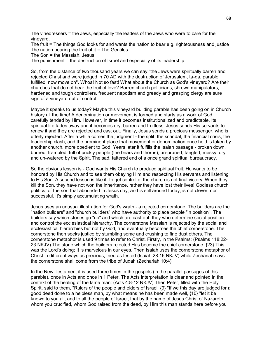The vinedressers = the Jews, especially the leaders of the Jews who were to care for the vineyard.

The fruit = The things God looks for and wants the nation to bear e.g. righteousness and justice The nation bearing the fruit of it  $=$  The Gentiles

The Son = the Messiah, Jesus

The punishment = the destruction of Israel and especially of its leadership

So, from the distance of two thousand years we can say "the Jews were spiritually barren and rejected Christ and were judged in 70 AD with the destruction of Jerusalem, ta-da, parable fulfilled, now move on". Whoa! Not so fast! What about the Church as God's vineyard? Are their churches that do not bear the fruit of love? Barren church politicians, shrewd manipulators, hardened and tough controllers, frequent nepotism and greedy and grasping clergy are sure sign of a vineyard out of control.

Maybe it speaks to us today? Maybe this vineyard building parable has been going on in Church history all the time! A denomination or movement is formed and starts as a work of God, carefully tended by Him. However, in time it becomes institutionalized and predictable. Its spiritual life fades away and it becomes dry, barren and fruitless. Jesus sends His servants to renew it and they are rejected and cast out. Finally, Jesus sends a precious messenger, who is utterly rejected. After a while comes the judgment - the split, the scandal, the financial crisis, the leadership clash, and the prominent place that movement or denomination once held is taken by another church, more obedient to God. Years later it fulfills the Isaiah passage - broken down, burned, trampled, full of prickly people (the briars and thorns), un-pruned, tangled, messy, dry and un-watered by the Spirit. The sad, tattered end of a once grand spiritual bureaucracy.

So the obvious lesson is - God wants His Church to produce spiritual fruit. He wants to be honored by His Church and to see them obeying Him and respecting His servants and listening to His Son. A second lesson is like it -to get control of the church is not final victory. When they kill the Son, they have not won the inheritance, rather they have lost their lives! Godless church politics, of the sort that abounded in Jesus day, and is still around today, is not clever, nor successful. It's simply accumulating wrath.

Jesus uses an unusual illustration for God's wrath - a rejected cornerstone. The builders are the "nation builders" and "church builders" who have authority to place people "in position". The builders say which stones go "up" and which are cast out, they who determine social position and control the ecclesiastical hierarchy. The cornerstone Messiah is rejected by the social and ecclesiastical hierarchies but not by God, and eventually becomes the chief cornerstone. The cornerstone then seeks justice by stumbling some and crushing to fine dust others. The cornerstone metaphor is used 9 times to refer to Christ. Firstly, in the Psalms: (Psalms 118:22- 23 NKJV) The stone which the builders rejected Has become the chief cornerstone. {23} This was the Lord's doing; It is marvelous in our eyes. Then Isaiah uses the cornerstone metaphor of Christ in different ways as precious, tried as tested (Isaiah 28:16 NKJV) while Zechariah says the cornerstone shall come from the tribe of Judah (Zechariah 10:4)

In the New Testament it is used three times in the gospels (in the parallel passages of this parable), once in Acts and once in 1 Peter. The Acts interpretation is clear and pointed in the context of the healing of the lame man: (Acts 4:8-12 NKJV) Then Peter, filled with the Holy Spirit, said to them, "Rulers of the people and elders of Israel: {9} "If we this day are judged for a good deed done to a helpless man, by what means he has been made well, {10} "let it be known to you all, and to all the people of Israel, that by the name of Jesus Christ of Nazareth, whom you crucified, whom God raised from the dead, by Him this man stands here before you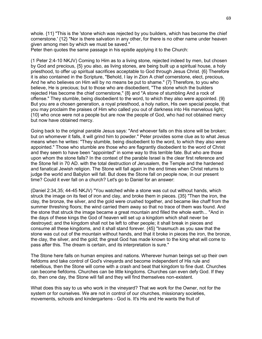whole. {11} "This is the 'stone which was rejected by you builders, which has become the chief cornerstone.' {12} "Nor is there salvation in any other, for there is no other name under heaven given among men by which we must be saved."

Peter then quotes the same passage in his epistle applying it to the Church:

(1 Peter 2:4-10 NKJV) Coming to Him as to a living stone, rejected indeed by men, but chosen by God and precious, {5} you also, as living stones, are being built up a spiritual house, a holy priesthood, to offer up spiritual sacrifices acceptable to God through Jesus Christ. {6} Therefore it is also contained in the Scripture, "Behold, I lay in Zion A chief cornerstone, elect, precious, And he who believes on Him will by no means be put to shame." {7} Therefore, to you who believe, He is precious; but to those who are disobedient, "The stone which the builders rejected Has become the chief cornerstone," {8} and "A stone of stumbling And a rock of offense." They stumble, being disobedient to the word, to which they also were appointed. {9} But you are a chosen generation, a royal priesthood, a holy nation, His own special people, that you may proclaim the praises of Him who called you out of darkness into His marvelous light; {10} who once were not a people but are now the people of God, who had not obtained mercy but now have obtained mercy.

Going back to the original parable Jesus says: "And whoever falls on this stone will be broken; but on whomever it falls, it will grind him to powder." Peter provides some clue as to what Jesus means when he writes: "They stumble, being disobedient to the word, to which they also were appointed." Those who stumble are those who are flagrantly disobedient to the word of Christ and they seem to have been "appointed" in some way to this terrible fate. But who are those upon whom the stone falls? In the context of the parable Israel is the clear first reference and the Stone fell in 70 AD. with the total destruction of Jerusalem, the Temple and the hardened and fanatical Jewish religion. The Stone will fall again in the end times when Christ returns to judge the world and Babylon will fall. But does the Stone fall on people now, in our present time? Could it ever fall on a church? Let's go to Daniel for an answer:

(Daniel 2:34,35; 44-45 NKJV) "You watched while a stone was cut out without hands, which struck the image on its feet of iron and clay, and broke them in pieces. {35} "Then the iron, the clay, the bronze, the silver, and the gold were crushed together, and became like chaff from the summer threshing floors; the wind carried them away so that no trace of them was found. And the stone that struck the image became a great mountain and filled the whole earth... "And in the days of these kings the God of heaven will set up a kingdom which shall never be destroyed; and the kingdom shall not be left to other people; it shall break in pieces and consume all these kingdoms, and it shall stand forever. {45} "Inasmuch as you saw that the stone was cut out of the mountain without hands, and that it broke in pieces the iron, the bronze, the clay, the silver, and the gold; the great God has made known to the king what will come to pass after this. The dream is certain, and its interpretation is sure."

The Stone here falls on human empires and nations. Wherever human beings set up their own fiefdoms and take control of God's vineyards and become independent of His rule and rebellious, then the Stone will come with a crash and beat that kingdom to fine dust. Churches can become fiefdoms. Churches can be little kingdoms. Churches can even defy God. If they do, then one day, the Stone will fall and they will find themselves non-existent.

What does this say to us who work in the vineyard? That we work for the Owner, not for the system or for ourselves. We are not in control of our churches, missionary societies, movements, schools and kindergartens - God is. It's His and He wants the fruit of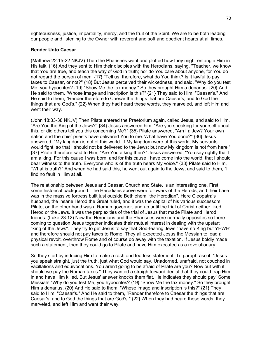righteousness, justice, impartiality, mercy, and the fruit of the Spirit. We are to be both leading our people and listening to the Owner with reverent and soft and obedient hearts at all times.

#### **Render Unto Caesar**

(Matthew 22:15-22 NKJV) Then the Pharisees went and plotted how they might entangle Him in His talk. {16} And they sent to Him their disciples with the Herodians, saying, "Teacher, we know that You are true, and teach the way of God in truth; nor do You care about anyone, for You do not regard the person of men. {17} "Tell us, therefore, what do You think? Is it lawful to pay taxes to Caesar, or not?" {18} But Jesus perceived their wickedness, and said, "Why do you test Me, you hypocrites? {19} "Show Me the tax money." So they brought Him a denarius. {20} And He said to them, "Whose image and inscription is this?" {21} They said to Him, "Caesar's." And He said to them, "Render therefore to Caesar the things that are Caesar's, and to God the things that are God's." {22} When they had heard these words, they marveled, and left Him and went their way.

(John 18:33-38 NKJV) Then Pilate entered the Praetorium again, called Jesus, and said to Him, "Are You the King of the Jews?" {34} Jesus answered him, "Are you speaking for yourself about this, or did others tell you this concerning Me?" {35} Pilate answered, "Am I a Jew? Your own nation and the chief priests have delivered You to me. What have You done?" {36} Jesus answered, "My kingdom is not of this world. If My kingdom were of this world, My servants would fight, so that I should not be delivered to the Jews; but now My kingdom is not from here." {37} Pilate therefore said to Him, "Are You a king then?" Jesus answered, "You say rightly that I am a king. For this cause I was born, and for this cause I have come into the world, that I should bear witness to the truth. Everyone who is of the truth hears My voice." {38} Pilate said to Him, "What is truth?" And when he had said this, he went out again to the Jews, and said to them, "I find no fault in Him at all.

The relationship between Jesus and Caesar, Church and State, is an interesting one. First some historical background. The Herodians above were followers of the Herods, and their base was in the massive fortress built just outside Bethlehem "the Herodian". Here Cleopatra's husband, the insane Herod the Great ruled, and it was the capital of his various successors. Pilate, on the other hand was a Roman governor, and up until the trial of Christ neither liked Herod or the Jews. It was the perplexities of the trial of Jesus that made Pilate and Herod friends. (Luke 23:12) Now the Herodians and the Pharisees were normally opposites so there coming to question Jesus together indicates their mutual interest in dealing with the upstart "king of the Jews". They try to get Jesus to say that God-fearing Jews "have no King but YHWH' and therefore should not pay taxes to Rome. They all expected Jesus the Messiah to lead a physical revolt, overthrow Rome and of course do away with the taxation. If Jesus boldly made such a statement, then they could go to Pilate and have Him executed as a revolutionary.

So they start by inducing Him to make a rash and fearless statement. To paraphrase it: "Jesus you speak straight, just the truth, just what God would say, Unadorned, unafraid, not couched in vacillations and equivocations. You aren't going to be afraid of Pilate are you? Now out with it, should we pay the Roman taxes." They wanted a straightforward denial that they could trap Him in and have Him killed. But Jesus' answer knocks them flat. He indicates they should pay! Some Messiah! "Why do you test Me, you hypocrites? {19} "Show Me the tax money." So they brought Him a denarius. {20} And He said to them, "Whose image and inscription is this?" {21} They said to Him, "Caesar's." And He said to them, "Render therefore to Caesar the things that are Caesar's, and to God the things that are God's." {22} When they had heard these words, they marveled, and left Him and went their way.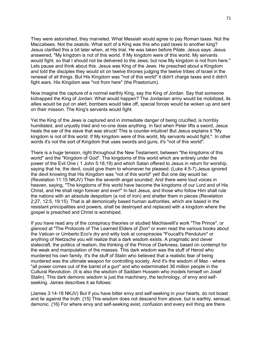They were astonished, they marveled. What Messiah would agree to pay Roman taxes. Not the Maccabees. Not the zealots. What sort of a King was this who paid taxes to another king? Jesus clarified this a bit later when, at His trial, He was taken before Pilate. Jesus says: Jesus answered, "My kingdom is not of this world. If My kingdom were of this world, My servants would fight, so that I should not be delivered to the Jews; but now My kingdom is not from here." Lets pause and think about this. Jesus was King of the Jews. He preached about a Kingdom and told the disciples they would sit on twelve thrones judging the twelve tribes of Israel in the renewal of all things. But His Kingdom was "not of this world" it didn't charge taxes and it didn't fight wars. His Kingdom was "not from here" (the Praetorium).

Now imagine the capture of a normal earthly King, say the King of Jordan. Say that someone kidnapped the King of Jordan. What would happen? The Jordanian army would be mobilized, its allies would be put on alert, bombers would take off, special forces would be woken up and sent on their mission. The King's servants would fight.

Yet the King of the Jews is captured and in immediate danger of being crucified, is horribly humiliated, and unjustly tried and no-one does anything. In fact when Peter lifts a sword, Jesus heals the ear of the slave that was struck! This is counter-intuitive! But Jesus explains it "My kingdom is not of this world. If My kingdom were of this world, My servants would fight,". In other words it's not the sort of Kingdom that uses swords and guns, it's "not of this world".

There is a huge tension, right throughout the New Testament, between "the kingdoms of this world" and the "Kingdom of God". The kingdoms of this world which are entirely under the power of the Evil One ( 1 John 5:18,19) and which Satan offered to Jesus in return for worship, saying that he, the devil, could give them to whomever he pleased. (Luke 4:5-7).Jesus ignored the devil knowing that His Kingdom was "not of this world" yet! But one day would be: (Revelation 11:15 NKJV) Then the seventh angel sounded: And there were loud voices in heaven, saying, "The kingdoms of this world have become the kingdoms of our Lord and of His Christ, and He shall reign forever and ever!" In fact Jesus, and those who follow Him shall rule the nations with an absolute despotism (a rod of iron) and shatter them in pieces (Revelation 2;27, 12:5, 19:15). That is all demonically based human authorities, which are based in the resistant principalities and powers, shall be destroyed and replaced with a kingdom where the gospel is preached and Christ is worshiped.

If you have read any of the conspiracy theories or studied Machiavelli's work "The Prince", or glanced at "The Protocols of The Learned Elders of Zion" or even read the various books about the Vatican or Umberto Eco's dry and witty look at conspiracies "Foucalt's Pendulum" or anything of Nietzsche you will realize that a dark wisdom exists. A pragmatic and clever statecraft, the politics of realism, the thinking of the Prince of Darkness, based on contempt for the weak and manipulation of the masses. This dark wisdom was the stuff of Herod who murdered his own family. It's the stuff of Stalin who believed that a realistic fear of being murdered was the ultimate weapon for controlling society. And it's the wisdom of Mao - where "all power comes out of the barrel of a gun" and who exterminated 36 million people in the Cultural Revolution. (It is also the wisdom of Saddam Hussein who models himself on Josef Stalin). This dark demonic wisdom is just the machinery, the technology, of envy and selfseeking. James describes it as follows:

(James 3:14-18 NKJV) But if you have bitter envy and self-seeking in your hearts, do not boast and lie against the truth. {15} This wisdom does not descend from above, but is earthly, sensual, demonic. {16} For where envy and self-seeking exist, confusion and every evil thing are there.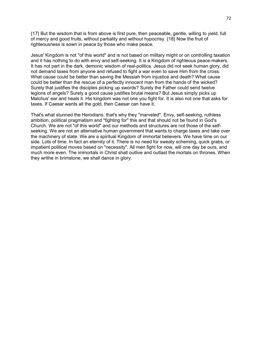{17} But the wisdom that is from above is first pure, then peaceable, gentle, willing to yield, full of mercy and good fruits, without partiality and without hypocrisy. {18} Now the fruit of righteousness is sown in peace by those who make peace.

Jesus' Kingdom is not "of this world" and is not based on military might or on controlling taxation and it has nothing to do with envy and self-seeking. It is a Kingdom of righteous peace-makers. It has not part in the dark, demonic wisdom of real-politics. Jesus did not seek human glory, did not demand taxes from anyone and refused to fight a war even to save Him from the cross. What cause could be better than saving the Messiah from injustice and death? What cause could be better than the rescue of a perfectly innocent man from the hands of the wicked? Surely that justifies the disciples picking up swords? Surely the Father could send twelve legions of angels? Surely a good cause justifies brutal means? But Jesus simply picks up Malchus' ear and heals it. His kingdom was not one you fight for. It is also not one that asks for taxes. If Caesar wants all the gold, then Caesar can have it.

That's what stunned the Herodians, that's why they "marveled". Envy, self-seeking, ruthless ambition, political pragmatism and "fighting for" this and that should not be found in God's Church. We are not "of this world" and our methods and structures are not those of the selfseeking. We are not an alternative human government that wants to charge taxes and take over the machinery of state. We are a spiritual Kingdom of immortal believers. We have time on our side. Lots of time. In fact an eternity of it. There is no need for sweaty scheming, quick grabs, or impatient political moves based on "necessity". All men fight for now, will one day be ours, and much more even. The immortals in Christ shall outlive and outlast the mortals on thrones. When they writhe in brimstone, we shall dance in glory.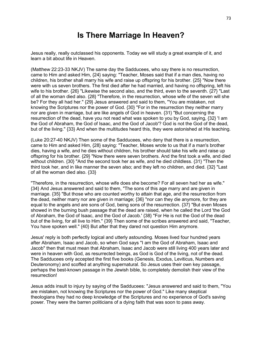# **Is There Marriage In Heaven?**

Jesus really, really outclassed his opponents. Today we will study a great example of it, and learn a bit about life in Heaven.

(Matthew 22:23-33 NKJV) The same day the Sadducees, who say there is no resurrection, came to Him and asked Him, {24} saying: "Teacher, Moses said that if a man dies, having no children, his brother shall marry his wife and raise up offspring for his brother. {25} "Now there were with us seven brothers. The first died after he had married, and having no offspring, left his wife to his brother. {26} "Likewise the second also, and the third, even to the seventh. {27} "Last of all the woman died also. {28} "Therefore, in the resurrection, whose wife of the seven will she be? For they all had her." {29} Jesus answered and said to them, "You are mistaken, not knowing the Scriptures nor the power of God. {30} "For in the resurrection they neither marry nor are given in marriage, but are like angels of God in heaven. {31} "But concerning the resurrection of the dead, have you not read what was spoken to you by God, saying, {32} 'I am the God of Abraham, the God of Isaac, and the God of Jacob'? God is not the God of the dead, but of the living." {33} And when the multitudes heard this, they were astonished at His teaching.

(Luke 20:27-40 NKJV) Then some of the Sadducees, who deny that there is a resurrection, came to Him and asked Him, {28} saying: "Teacher, Moses wrote to us that if a man's brother dies, having a wife, and he dies without children, his brother should take his wife and raise up offspring for his brother. {29} "Now there were seven brothers. And the first took a wife, and died without children. {30} "And the second took her as wife, and he died childless. {31} "Then the third took her, and in like manner the seven also; and they left no children, and died. {32} "Last of all the woman died also. {33}

"Therefore, in the resurrection, whose wife does she become? For all seven had her as wife." {34} And Jesus answered and said to them, "The sons of this age marry and are given in marriage. {35} "But those who are counted worthy to attain that age, and the resurrection from the dead, neither marry nor are given in marriage; {36} "nor can they die anymore, for they are equal to the angels and are sons of God, being sons of the resurrection. {37} "But even Moses showed in the burning bush passage that the dead are raised, when he called the Lord 'the God of Abraham, the God of Isaac, and the God of Jacob.' {38} "For He is not the God of the dead but of the living, for all live to Him." {39} Then some of the scribes answered and said, "Teacher, You have spoken well." {40} But after that they dared not question Him anymore.

Jesus' reply is both perfectly logical and utterly astounding. Moses lived four hundred years after Abraham, Isaac and Jacob, so when God says "I am the God of Abraham, Isaac and Jacob" then that must mean that Abraham, Isaac and Jacob were still living 400 years later and were in heaven with God, as resurrected beings, as God is God of the living, not of the dead. The Sadducees only accepted the first five books (Genesis, Exodus, Leviticus, Numbers and Deuteronomy) and scoffed at anything supernatural. So Jesus uses their own key passage, perhaps the best-known passage in the Jewish bible, to completely demolish their view of the resurrection!

Jesus adds insult to injury by saying of the Sadducees: "Jesus answered and said to them, "You are mistaken, not knowing the Scriptures nor the power of God." Like many skeptical theologians they had no deep knowledge of the Scriptures and no experience of God's saving power. They were the barren politicians of a dying faith that was soon to pass away.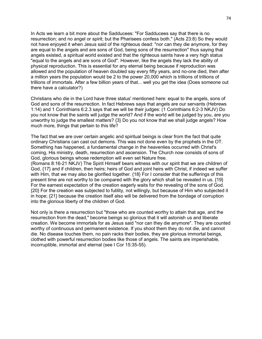In Acts we learn a bit more about the Sadducees: "For Sadducees say that there is no resurrection; and no angel or spirit; but the Pharisees confess both." (Acts 23:8) So they would not have enjoyed it when Jesus said of the righteous dead: "nor can they die anymore, for they are equal to the angels and are sons of God, being sons of the resurrection" thus saying that angels existed, a spiritual world existed and that the righteous saints have a very high status "equal to the angels and are sons of God". However, like the angels they lack the ability of physical reproduction. This is essential for any eternal being because if reproduction was allowed and the population of heaven doubled say every fifty years, and no-one died, then after a million years the population would be 2 to the power 20,000 which is trillions of trillions of trillions of immortals. After a few billion years of that... well you get the idea (Does someone out there have a calculator?)

Christians who die in the Lord have three status' mentioned here: equal to the angels, sons of God and sons of the resurrection. In fact Hebrews says that angels are our servants (Hebrews 1:14) and 1 Corinthians 6:2.3 says that we will be their judges: (1 Corinthians 6:2-3 NKJV) Do you not know that the saints will judge the world? And if the world will be judged by you, are you unworthy to judge the smallest matters? {3} Do you not know that we shall judge angels? How much more, things that pertain to this life?

The fact that we are over certain angelic and spiritual beings is clear from the fact that quite ordinary Christians can cast out demons. This was not done even by the prophets in the OT. Something has happened, a fundamental change in the heavenlies occurred with Christ's coming, His ministry, death, resurrection and ascension. The Church now consists of sons of God, glorious beings whose redemption will even set Nature free.

(Romans 8:16-21 NKJV) The Spirit Himself bears witness with our spirit that we are children of God, {17} and if children, then heirs; heirs of God and joint heirs with Christ, if indeed we suffer with Him, that we may also be glorified together. {18} For I consider that the sufferings of this present time are not worthy to be compared with the glory which shall be revealed in us. {19} For the earnest expectation of the creation eagerly waits for the revealing of the sons of God. {20} For the creation was subjected to futility, not willingly, but because of Him who subjected it in hope; {21} because the creation itself also will be delivered from the bondage of corruption into the glorious liberty of the children of God.

Not only is there a resurrection but "those who are counted worthy to attain that age, and the resurrection from the dead," become beings so glorious that it will astonish us and liberate creation. We become immortals for as Jesus said "nor can they die anymore". They are counted worthy of continuous and permanent existence. If you shoot them they do not die, and cannot die. No disease touches them, no pain racks their bodies, they are glorious immortal beings, clothed with powerful resurrection bodies like those of angels. The saints are imperishable, incorruptible, immortal and eternal (see I Cor 15:35-55).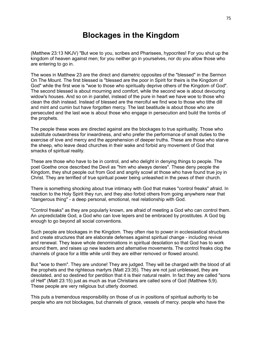# **Blockages in the Kingdom**

(Matthew 23:13 NKJV) "But woe to you, scribes and Pharisees, hypocrites! For you shut up the kingdom of heaven against men; for you neither go in yourselves, nor do you allow those who are entering to go in.

The woes in Matthew 23 are the direct and diametric opposites of the "blessed" in the Sermon On The Mount. The first blessed is "blessed are the poor in Spirit for theirs is the Kingdom of God" while the first woe is "woe to those who spiritually deprive others of the Kingdom of God". The second blessed is about mourning and comfort, while the second woe is about devouring widow's houses. And so on in parallel, instead of the pure in heart we have woe to those who clean the dish instead. Instead of blessed are the merciful we find woe to those who tithe dill and mint and cumin but have forgotten mercy. The last beatitude is about those who are persecuted and the last woe is about those who engage in persecution and build the tombs of the prophets.

The people these woes are directed against are the blockages to true spirituality. Those who substitute outwardness for inwardness, and who prefer the performance of small duties to the exercise of love and mercy and the apprehension of deeper truths. These are those who starve the sheep, who leave dead churches in their wake and forbid any movement of God that smacks of spiritual reality.

These are those who have to be in control, and who delight in denying things to people. The poet Goethe once described the Devil as "him who always denies". These deny people the Kingdom, they shut people out from God and angrily scowl at those who have found true joy in Christ. They are terrified of true spiritual power being unleashed in the pews of their church.

There is something shocking about true intimacy with God that makes "control freaks" afraid. In reaction to the Holy Spirit they run, and they also forbid others from going anywhere near that "dangerous thing" - a deep personal, emotional, real relationship with God.

"Control freaks" as they are popularly known, are afraid of meeting a God who can control them. An unpredictable God, a God who can love lepers and be embraced by prostitutes. A God big enough to go beyond all social conventions.

Such people are blockages in the Kingdom. They often rise to power in ecclesiastical structures and create structures that are elaborate defenses against spiritual change - including revival and renewal. They leave whole denominations in spiritual desolation so that God has to work around them, and raises up new leaders and alternative movements. The control freaks clog the channels of grace for a little while until they are either removed or flowed around.

But "woe to them". They are undone! They are judged. They will be charged with the blood of all the prophets and the righteous martyrs (Matt 23:35). They are not just unblessed, they are desolated, and so destined for perdition that it is their natural realm. In fact they are called "sons of Hell" (Matt 23:15) just as much as true Christians are called sons of God (Matthew 5;9). These people are very religious but utterly doomed.

This puts a tremendous responsibility on those of us in positions of spiritual authority to be people who are not blockages, but channels of grace, vessels of mercy. people who have the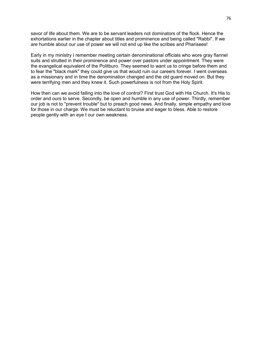savor of life about them. We are to be servant leaders not dominators of the flock. Hence the exhortations earlier in the chapter about titles and prominence and being called "Rabbi". If we are humble about our use of power we will not end up like the scribes and Pharisees!

Early in my ministry I remember meeting certain denominational officials who wore gray flannel suits and strutted in their prominence and power over pastors under appointment. They were the evangelical equivalent of the Politburo. They seemed to want us to cringe before them and to fear the "black mark" they could give us that would ruin our careers forever. I went overseas as a missionary and in time the denomination changed and the old guard moved on. But they were terrifying men and they knew it. Such powerfulness is not from the Holy Spirit.

How then can we avoid falling into the love of control? First trust God with His Church. It's His to order and ours to serve. Secondly, be open and humble in any use of power. Thirdly, remember our job is not to "prevent trouble" but to preach good news. And finally, simple empathy and love for those in our charge. We must be reluctant to bruise and eager to bless. Able to restore people gently with an eye t our own weakness.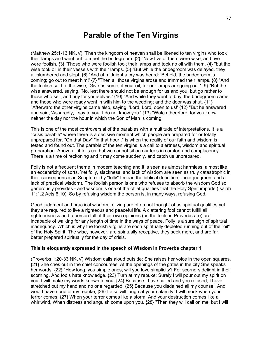### **Parable of the Ten Virgins**

(Matthew 25:1-13 NKJV) "Then the kingdom of heaven shall be likened to ten virgins who took their lamps and went out to meet the bridegroom. {2} "Now five of them were wise, and five were foolish. {3} "Those who were foolish took their lamps and took no oil with them, {4} "but the wise took oil in their vessels with their lamps.  ${5}$  "But while the bridegroom was delayed, they all slumbered and slept. {6} "And at midnight a cry was heard: 'Behold, the bridegroom is coming; go out to meet him!' {7} "Then all those virgins arose and trimmed their lamps. {8} "And the foolish said to the wise, 'Give us some of your oil, for our lamps are going out.' {9} "But the wise answered, saying, 'No, lest there should not be enough for us and you; but go rather to those who sell, and buy for yourselves.' {10} "And while they went to buy, the bridegroom came, and those who were ready went in with him to the wedding; and the door was shut. {11} "Afterward the other virgins came also, saying, 'Lord, Lord, open to us!' {12} "But he answered and said, 'Assuredly, I say to you, I do not know you.' {13} "Watch therefore, for you know neither the day nor the hour in which the Son of Man is coming.

This is one of the most controversial of the parables with a multitude of interpretations. It is a "crisis parable" where there is a decisive moment which people are prepared for or totally unprepared for. "On that Day" "in that hour.." is when the reality of our faith and wisdom is tested and found out. The parable of the ten virgins is a call to alertness, wisdom and spiritual preparation. Above all it tells us that we cannot sit on our lees in comfort and complacency. There is a time of reckoning and it may come suddenly, and catch us unprepared.

Folly is not a frequent theme in modern teaching and it is seen as almost harmless, almost like an eccentricity of sorts. Yet folly, slackness, and lack of wisdom are seen as truly catastrophic in their consequences in Scripture. (by "folly" I mean the biblical definition - poor judgment and a lack of practical wisdom). The foolish person is one who refuses to absorb the wisdom God so generously provides - and wisdom is one of the chief qualities that the Holy Spirit imparts (Isaiah 11:1,2 Acts 6:10). So by refusing wisdom the person is, in many ways, refusing God.

Good judgment and practical wisdom in living are often not thought of as spiritual qualities yet they are required to live a righteous and peaceful life. A clattering fool cannot fulfill all righteousness and a person full of their own opinions (as the fools in Proverbs are) are incapable of walking for any length of time in the ways of peace. Folly is a sure sign of spiritual inadequacy. Which is why the foolish virgins are soon spiritually depleted running out of the "oil" of the Holy Spirit. The wise, however, are spiritually receptive, they seek more, and are far better prepared spiritually for the day of crisis.

#### **This is eloquently expressed in the speech of Wisdom in Proverbs chapter 1:**

(Proverbs 1:20-33 NKJV) Wisdom calls aloud outside; She raises her voice in the open squares. {21} She cries out in the chief concourses, At the openings of the gates in the city She speaks her words: {22} "How long, you simple ones, will you love simplicity? For scorners delight in their scorning, And fools hate knowledge. {23} Turn at my rebuke; Surely I will pour out my spirit on you; I will make my words known to you. {24} Because I have called and you refused, I have stretched out my hand and no one regarded, {25} Because you disdained all my counsel, And would have none of my rebuke, {26} I also will laugh at your calamity; I will mock when your terror comes, {27} When your terror comes like a storm, And your destruction comes like a whirlwind, When distress and anguish come upon you. {28} "Then they will call on me, but I will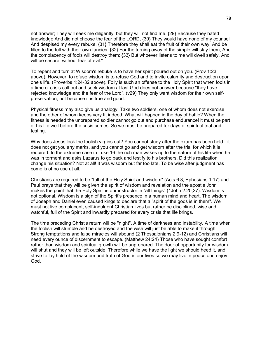not answer; They will seek me diligently, but they will not find me. {29} Because they hated knowledge And did not choose the fear of the LORD, {30} They would have none of my counsel And despised my every rebuke. {31} Therefore they shall eat the fruit of their own way, And be filled to the full with their own fancies. {32} For the turning away of the simple will slay them, And the complacency of fools will destroy them; {33} But whoever listens to me will dwell safely, And will be secure, without fear of evil."

To repent and turn at Wisdom's rebuke is to have her spirit poured out on you. (Prov 1:23 above). However, to refuse wisdom is to refuse God and to invite calamity and destruction upon one's life. (Proverbs 1:24-32 above). Folly is such an offense to the Holy Spirit that when fools in a time of crisis call out and seek wisdom at last God does not answer because "they have rejected knowledge and the fear of the Lord". (v29) They only want wisdom for their own selfpreservation, not because it is true and good.

Physical fitness may also give us analogy. Take two soldiers, one of whom does not exercise and the other of whom keeps very fit indeed. What will happen in the day of battle? When the fitness is needed the unprepared soldier cannot go out and purchase endurance! it must be part of his life well before the crisis comes. So we must be prepared for days of spiritual trial and testing.

Why does Jesus lock the foolish virgins out? You cannot study after the exam has been held - it does not get you any marks, and you cannot go and get wisdom after the trial for which it is required. In the extreme case in Luke 16 the rich man wakes up to the nature of his life when he was in torment and asks Lazarus to go back and testify to his brothers. Did this realization change his situation? Not at all! It was wisdom but far too late. To be wise after judgment has come is of no use at all.

Christians are required to be "full of the Holy Spirit and wisdom" (Acts 6:3, Ephesians 1:17) and Paul prays that they will be given the spirit of wisdom and revelation and the apostle John makes the point that the Holy Spirit is our instructor in "all things" (1John 2:20,27). Wisdom is not optional. Wisdom is a sign of the Spirit's presence in a human mind and heart. The wisdom of Joseph and Daniel even caused kings to declare that a "spirit of the gods is in them". We must not live complacent, self-indulgent Christian lives but rather be disciplined, wise and watchful, full of the Spirit and inwardly prepared for every crisis that life brings.

The time preceding Christ's return will be "night". A time of darkness and instability. A time when the foolish will stumble and be destroyed and the wise will just be able to make it through. Strong temptations and false miracles will abound (2 Thessalonians 2:9-12) and Christians will need every ounce of discernment to escape. (Matthew 24:24) Those who have sought comfort rather than wisdom and spiritual growth will be unprepared. The door of opportunity for wisdom will shut and they will be left outside. Therefore while we have the light we should heed it, and strive to lay hold of the wisdom and truth of God in our lives so we may live in peace and enjoy God.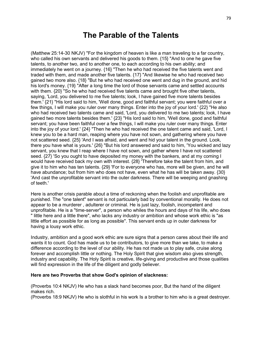# **The Parable of the Talents**

(Matthew 25:14-30 NKJV) "For the kingdom of heaven is like a man traveling to a far country, who called his own servants and delivered his goods to them. {15} "And to one he gave five talents, to another two, and to another one, to each according to his own ability; and immediately he went on a journey. {16} "Then he who had received the five talents went and traded with them, and made another five talents. {17} "And likewise he who had received two gained two more also. {18} "But he who had received one went and dug in the ground, and hid his lord's money. {19} "After a long time the lord of those servants came and settled accounts with them. {20} "So he who had received five talents came and brought five other talents, saying, 'Lord, you delivered to me five talents; look, I have gained five more talents besides them.' {21} "His lord said to him, 'Well done, good and faithful servant; you were faithful over a few things, I will make you ruler over many things. Enter into the joy of your lord.' {22} "He also who had received two talents came and said, 'Lord, you delivered to me two talents; look, I have gained two more talents besides them.' {23} "His lord said to him, 'Well done, good and faithful servant; you have been faithful over a few things, I will make you ruler over many things. Enter into the joy of your lord.' {24} "Then he who had received the one talent came and said, 'Lord, I knew you to be a hard man, reaping where you have not sown, and gathering where you have not scattered seed. {25} 'And I was afraid, and went and hid your talent in the ground. Look, there you have what is yours.' {26} "But his lord answered and said to him, 'You wicked and lazy servant, you knew that I reap where I have not sown, and gather where I have not scattered seed. {27} 'So you ought to have deposited my money with the bankers, and at my coming I would have received back my own with interest. {28} 'Therefore take the talent from him, and give it to him who has ten talents. {29} 'For to everyone who has, more will be given, and he will have abundance; but from him who does not have, even what he has will be taken away. {30} 'And cast the unprofitable servant into the outer darkness. There will be weeping and gnashing of teeth.'

Here is another crisis parable about a time of reckoning when the foolish and unprofitable are punished. The "one talent" servant is not particularly bad by conventional morality. He does not appear to be a murderer , adulterer or criminal. He is just lazy, foolish, incompetent and unprofitable. He is a "time-server", a person who whiles the hours and days of his life, who does " little here and a little there", who lacks any industry or ambition and whose work ethic is "as little effort as possible for as long as possible". This servant ends up in outer darkness for having a lousy work ethic.

Industry, ambition and a good work ethic are sure signs that a person cares about their life and wants it to count. God has made us to be contributors, to give more than we take, to make a difference according to the level of our ability. He has not made us to play safe, cruise along forever and accomplish little or nothing. The Holy Spirit that give wisdom also gives strength, industry and capability. The Holy Spirit is creative, life-giving and productive and those qualities will find expression in the life of the diligent and godly believer.

#### **Here are two Proverbs that show God's opinion of slackness:**

(Proverbs 10:4 NKJV) He who has a slack hand becomes poor, But the hand of the diligent makes rich.

(Proverbs 18:9 NKJV) He who is slothful in his work Is a brother to him who is a great destroyer.